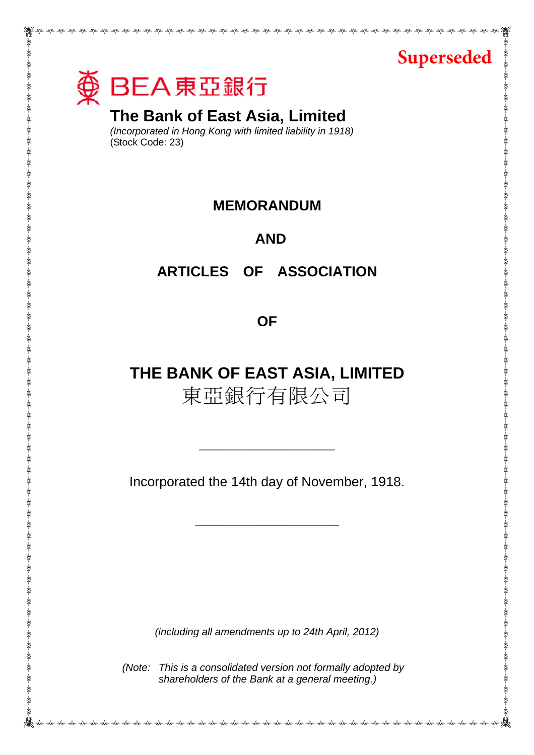



# **The Bank of East Asia, Limited**

*(Incorporated in Hong Kong with limited liability in 1918)*  (Stock Code: 23)

# **MEMORANDUM**

# **AND**

# **ARTICLES OF ASSOCIATION**

**OF** 

# **THE BANK OF EAST ASIA, LIMITED**  東亞銀行有限公司

Incorporated the 14th day of November, 1918.

**\_\_\_\_\_\_\_\_\_\_\_\_\_\_\_\_\_\_** 

**\_\_\_\_\_\_\_\_\_\_\_\_\_\_\_\_\_**

*(including all amendments up to 24th April, 2012)* 

*(Note: This is a consolidated version not formally adopted by shareholders of the Bank at a general meeting.)*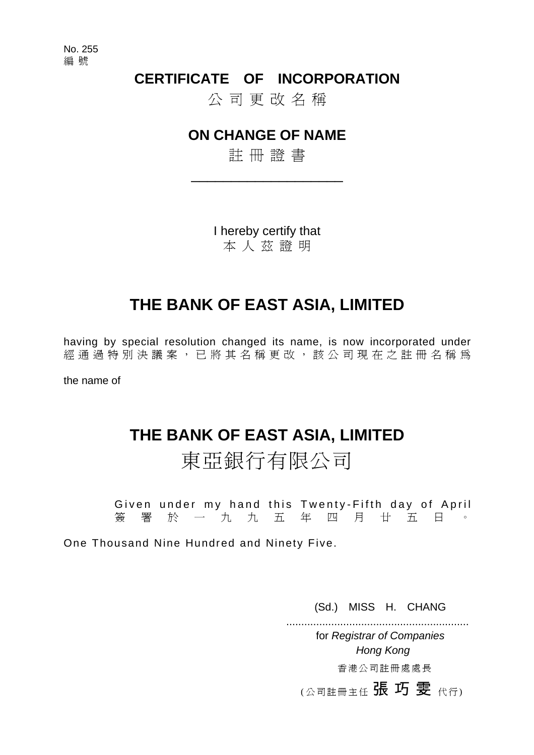No. 255 編 號

# **CERTIFICATE OF INCORPORATION**

公 司 更 改 名 稱

# **ON CHANGE OF NAME**

註 冊 證 書

\_\_\_\_\_\_\_\_\_\_\_\_\_\_\_\_\_\_\_

I hereby certify that 本 人 茲 證 明

# **THE BANK OF EAST ASIA, LIMITED**

having by special resolution changed its name, is now incorporated under 經通過特別決議案,已將其名稱更改,該公司現在之註冊名稱為

the name of

# **THE BANK OF EAST ASIA, LIMITED**

東亞銀行有限公司

Given under my hand this Twenty-Fifth day of April 簽 署 於 一 九 九 五 年 四 月 廿 五 日 。

One Thousand Nine Hundred and Ninety Five.

(Sd.) MISS H. CHANG

 ............................................................. for *Registrar of Companies Hong Kong*

香 港 公 司 註 冊 處 處 長

(公司註冊主任 張 巧 雯 代行)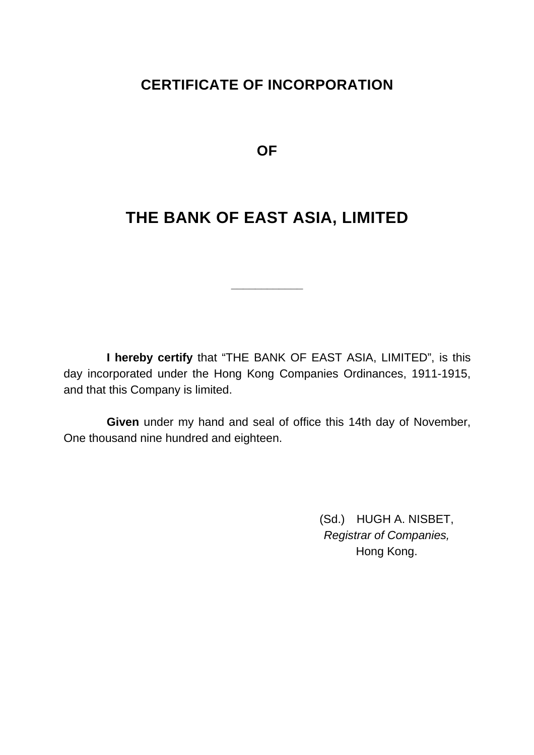# **CERTIFICATE OF INCORPORATION**

**OF** 

# **THE BANK OF EAST ASIA, LIMITED**

**\_\_\_\_\_\_\_\_\_\_\_\_** 

 **I hereby certify** that "THE BANK OF EAST ASIA, LIMITED", is this day incorporated under the Hong Kong Companies Ordinances, 1911-1915, and that this Company is limited.

 **Given** under my hand and seal of office this 14th day of November, One thousand nine hundred and eighteen.

> (Sd.) HUGH A. NISBET, *Registrar of Companies,*  Hong Kong.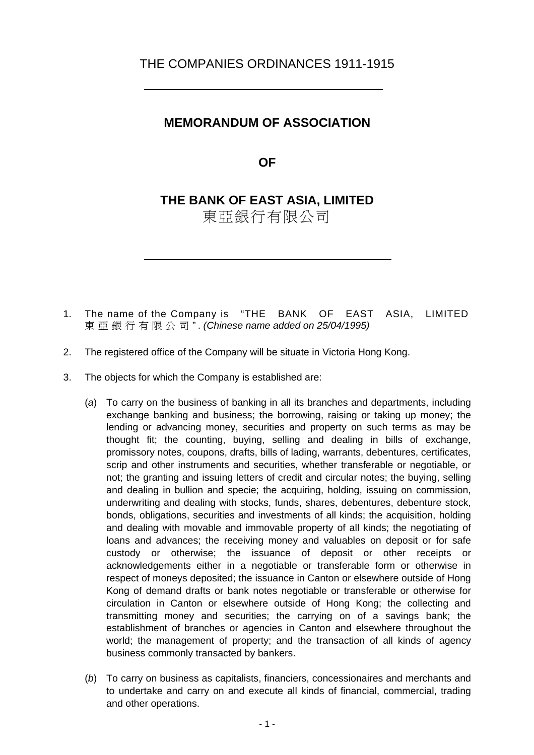# THE COMPANIES ORDINANCES 1911-1915

# **MEMORANDUM OF ASSOCIATION**

**OF** 

# **THE BANK OF EAST ASIA, LIMITED**

東亞銀行有限公司

- 1. The name of the Company is "THE BANK OF EAST ASIA, LIMITED 東亞銀行有限公司 " . *(Chinese name added on 25/04/1995)*
- 2. The registered office of the Company will be situate in Victoria Hong Kong.
- 3. The objects for which the Company is established are:
	- (*a*) To carry on the business of banking in all its branches and departments, including exchange banking and business; the borrowing, raising or taking up money; the lending or advancing money, securities and property on such terms as may be thought fit; the counting, buying, selling and dealing in bills of exchange, promissory notes, coupons, drafts, bills of lading, warrants, debentures, certificates, scrip and other instruments and securities, whether transferable or negotiable, or not; the granting and issuing letters of credit and circular notes; the buying, selling and dealing in bullion and specie; the acquiring, holding, issuing on commission, underwriting and dealing with stocks, funds, shares, debentures, debenture stock, bonds, obligations, securities and investments of all kinds; the acquisition, holding and dealing with movable and immovable property of all kinds; the negotiating of loans and advances; the receiving money and valuables on deposit or for safe custody or otherwise; the issuance of deposit or other receipts or acknowledgements either in a negotiable or transferable form or otherwise in respect of moneys deposited; the issuance in Canton or elsewhere outside of Hong Kong of demand drafts or bank notes negotiable or transferable or otherwise for circulation in Canton or elsewhere outside of Hong Kong; the collecting and transmitting money and securities; the carrying on of a savings bank; the establishment of branches or agencies in Canton and elsewhere throughout the world; the management of property; and the transaction of all kinds of agency business commonly transacted by bankers.
	- (*b*) To carry on business as capitalists, financiers, concessionaires and merchants and to undertake and carry on and execute all kinds of financial, commercial, trading and other operations.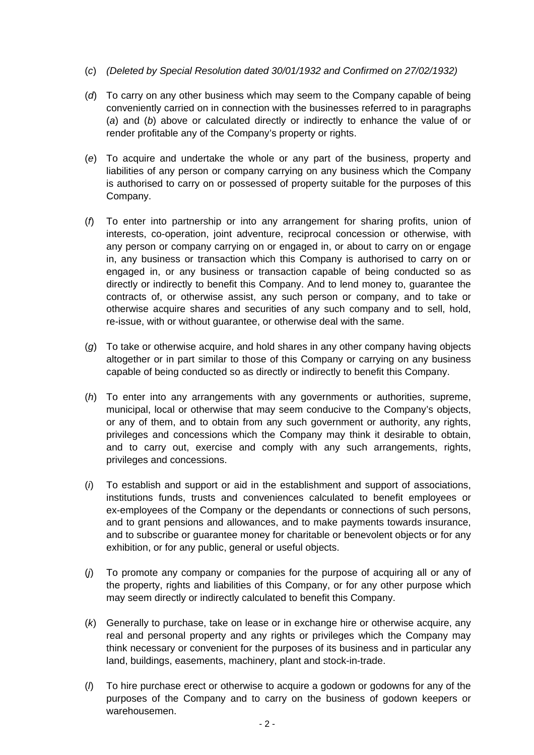- (*c*) *(Deleted by Special Resolution dated 30/01/1932 and Confirmed on 27/02/1932)*
- (*d*) To carry on any other business which may seem to the Company capable of being conveniently carried on in connection with the businesses referred to in paragraphs (*a*) and (*b*) above or calculated directly or indirectly to enhance the value of or render profitable any of the Company's property or rights.
- (*e*) To acquire and undertake the whole or any part of the business, property and liabilities of any person or company carrying on any business which the Company is authorised to carry on or possessed of property suitable for the purposes of this Company.
- (*f*) To enter into partnership or into any arrangement for sharing profits, union of interests, co-operation, joint adventure, reciprocal concession or otherwise, with any person or company carrying on or engaged in, or about to carry on or engage in, any business or transaction which this Company is authorised to carry on or engaged in, or any business or transaction capable of being conducted so as directly or indirectly to benefit this Company. And to lend money to, guarantee the contracts of, or otherwise assist, any such person or company, and to take or otherwise acquire shares and securities of any such company and to sell, hold, re-issue, with or without guarantee, or otherwise deal with the same.
- (*g*) To take or otherwise acquire, and hold shares in any other company having objects altogether or in part similar to those of this Company or carrying on any business capable of being conducted so as directly or indirectly to benefit this Company.
- (*h*) To enter into any arrangements with any governments or authorities, supreme, municipal, local or otherwise that may seem conducive to the Company's objects, or any of them, and to obtain from any such government or authority, any rights, privileges and concessions which the Company may think it desirable to obtain, and to carry out, exercise and comply with any such arrangements, rights, privileges and concessions.
- (*i*) To establish and support or aid in the establishment and support of associations, institutions funds, trusts and conveniences calculated to benefit employees or ex-employees of the Company or the dependants or connections of such persons, and to grant pensions and allowances, and to make payments towards insurance, and to subscribe or guarantee money for charitable or benevolent objects or for any exhibition, or for any public, general or useful objects.
- (*j*) To promote any company or companies for the purpose of acquiring all or any of the property, rights and liabilities of this Company, or for any other purpose which may seem directly or indirectly calculated to benefit this Company.
- (*k*) Generally to purchase, take on lease or in exchange hire or otherwise acquire, any real and personal property and any rights or privileges which the Company may think necessary or convenient for the purposes of its business and in particular any land, buildings, easements, machinery, plant and stock-in-trade.
- (*l*) To hire purchase erect or otherwise to acquire a godown or godowns for any of the purposes of the Company and to carry on the business of godown keepers or warehousemen.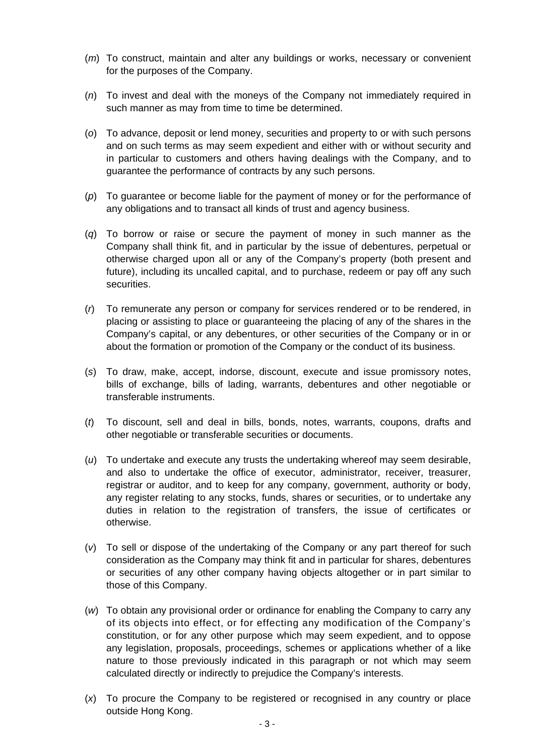- (*m*) To construct, maintain and alter any buildings or works, necessary or convenient for the purposes of the Company.
- (*n*) To invest and deal with the moneys of the Company not immediately required in such manner as may from time to time be determined.
- (*o*) To advance, deposit or lend money, securities and property to or with such persons and on such terms as may seem expedient and either with or without security and in particular to customers and others having dealings with the Company, and to guarantee the performance of contracts by any such persons.
- (*p*) To guarantee or become liable for the payment of money or for the performance of any obligations and to transact all kinds of trust and agency business.
- (*q*) To borrow or raise or secure the payment of money in such manner as the Company shall think fit, and in particular by the issue of debentures, perpetual or otherwise charged upon all or any of the Company's property (both present and future), including its uncalled capital, and to purchase, redeem or pay off any such securities.
- (*r*) To remunerate any person or company for services rendered or to be rendered, in placing or assisting to place or guaranteeing the placing of any of the shares in the Company's capital, or any debentures, or other securities of the Company or in or about the formation or promotion of the Company or the conduct of its business.
- (*s*) To draw, make, accept, indorse, discount, execute and issue promissory notes, bills of exchange, bills of lading, warrants, debentures and other negotiable or transferable instruments.
- (*t*) To discount, sell and deal in bills, bonds, notes, warrants, coupons, drafts and other negotiable or transferable securities or documents.
- (*u*) To undertake and execute any trusts the undertaking whereof may seem desirable, and also to undertake the office of executor, administrator, receiver, treasurer, registrar or auditor, and to keep for any company, government, authority or body, any register relating to any stocks, funds, shares or securities, or to undertake any duties in relation to the registration of transfers, the issue of certificates or otherwise.
- (*v*) To sell or dispose of the undertaking of the Company or any part thereof for such consideration as the Company may think fit and in particular for shares, debentures or securities of any other company having objects altogether or in part similar to those of this Company.
- (*w*) To obtain any provisional order or ordinance for enabling the Company to carry any of its objects into effect, or for effecting any modification of the Company's constitution, or for any other purpose which may seem expedient, and to oppose any legislation, proposals, proceedings, schemes or applications whether of a like nature to those previously indicated in this paragraph or not which may seem calculated directly or indirectly to prejudice the Company's interests.
- (*x*) To procure the Company to be registered or recognised in any country or place outside Hong Kong.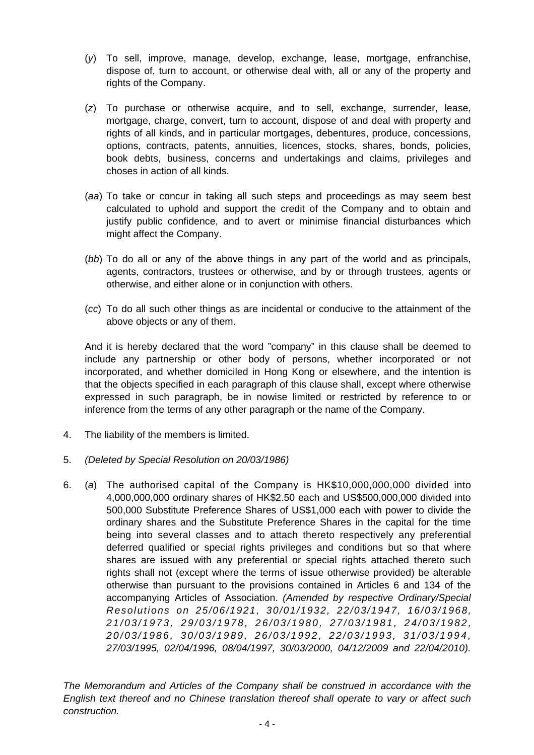- (*y*) To sell, improve, manage, develop, exchange, lease, mortgage, enfranchise, dispose of, turn to account, or otherwise deal with, all or any of the property and rights of the Company.
- (*z*) To purchase or otherwise acquire, and to sell, exchange, surrender, lease, mortgage, charge, convert, turn to account, dispose of and deal with property and rights of all kinds, and in particular mortgages, debentures, produce, concessions, options, contracts, patents, annuities, licences, stocks, shares, bonds, policies, book debts, business, concerns and undertakings and claims, privileges and choses in action of all kinds.
- (*aa*) To take or concur in taking all such steps and proceedings as may seem best calculated to uphold and support the credit of the Company and to obtain and justify public confidence, and to avert or minimise financial disturbances which might affect the Company.
- (*bb*) To do all or any of the above things in any part of the world and as principals, agents, contractors, trustees or otherwise, and by or through trustees, agents or otherwise, and either alone or in conjunction with others.
- (*cc*) To do all such other things as are incidental or conducive to the attainment of the above objects or any of them.

 And it is hereby declared that the word "company" in this clause shall be deemed to include any partnership or other body of persons, whether incorporated or not incorporated, and whether domiciled in Hong Kong or elsewhere, and the intention is that the objects specified in each paragraph of this clause shall, except where otherwise expressed in such paragraph, be in nowise limited or restricted by reference to or inference from the terms of any other paragraph or the name of the Company.

- 4. The liability of the members is limited.
- 5. *(Deleted by Special Resolution on 20/03/1986)*
- 6. (*a*) The authorised capital of the Company is HK\$10,000,000,000 divided into 4,000,000,000 ordinary shares of HK\$2.50 each and US\$500,000,000 divided into 500,000 Substitute Preference Shares of US\$1,000 each with power to divide the ordinary shares and the Substitute Preference Shares in the capital for the time being into several classes and to attach thereto respectively any preferential deferred qualified or special rights privileges and conditions but so that where shares are issued with any preferential or special rights attached thereto such rights shall not (except where the terms of issue otherwise provided) be alterable otherwise than pursuant to the provisions contained in Articles 6 and 134 of the accompanying Articles of Association. *(Amended by respective Ordinary/Special Resolutions on 25/06/1921, 30/01/1932, 22/03/1947, 16/03/1968, 2 1 / 0 3 / 1 9 7 3 , 2 9 / 0 3 / 1 9 7 8 , 2 6 / 0 3 / 1 9 8 0 , 2 7 / 0 3 / 1 9 8 1 , 2 4 / 0 3 / 1 9 8 2 , 20/03/1986, 30/03/1989, 26/03/1992, 22/03/1993, 31 /03/ 1994 , 27/03/1995, 02/04/1996, 08/04/1997, 30/03/2000, 04/12/2009 and 22/04/2010).*

*The Memorandum and Articles of the Company shall be construed in accordance with the English text thereof and no Chinese translation thereof shall operate to vary or affect such construction.*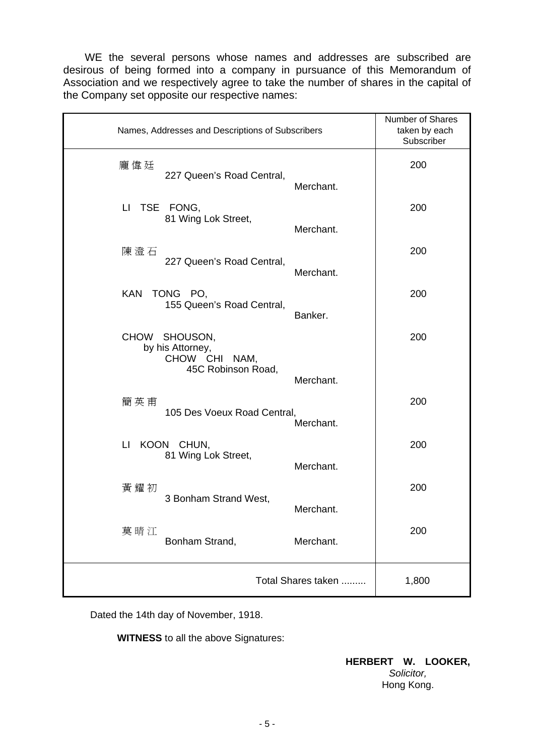WE the several persons whose names and addresses are subscribed are desirous of being formed into a company in pursuance of this Memorandum of Association and we respectively agree to take the number of shares in the capital of the Company set opposite our respective names:

| Names, Addresses and Descriptions of Subscribers                 | Number of Shares<br>taken by each<br>Subscriber |
|------------------------------------------------------------------|-------------------------------------------------|
| 龐偉廷<br>227 Queen's Road Central,<br>Merchant.                    | 200                                             |
| LI TSE FONG,<br>81 Wing Lok Street,                              | 200                                             |
| Merchant.<br>陳澄石<br>227 Queen's Road Central,                    | 200                                             |
| Merchant.<br><b>KAN</b><br>TONG PO,<br>155 Queen's Road Central, | 200                                             |
| Banker.<br><b>CHOW</b><br>SHOUSON,<br>by his Attorney,           | 200                                             |
| CHOW CHI NAM,<br>45C Robinson Road,<br>Merchant.                 |                                                 |
| 簡英甫<br>105 Des Voeux Road Central,<br>Merchant.                  | 200                                             |
| П<br>KOON CHUN,<br>81 Wing Lok Street,<br>Merchant.              | 200                                             |
| 黃耀初<br>3 Bonham Strand West,<br>Merchant.                        | 200                                             |
| 莫晴江<br>Bonham Strand,<br>Merchant.                               | 200                                             |
| Total Shares taken                                               | 1,800                                           |

Dated the 14th day of November, 1918.

 **WITNESS** to all the above Signatures:

#### **HERBERT W. LOOKER,**  *Solicitor,* Hong Kong.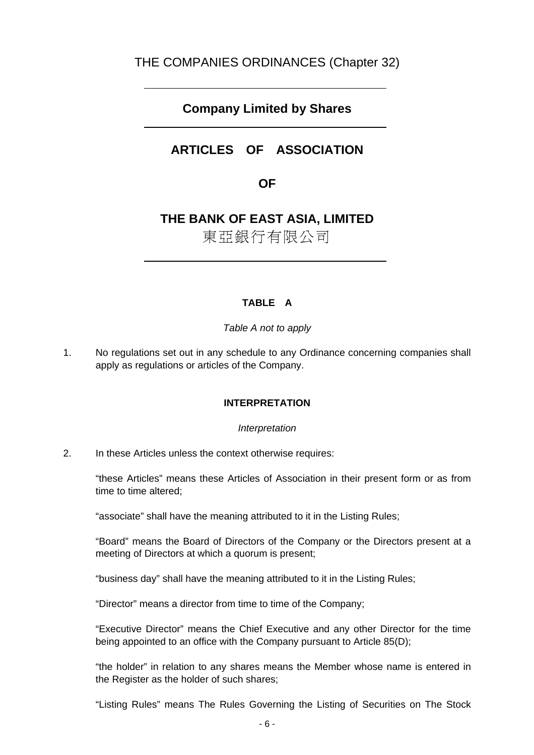# THE COMPANIES ORDINANCES (Chapter 32)

# **Company Limited by Shares**

# **ARTICLES OF ASSOCIATION**

# **OF**

# **THE BANK OF EAST ASIA, LIMITED**

東亞銀行有限公司

# **TABLE A**

*Table A not to apply* 

1. No regulations set out in any schedule to any Ordinance concerning companies shall apply as regulations or articles of the Company.

#### **INTERPRETATION**

#### *Interpretation*

2. In these Articles unless the context otherwise requires:

 "these Articles" means these Articles of Association in their present form or as from time to time altered;

"associate" shall have the meaning attributed to it in the Listing Rules;

 "Board" means the Board of Directors of the Company or the Directors present at a meeting of Directors at which a quorum is present;

"business day" shall have the meaning attributed to it in the Listing Rules;

"Director" means a director from time to time of the Company;

 "Executive Director" means the Chief Executive and any other Director for the time being appointed to an office with the Company pursuant to Article 85(D);

 "the holder" in relation to any shares means the Member whose name is entered in the Register as the holder of such shares;

"Listing Rules" means The Rules Governing the Listing of Securities on The Stock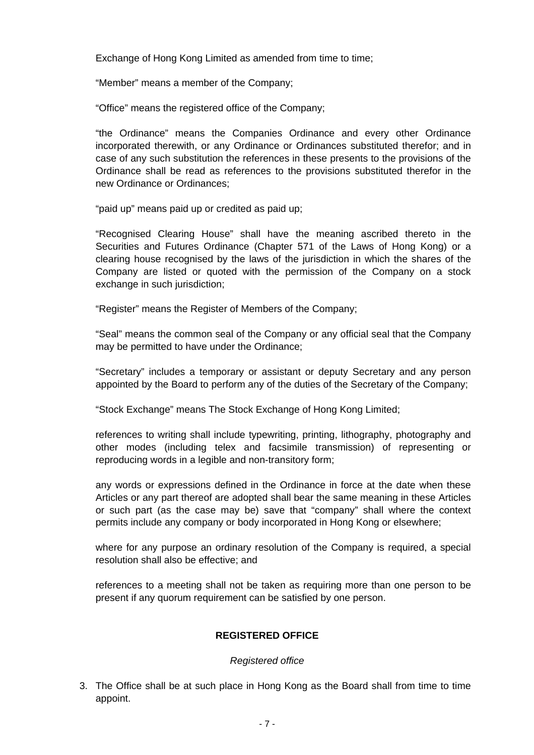Exchange of Hong Kong Limited as amended from time to time:

"Member" means a member of the Company;

"Office" means the registered office of the Company;

 "the Ordinance" means the Companies Ordinance and every other Ordinance incorporated therewith, or any Ordinance or Ordinances substituted therefor; and in case of any such substitution the references in these presents to the provisions of the Ordinance shall be read as references to the provisions substituted therefor in the new Ordinance or Ordinances;

"paid up" means paid up or credited as paid up;

 "Recognised Clearing House" shall have the meaning ascribed thereto in the Securities and Futures Ordinance (Chapter 571 of the Laws of Hong Kong) or a clearing house recognised by the laws of the jurisdiction in which the shares of the Company are listed or quoted with the permission of the Company on a stock exchange in such jurisdiction;

"Register" means the Register of Members of the Company;

 "Seal" means the common seal of the Company or any official seal that the Company may be permitted to have under the Ordinance;

 "Secretary" includes a temporary or assistant or deputy Secretary and any person appointed by the Board to perform any of the duties of the Secretary of the Company;

"Stock Exchange" means The Stock Exchange of Hong Kong Limited;

 references to writing shall include typewriting, printing, lithography, photography and other modes (including telex and facsimile transmission) of representing or reproducing words in a legible and non-transitory form;

 any words or expressions defined in the Ordinance in force at the date when these Articles or any part thereof are adopted shall bear the same meaning in these Articles or such part (as the case may be) save that "company" shall where the context permits include any company or body incorporated in Hong Kong or elsewhere;

 where for any purpose an ordinary resolution of the Company is required, a special resolution shall also be effective; and

 references to a meeting shall not be taken as requiring more than one person to be present if any quorum requirement can be satisfied by one person.

#### **REGISTERED OFFICE**

#### *Registered office*

3. The Office shall be at such place in Hong Kong as the Board shall from time to time appoint.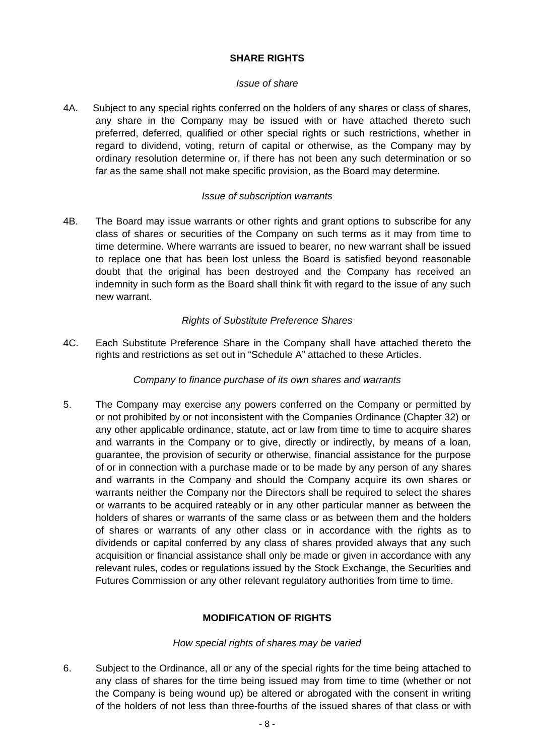# **SHARE RIGHTS**

#### *Issue of share*

4A. Subject to any special rights conferred on the holders of any shares or class of shares, any share in the Company may be issued with or have attached thereto such preferred, deferred, qualified or other special rights or such restrictions, whether in regard to dividend, voting, return of capital or otherwise, as the Company may by ordinary resolution determine or, if there has not been any such determination or so far as the same shall not make specific provision, as the Board may determine.

#### *Issue of subscription warrants*

4B. The Board may issue warrants or other rights and grant options to subscribe for any class of shares or securities of the Company on such terms as it may from time to time determine. Where warrants are issued to bearer, no new warrant shall be issued to replace one that has been lost unless the Board is satisfied beyond reasonable doubt that the original has been destroyed and the Company has received an indemnity in such form as the Board shall think fit with regard to the issue of any such new warrant.

# *Rights of Substitute Preference Shares*

4C. Each Substitute Preference Share in the Company shall have attached thereto the rights and restrictions as set out in "Schedule A" attached to these Articles.

## *Company to finance purchase of its own shares and warrants*

5. The Company may exercise any powers conferred on the Company or permitted by or not prohibited by or not inconsistent with the Companies Ordinance (Chapter 32) or any other applicable ordinance, statute, act or law from time to time to acquire shares and warrants in the Company or to give, directly or indirectly, by means of a loan, guarantee, the provision of security or otherwise, financial assistance for the purpose of or in connection with a purchase made or to be made by any person of any shares and warrants in the Company and should the Company acquire its own shares or warrants neither the Company nor the Directors shall be required to select the shares or warrants to be acquired rateably or in any other particular manner as between the holders of shares or warrants of the same class or as between them and the holders of shares or warrants of any other class or in accordance with the rights as to dividends or capital conferred by any class of shares provided always that any such acquisition or financial assistance shall only be made or given in accordance with any relevant rules, codes or regulations issued by the Stock Exchange, the Securities and Futures Commission or any other relevant regulatory authorities from time to time.

# **MODIFICATION OF RIGHTS**

#### *How special rights of shares may be varied*

6. Subject to the Ordinance, all or any of the special rights for the time being attached to any class of shares for the time being issued may from time to time (whether or not the Company is being wound up) be altered or abrogated with the consent in writing of the holders of not less than three-fourths of the issued shares of that class or with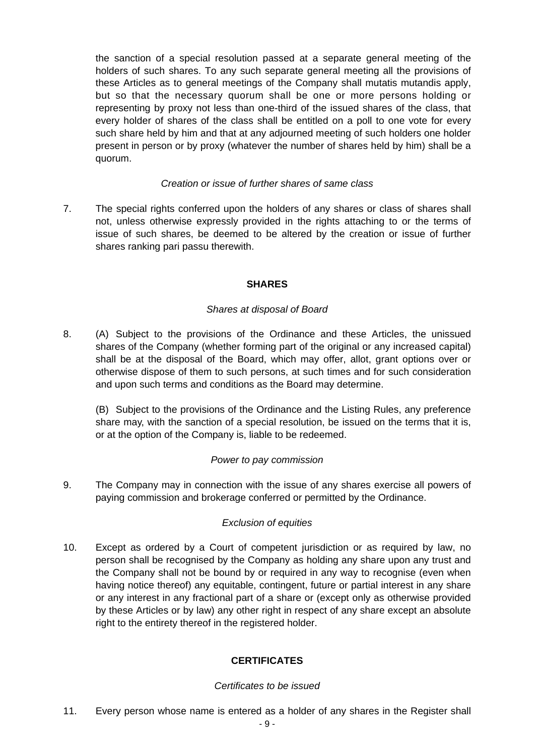the sanction of a special resolution passed at a separate general meeting of the holders of such shares. To any such separate general meeting all the provisions of these Articles as to general meetings of the Company shall mutatis mutandis apply, but so that the necessary quorum shall be one or more persons holding or representing by proxy not less than one-third of the issued shares of the class, that every holder of shares of the class shall be entitled on a poll to one vote for every such share held by him and that at any adjourned meeting of such holders one holder present in person or by proxy (whatever the number of shares held by him) shall be a quorum.

#### *Creation or issue of further shares of same class*

7. The special rights conferred upon the holders of any shares or class of shares shall not, unless otherwise expressly provided in the rights attaching to or the terms of issue of such shares, be deemed to be altered by the creation or issue of further shares ranking pari passu therewith.

# **SHARES**

#### *Shares at disposal of Board*

8. (A) Subject to the provisions of the Ordinance and these Articles, the unissued shares of the Company (whether forming part of the original or any increased capital) shall be at the disposal of the Board, which may offer, allot, grant options over or otherwise dispose of them to such persons, at such times and for such consideration and upon such terms and conditions as the Board may determine.

(B) Subject to the provisions of the Ordinance and the Listing Rules, any preference share may, with the sanction of a special resolution, be issued on the terms that it is, or at the option of the Company is, liable to be redeemed.

#### *Power to pay commission*

9. The Company may in connection with the issue of any shares exercise all powers of paying commission and brokerage conferred or permitted by the Ordinance.

# *Exclusion of equities*

10. Except as ordered by a Court of competent jurisdiction or as required by law, no person shall be recognised by the Company as holding any share upon any trust and the Company shall not be bound by or required in any way to recognise (even when having notice thereof) any equitable, contingent, future or partial interest in any share or any interest in any fractional part of a share or (except only as otherwise provided by these Articles or by law) any other right in respect of any share except an absolute right to the entirety thereof in the registered holder.

#### **CERTIFICATES**

#### *Certificates to be issued*

11. Every person whose name is entered as a holder of any shares in the Register shall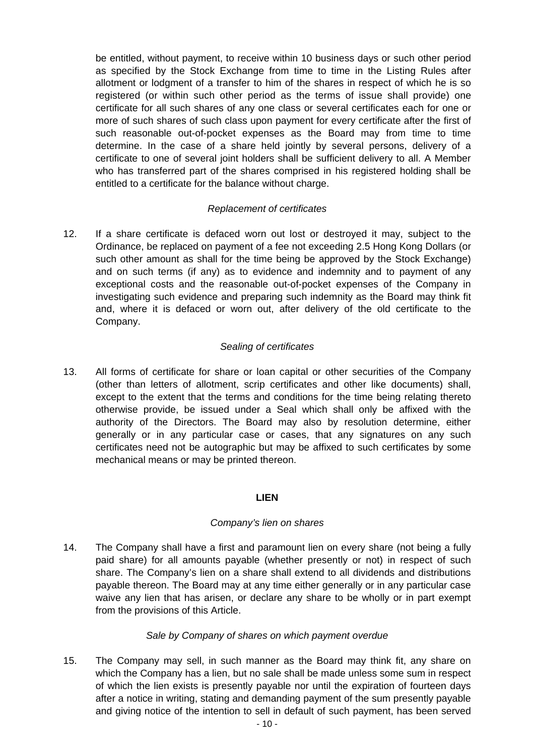be entitled, without payment, to receive within 10 business days or such other period as specified by the Stock Exchange from time to time in the Listing Rules after allotment or lodgment of a transfer to him of the shares in respect of which he is so registered (or within such other period as the terms of issue shall provide) one certificate for all such shares of any one class or several certificates each for one or more of such shares of such class upon payment for every certificate after the first of such reasonable out-of-pocket expenses as the Board may from time to time determine. In the case of a share held jointly by several persons, delivery of a certificate to one of several joint holders shall be sufficient delivery to all. A Member who has transferred part of the shares comprised in his registered holding shall be entitled to a certificate for the balance without charge.

#### *Replacement of certificates*

12. If a share certificate is defaced worn out lost or destroyed it may, subject to the Ordinance, be replaced on payment of a fee not exceeding 2.5 Hong Kong Dollars (or such other amount as shall for the time being be approved by the Stock Exchange) and on such terms (if any) as to evidence and indemnity and to payment of any exceptional costs and the reasonable out-of-pocket expenses of the Company in investigating such evidence and preparing such indemnity as the Board may think fit and, where it is defaced or worn out, after delivery of the old certificate to the Company.

# *Sealing of certificates*

13. All forms of certificate for share or loan capital or other securities of the Company (other than letters of allotment, scrip certificates and other like documents) shall, except to the extent that the terms and conditions for the time being relating thereto otherwise provide, be issued under a Seal which shall only be affixed with the authority of the Directors. The Board may also by resolution determine, either generally or in any particular case or cases, that any signatures on any such certificates need not be autographic but may be affixed to such certificates by some mechanical means or may be printed thereon.

#### **LIEN**

#### *Company's lien on shares*

14. The Company shall have a first and paramount lien on every share (not being a fully paid share) for all amounts payable (whether presently or not) in respect of such share. The Company's lien on a share shall extend to all dividends and distributions payable thereon. The Board may at any time either generally or in any particular case waive any lien that has arisen, or declare any share to be wholly or in part exempt from the provisions of this Article.

# *Sale by Company of shares on which payment overdue*

15. The Company may sell, in such manner as the Board may think fit, any share on which the Company has a lien, but no sale shall be made unless some sum in respect of which the lien exists is presently payable nor until the expiration of fourteen days after a notice in writing, stating and demanding payment of the sum presently payable and giving notice of the intention to sell in default of such payment, has been served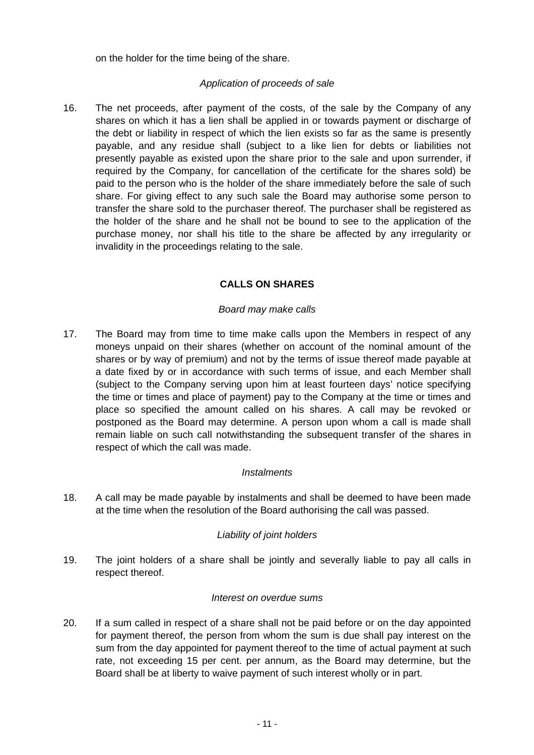on the holder for the time being of the share.

#### *Application of proceeds of sale*

16. The net proceeds, after payment of the costs, of the sale by the Company of any shares on which it has a lien shall be applied in or towards payment or discharge of the debt or liability in respect of which the lien exists so far as the same is presently payable, and any residue shall (subject to a like lien for debts or liabilities not presently payable as existed upon the share prior to the sale and upon surrender, if required by the Company, for cancellation of the certificate for the shares sold) be paid to the person who is the holder of the share immediately before the sale of such share. For giving effect to any such sale the Board may authorise some person to transfer the share sold to the purchaser thereof. The purchaser shall be registered as the holder of the share and he shall not be bound to see to the application of the purchase money, nor shall his title to the share be affected by any irregularity or invalidity in the proceedings relating to the sale.

#### **CALLS ON SHARES**

#### *Board may make calls*

17. The Board may from time to time make calls upon the Members in respect of any moneys unpaid on their shares (whether on account of the nominal amount of the shares or by way of premium) and not by the terms of issue thereof made payable at a date fixed by or in accordance with such terms of issue, and each Member shall (subject to the Company serving upon him at least fourteen days' notice specifying the time or times and place of payment) pay to the Company at the time or times and place so specified the amount called on his shares. A call may be revoked or postponed as the Board may determine. A person upon whom a call is made shall remain liable on such call notwithstanding the subsequent transfer of the shares in respect of which the call was made.

#### *Instalments*

18. A call may be made payable by instalments and shall be deemed to have been made at the time when the resolution of the Board authorising the call was passed.

#### *Liability of joint holders*

19. The joint holders of a share shall be jointly and severally liable to pay all calls in respect thereof.

#### *Interest on overdue sums*

20. If a sum called in respect of a share shall not be paid before or on the day appointed for payment thereof, the person from whom the sum is due shall pay interest on the sum from the day appointed for payment thereof to the time of actual payment at such rate, not exceeding 15 per cent. per annum, as the Board may determine, but the Board shall be at liberty to waive payment of such interest wholly or in part.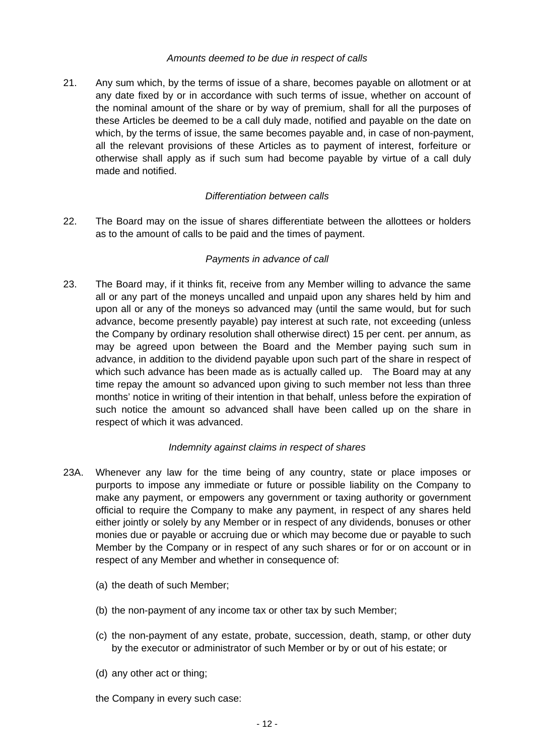#### *Amounts deemed to be due in respect of calls*

21. Any sum which, by the terms of issue of a share, becomes payable on allotment or at any date fixed by or in accordance with such terms of issue, whether on account of the nominal amount of the share or by way of premium, shall for all the purposes of these Articles be deemed to be a call duly made, notified and payable on the date on which, by the terms of issue, the same becomes payable and, in case of non-payment, all the relevant provisions of these Articles as to payment of interest, forfeiture or otherwise shall apply as if such sum had become payable by virtue of a call duly made and notified.

#### *Differentiation between calls*

22. The Board may on the issue of shares differentiate between the allottees or holders as to the amount of calls to be paid and the times of payment.

# *Payments in advance of call*

23. The Board may, if it thinks fit, receive from any Member willing to advance the same all or any part of the moneys uncalled and unpaid upon any shares held by him and upon all or any of the moneys so advanced may (until the same would, but for such advance, become presently payable) pay interest at such rate, not exceeding (unless the Company by ordinary resolution shall otherwise direct) 15 per cent. per annum, as may be agreed upon between the Board and the Member paying such sum in advance, in addition to the dividend payable upon such part of the share in respect of which such advance has been made as is actually called up. The Board may at any time repay the amount so advanced upon giving to such member not less than three months' notice in writing of their intention in that behalf, unless before the expiration of such notice the amount so advanced shall have been called up on the share in respect of which it was advanced.

#### *Indemnity against claims in respect of shares*

- 23A. Whenever any law for the time being of any country, state or place imposes or purports to impose any immediate or future or possible liability on the Company to make any payment, or empowers any government or taxing authority or government official to require the Company to make any payment, in respect of any shares held either jointly or solely by any Member or in respect of any dividends, bonuses or other monies due or payable or accruing due or which may become due or payable to such Member by the Company or in respect of any such shares or for or on account or in respect of any Member and whether in consequence of:
	- (a) the death of such Member;
	- (b) the non-payment of any income tax or other tax by such Member;
	- (c) the non-payment of any estate, probate, succession, death, stamp, or other duty by the executor or administrator of such Member or by or out of his estate; or
	- (d) any other act or thing;
	- the Company in every such case: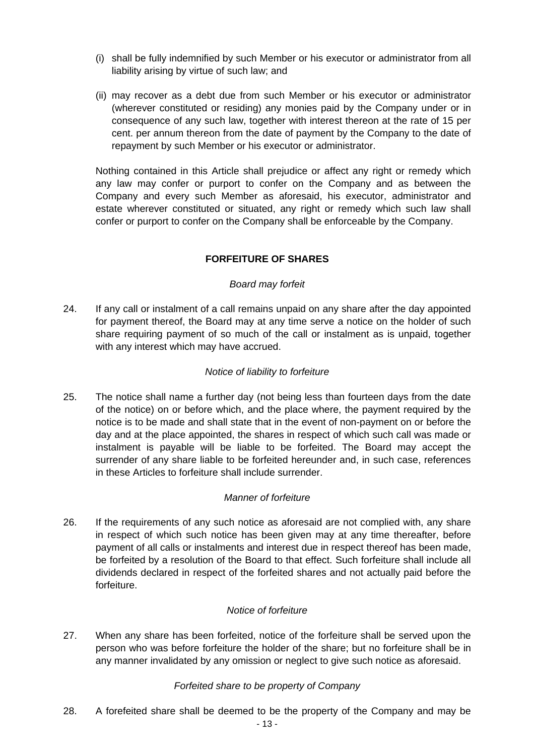- (i) shall be fully indemnified by such Member or his executor or administrator from all liability arising by virtue of such law; and
- (ii) may recover as a debt due from such Member or his executor or administrator (wherever constituted or residing) any monies paid by the Company under or in consequence of any such law, together with interest thereon at the rate of 15 per cent. per annum thereon from the date of payment by the Company to the date of repayment by such Member or his executor or administrator.

 Nothing contained in this Article shall prejudice or affect any right or remedy which any law may confer or purport to confer on the Company and as between the Company and every such Member as aforesaid, his executor, administrator and estate wherever constituted or situated, any right or remedy which such law shall confer or purport to confer on the Company shall be enforceable by the Company.

# **FORFEITURE OF SHARES**

#### *Board may forfeit*

24. If any call or instalment of a call remains unpaid on any share after the day appointed for payment thereof, the Board may at any time serve a notice on the holder of such share requiring payment of so much of the call or instalment as is unpaid, together with any interest which may have accrued.

## *Notice of liability to forfeiture*

25. The notice shall name a further day (not being less than fourteen days from the date of the notice) on or before which, and the place where, the payment required by the notice is to be made and shall state that in the event of non-payment on or before the day and at the place appointed, the shares in respect of which such call was made or instalment is payable will be liable to be forfeited. The Board may accept the surrender of any share liable to be forfeited hereunder and, in such case, references in these Articles to forfeiture shall include surrender.

# *Manner of forfeiture*

26. If the requirements of any such notice as aforesaid are not complied with, any share in respect of which such notice has been given may at any time thereafter, before payment of all calls or instalments and interest due in respect thereof has been made, be forfeited by a resolution of the Board to that effect. Such forfeiture shall include all dividends declared in respect of the forfeited shares and not actually paid before the forfeiture.

#### *Notice of forfeiture*

27. When any share has been forfeited, notice of the forfeiture shall be served upon the person who was before forfeiture the holder of the share; but no forfeiture shall be in any manner invalidated by any omission or neglect to give such notice as aforesaid.

#### *Forfeited share to be property of Company*

28. A forefeited share shall be deemed to be the property of the Company and may be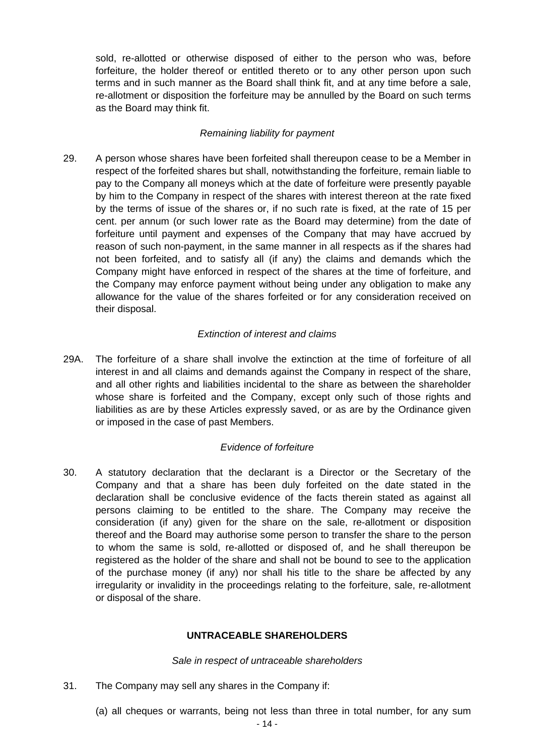sold, re-allotted or otherwise disposed of either to the person who was, before forfeiture, the holder thereof or entitled thereto or to any other person upon such terms and in such manner as the Board shall think fit, and at any time before a sale, re-allotment or disposition the forfeiture may be annulled by the Board on such terms as the Board may think fit.

#### *Remaining liability for payment*

29. A person whose shares have been forfeited shall thereupon cease to be a Member in respect of the forfeited shares but shall, notwithstanding the forfeiture, remain liable to pay to the Company all moneys which at the date of forfeiture were presently payable by him to the Company in respect of the shares with interest thereon at the rate fixed by the terms of issue of the shares or, if no such rate is fixed, at the rate of 15 per cent. per annum (or such lower rate as the Board may determine) from the date of forfeiture until payment and expenses of the Company that may have accrued by reason of such non-payment, in the same manner in all respects as if the shares had not been forfeited, and to satisfy all (if any) the claims and demands which the Company might have enforced in respect of the shares at the time of forfeiture, and the Company may enforce payment without being under any obligation to make any allowance for the value of the shares forfeited or for any consideration received on their disposal.

#### *Extinction of interest and claims*

29A. The forfeiture of a share shall involve the extinction at the time of forfeiture of all interest in and all claims and demands against the Company in respect of the share, and all other rights and liabilities incidental to the share as between the shareholder whose share is forfeited and the Company, except only such of those rights and liabilities as are by these Articles expressly saved, or as are by the Ordinance given or imposed in the case of past Members.

#### *Evidence of forfeiture*

30. A statutory declaration that the declarant is a Director or the Secretary of the Company and that a share has been duly forfeited on the date stated in the declaration shall be conclusive evidence of the facts therein stated as against all persons claiming to be entitled to the share. The Company may receive the consideration (if any) given for the share on the sale, re-allotment or disposition thereof and the Board may authorise some person to transfer the share to the person to whom the same is sold, re-allotted or disposed of, and he shall thereupon be registered as the holder of the share and shall not be bound to see to the application of the purchase money (if any) nor shall his title to the share be affected by any irregularity or invalidity in the proceedings relating to the forfeiture, sale, re-allotment or disposal of the share.

# **UNTRACEABLE SHAREHOLDERS**

#### *Sale in respect of untraceable shareholders*

- 31. The Company may sell any shares in the Company if:
	- (a) all cheques or warrants, being not less than three in total number, for any sum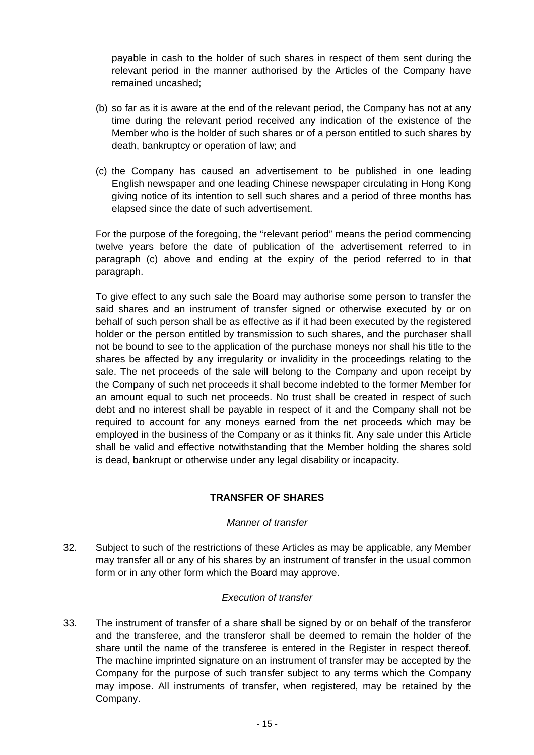payable in cash to the holder of such shares in respect of them sent during the relevant period in the manner authorised by the Articles of the Company have remained uncashed;

- (b) so far as it is aware at the end of the relevant period, the Company has not at any time during the relevant period received any indication of the existence of the Member who is the holder of such shares or of a person entitled to such shares by death, bankruptcy or operation of law; and
- (c) the Company has caused an advertisement to be published in one leading English newspaper and one leading Chinese newspaper circulating in Hong Kong giving notice of its intention to sell such shares and a period of three months has elapsed since the date of such advertisement.

 For the purpose of the foregoing, the "relevant period" means the period commencing twelve years before the date of publication of the advertisement referred to in paragraph (c) above and ending at the expiry of the period referred to in that paragraph.

 To give effect to any such sale the Board may authorise some person to transfer the said shares and an instrument of transfer signed or otherwise executed by or on behalf of such person shall be as effective as if it had been executed by the registered holder or the person entitled by transmission to such shares, and the purchaser shall not be bound to see to the application of the purchase moneys nor shall his title to the shares be affected by any irregularity or invalidity in the proceedings relating to the sale. The net proceeds of the sale will belong to the Company and upon receipt by the Company of such net proceeds it shall become indebted to the former Member for an amount equal to such net proceeds. No trust shall be created in respect of such debt and no interest shall be payable in respect of it and the Company shall not be required to account for any moneys earned from the net proceeds which may be employed in the business of the Company or as it thinks fit. Any sale under this Article shall be valid and effective notwithstanding that the Member holding the shares sold is dead, bankrupt or otherwise under any legal disability or incapacity.

#### **TRANSFER OF SHARES**

#### *Manner of transfer*

32. Subject to such of the restrictions of these Articles as may be applicable, any Member may transfer all or any of his shares by an instrument of transfer in the usual common form or in any other form which the Board may approve.

#### *Execution of transfer*

33. The instrument of transfer of a share shall be signed by or on behalf of the transferor and the transferee, and the transferor shall be deemed to remain the holder of the share until the name of the transferee is entered in the Register in respect thereof. The machine imprinted signature on an instrument of transfer may be accepted by the Company for the purpose of such transfer subject to any terms which the Company may impose. All instruments of transfer, when registered, may be retained by the Company.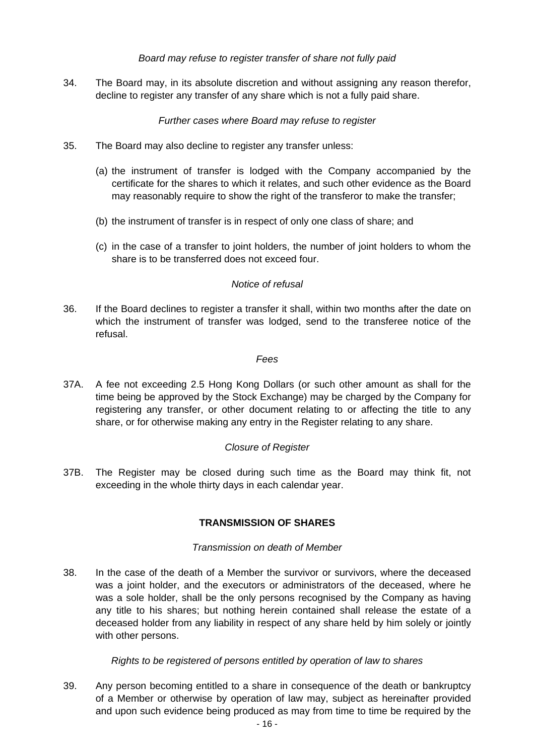#### *Board may refuse to register transfer of share not fully paid*

34. The Board may, in its absolute discretion and without assigning any reason therefor, decline to register any transfer of any share which is not a fully paid share.

#### *Further cases where Board may refuse to register*

- 35. The Board may also decline to register any transfer unless:
	- (a) the instrument of transfer is lodged with the Company accompanied by the certificate for the shares to which it relates, and such other evidence as the Board may reasonably require to show the right of the transferor to make the transfer;
	- (b) the instrument of transfer is in respect of only one class of share; and
	- (c) in the case of a transfer to joint holders, the number of joint holders to whom the share is to be transferred does not exceed four.

#### *Notice of refusal*

36. If the Board declines to register a transfer it shall, within two months after the date on which the instrument of transfer was lodged, send to the transferee notice of the refusal.

#### *Fees*

37A. A fee not exceeding 2.5 Hong Kong Dollars (or such other amount as shall for the time being be approved by the Stock Exchange) may be charged by the Company for registering any transfer, or other document relating to or affecting the title to any share, or for otherwise making any entry in the Register relating to any share.

#### *Closure of Register*

37B. The Register may be closed during such time as the Board may think fit, not exceeding in the whole thirty days in each calendar year.

# **TRANSMISSION OF SHARES**

#### *Transmission on death of Member*

38. In the case of the death of a Member the survivor or survivors, where the deceased was a joint holder, and the executors or administrators of the deceased, where he was a sole holder, shall be the only persons recognised by the Company as having any title to his shares; but nothing herein contained shall release the estate of a deceased holder from any liability in respect of any share held by him solely or jointly with other persons.

#### *Rights to be registered of persons entitled by operation of law to shares*

39. Any person becoming entitled to a share in consequence of the death or bankruptcy of a Member or otherwise by operation of law may, subject as hereinafter provided and upon such evidence being produced as may from time to time be required by the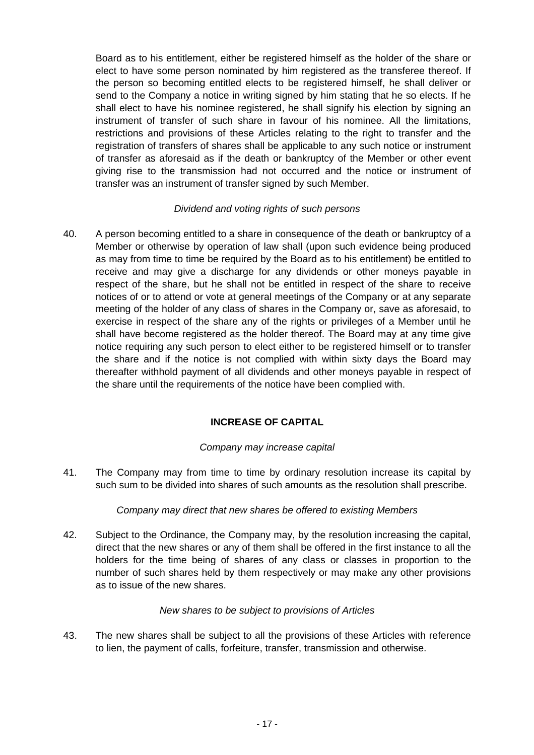Board as to his entitlement, either be registered himself as the holder of the share or elect to have some person nominated by him registered as the transferee thereof. If the person so becoming entitled elects to be registered himself, he shall deliver or send to the Company a notice in writing signed by him stating that he so elects. If he shall elect to have his nominee registered, he shall signify his election by signing an instrument of transfer of such share in favour of his nominee. All the limitations, restrictions and provisions of these Articles relating to the right to transfer and the registration of transfers of shares shall be applicable to any such notice or instrument of transfer as aforesaid as if the death or bankruptcy of the Member or other event giving rise to the transmission had not occurred and the notice or instrument of transfer was an instrument of transfer signed by such Member.

#### *Dividend and voting rights of such persons*

40. A person becoming entitled to a share in consequence of the death or bankruptcy of a Member or otherwise by operation of law shall (upon such evidence being produced as may from time to time be required by the Board as to his entitlement) be entitled to receive and may give a discharge for any dividends or other moneys payable in respect of the share, but he shall not be entitled in respect of the share to receive notices of or to attend or vote at general meetings of the Company or at any separate meeting of the holder of any class of shares in the Company or, save as aforesaid, to exercise in respect of the share any of the rights or privileges of a Member until he shall have become registered as the holder thereof. The Board may at any time give notice requiring any such person to elect either to be registered himself or to transfer the share and if the notice is not complied with within sixty days the Board may thereafter withhold payment of all dividends and other moneys payable in respect of the share until the requirements of the notice have been complied with.

# **INCREASE OF CAPITAL**

# *Company may increase capital*

41. The Company may from time to time by ordinary resolution increase its capital by such sum to be divided into shares of such amounts as the resolution shall prescribe.

#### *Company may direct that new shares be offered to existing Members*

42. Subject to the Ordinance, the Company may, by the resolution increasing the capital, direct that the new shares or any of them shall be offered in the first instance to all the holders for the time being of shares of any class or classes in proportion to the number of such shares held by them respectively or may make any other provisions as to issue of the new shares.

#### *New shares to be subject to provisions of Articles*

43. The new shares shall be subject to all the provisions of these Articles with reference to lien, the payment of calls, forfeiture, transfer, transmission and otherwise.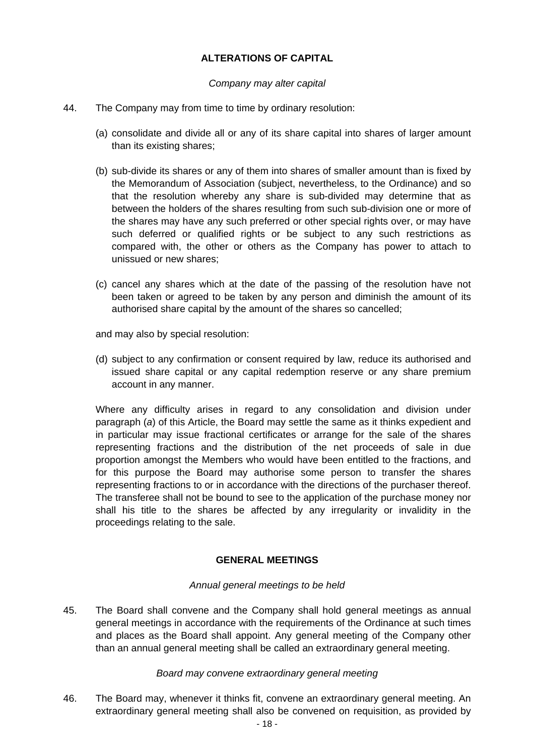# **ALTERATIONS OF CAPITAL**

#### *Company may alter capital*

- 44. The Company may from time to time by ordinary resolution:
	- (a) consolidate and divide all or any of its share capital into shares of larger amount than its existing shares;
	- (b) sub-divide its shares or any of them into shares of smaller amount than is fixed by the Memorandum of Association (subject, nevertheless, to the Ordinance) and so that the resolution whereby any share is sub-divided may determine that as between the holders of the shares resulting from such sub-division one or more of the shares may have any such preferred or other special rights over, or may have such deferred or qualified rights or be subject to any such restrictions as compared with, the other or others as the Company has power to attach to unissued or new shares;
	- (c) cancel any shares which at the date of the passing of the resolution have not been taken or agreed to be taken by any person and diminish the amount of its authorised share capital by the amount of the shares so cancelled;

and may also by special resolution:

 (d) subject to any confirmation or consent required by law, reduce its authorised and issued share capital or any capital redemption reserve or any share premium account in any manner.

 Where any difficulty arises in regard to any consolidation and division under paragraph (*a*) of this Article, the Board may settle the same as it thinks expedient and in particular may issue fractional certificates or arrange for the sale of the shares representing fractions and the distribution of the net proceeds of sale in due proportion amongst the Members who would have been entitled to the fractions, and for this purpose the Board may authorise some person to transfer the shares representing fractions to or in accordance with the directions of the purchaser thereof. The transferee shall not be bound to see to the application of the purchase money nor shall his title to the shares be affected by any irregularity or invalidity in the proceedings relating to the sale.

#### **GENERAL MEETINGS**

#### *Annual general meetings to be held*

45. The Board shall convene and the Company shall hold general meetings as annual general meetings in accordance with the requirements of the Ordinance at such times and places as the Board shall appoint. Any general meeting of the Company other than an annual general meeting shall be called an extraordinary general meeting.

#### *Board may convene extraordinary general meeting*

46. The Board may, whenever it thinks fit, convene an extraordinary general meeting. An extraordinary general meeting shall also be convened on requisition, as provided by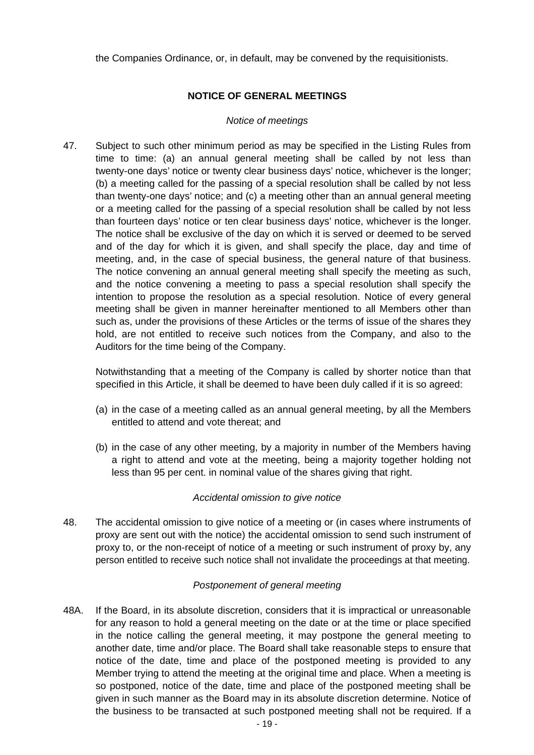the Companies Ordinance, or, in default, may be convened by the requisitionists.

#### **NOTICE OF GENERAL MEETINGS**

#### *Notice of meetings*

47. Subject to such other minimum period as may be specified in the Listing Rules from time to time: (a) an annual general meeting shall be called by not less than twenty-one days' notice or twenty clear business days' notice, whichever is the longer; (b) a meeting called for the passing of a special resolution shall be called by not less than twenty-one days' notice; and (c) a meeting other than an annual general meeting or a meeting called for the passing of a special resolution shall be called by not less than fourteen days' notice or ten clear business days' notice, whichever is the longer. The notice shall be exclusive of the day on which it is served or deemed to be served and of the day for which it is given, and shall specify the place, day and time of meeting, and, in the case of special business, the general nature of that business. The notice convening an annual general meeting shall specify the meeting as such, and the notice convening a meeting to pass a special resolution shall specify the intention to propose the resolution as a special resolution. Notice of every general meeting shall be given in manner hereinafter mentioned to all Members other than such as, under the provisions of these Articles or the terms of issue of the shares they hold, are not entitled to receive such notices from the Company, and also to the Auditors for the time being of the Company.

 Notwithstanding that a meeting of the Company is called by shorter notice than that specified in this Article, it shall be deemed to have been duly called if it is so agreed:

- (a) in the case of a meeting called as an annual general meeting, by all the Members entitled to attend and vote thereat; and
- (b) in the case of any other meeting, by a majority in number of the Members having a right to attend and vote at the meeting, being a majority together holding not less than 95 per cent. in nominal value of the shares giving that right.

# *Accidental omission to give notice*

48. The accidental omission to give notice of a meeting or (in cases where instruments of proxy are sent out with the notice) the accidental omission to send such instrument of proxy to, or the non-receipt of notice of a meeting or such instrument of proxy by, any person entitled to receive such notice shall not invalidate the proceedings at that meeting.

#### *Postponement of general meeting*

48A. If the Board, in its absolute discretion, considers that it is impractical or unreasonable for any reason to hold a general meeting on the date or at the time or place specified in the notice calling the general meeting, it may postpone the general meeting to another date, time and/or place. The Board shall take reasonable steps to ensure that notice of the date, time and place of the postponed meeting is provided to any Member trying to attend the meeting at the original time and place. When a meeting is so postponed, notice of the date, time and place of the postponed meeting shall be given in such manner as the Board may in its absolute discretion determine. Notice of the business to be transacted at such postponed meeting shall not be required. If a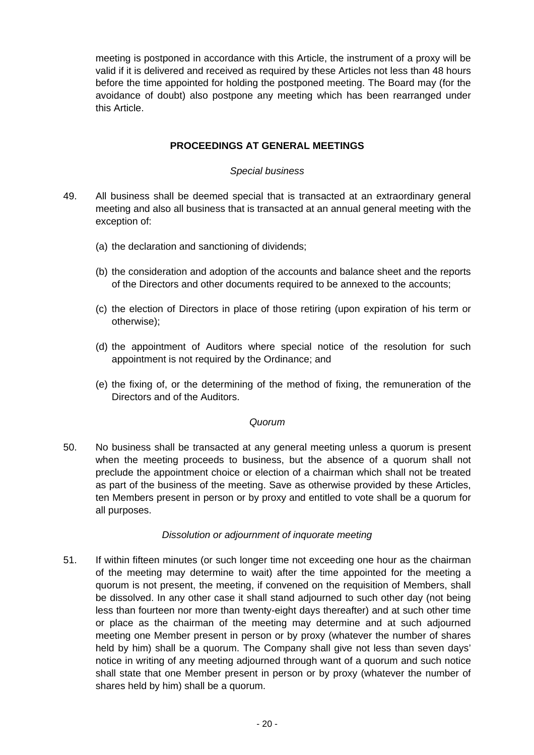meeting is postponed in accordance with this Article, the instrument of a proxy will be valid if it is delivered and received as required by these Articles not less than 48 hours before the time appointed for holding the postponed meeting. The Board may (for the avoidance of doubt) also postpone any meeting which has been rearranged under this Article.

## **PROCEEDINGS AT GENERAL MEETINGS**

#### *Special business*

- 49. All business shall be deemed special that is transacted at an extraordinary general meeting and also all business that is transacted at an annual general meeting with the exception of:
	- (a) the declaration and sanctioning of dividends;
	- (b) the consideration and adoption of the accounts and balance sheet and the reports of the Directors and other documents required to be annexed to the accounts;
	- (c) the election of Directors in place of those retiring (upon expiration of his term or otherwise);
	- (d) the appointment of Auditors where special notice of the resolution for such appointment is not required by the Ordinance; and
	- (e) the fixing of, or the determining of the method of fixing, the remuneration of the Directors and of the Auditors.

#### *Quorum*

50. No business shall be transacted at any general meeting unless a quorum is present when the meeting proceeds to business, but the absence of a quorum shall not preclude the appointment choice or election of a chairman which shall not be treated as part of the business of the meeting. Save as otherwise provided by these Articles, ten Members present in person or by proxy and entitled to vote shall be a quorum for all purposes.

#### *Dissolution or adjournment of inquorate meeting*

51. If within fifteen minutes (or such longer time not exceeding one hour as the chairman of the meeting may determine to wait) after the time appointed for the meeting a quorum is not present, the meeting, if convened on the requisition of Members, shall be dissolved. In any other case it shall stand adjourned to such other day (not being less than fourteen nor more than twenty-eight days thereafter) and at such other time or place as the chairman of the meeting may determine and at such adjourned meeting one Member present in person or by proxy (whatever the number of shares held by him) shall be a quorum. The Company shall give not less than seven days' notice in writing of any meeting adjourned through want of a quorum and such notice shall state that one Member present in person or by proxy (whatever the number of shares held by him) shall be a quorum.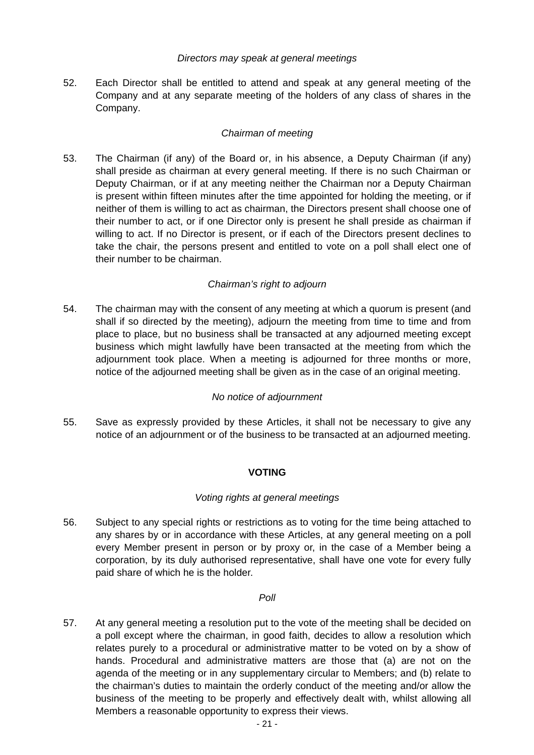#### *Directors may speak at general meetings*

52. Each Director shall be entitled to attend and speak at any general meeting of the Company and at any separate meeting of the holders of any class of shares in the Company.

# *Chairman of meeting*

53. The Chairman (if any) of the Board or, in his absence, a Deputy Chairman (if any) shall preside as chairman at every general meeting. If there is no such Chairman or Deputy Chairman, or if at any meeting neither the Chairman nor a Deputy Chairman is present within fifteen minutes after the time appointed for holding the meeting, or if neither of them is willing to act as chairman, the Directors present shall choose one of their number to act, or if one Director only is present he shall preside as chairman if willing to act. If no Director is present, or if each of the Directors present declines to take the chair, the persons present and entitled to vote on a poll shall elect one of their number to be chairman.

# *Chairman's right to adjourn*

54. The chairman may with the consent of any meeting at which a quorum is present (and shall if so directed by the meeting), adjourn the meeting from time to time and from place to place, but no business shall be transacted at any adjourned meeting except business which might lawfully have been transacted at the meeting from which the adjournment took place. When a meeting is adjourned for three months or more, notice of the adjourned meeting shall be given as in the case of an original meeting.

# *No notice of adjournment*

55. Save as expressly provided by these Articles, it shall not be necessary to give any notice of an adjournment or of the business to be transacted at an adjourned meeting.

# **VOTING**

# *Voting rights at general meetings*

56. Subject to any special rights or restrictions as to voting for the time being attached to any shares by or in accordance with these Articles, at any general meeting on a poll every Member present in person or by proxy or, in the case of a Member being a corporation, by its duly authorised representative, shall have one vote for every fully paid share of which he is the holder.

#### *Poll*

57. At any general meeting a resolution put to the vote of the meeting shall be decided on a poll except where the chairman, in good faith, decides to allow a resolution which relates purely to a procedural or administrative matter to be voted on by a show of hands. Procedural and administrative matters are those that (a) are not on the agenda of the meeting or in any supplementary circular to Members; and (b) relate to the chairman's duties to maintain the orderly conduct of the meeting and/or allow the business of the meeting to be properly and effectively dealt with, whilst allowing all Members a reasonable opportunity to express their views.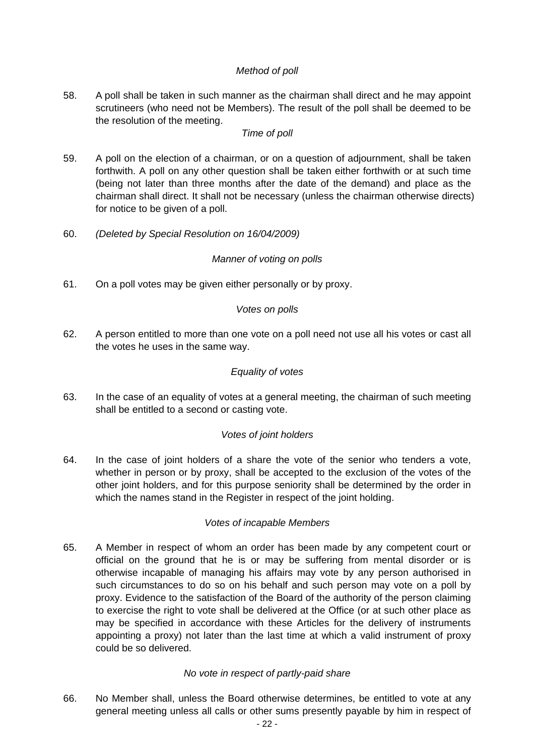# *Method of poll*

58. A poll shall be taken in such manner as the chairman shall direct and he may appoint scrutineers (who need not be Members). The result of the poll shall be deemed to be the resolution of the meeting.

# *Time of poll*

- 59. A poll on the election of a chairman, or on a question of adjournment, shall be taken forthwith. A poll on any other question shall be taken either forthwith or at such time (being not later than three months after the date of the demand) and place as the chairman shall direct. It shall not be necessary (unless the chairman otherwise directs) for notice to be given of a poll.
- 60. *(Deleted by Special Resolution on 16/04/2009)*

# *Manner of voting on polls*

61. On a poll votes may be given either personally or by proxy.

#### *Votes on polls*

62. A person entitled to more than one vote on a poll need not use all his votes or cast all the votes he uses in the same way.

## *Equality of votes*

63. In the case of an equality of votes at a general meeting, the chairman of such meeting shall be entitled to a second or casting vote.

#### *Votes of joint holders*

64. In the case of joint holders of a share the vote of the senior who tenders a vote, whether in person or by proxy, shall be accepted to the exclusion of the votes of the other joint holders, and for this purpose seniority shall be determined by the order in which the names stand in the Register in respect of the joint holding.

#### *Votes of incapable Members*

65. A Member in respect of whom an order has been made by any competent court or official on the ground that he is or may be suffering from mental disorder or is otherwise incapable of managing his affairs may vote by any person authorised in such circumstances to do so on his behalf and such person may vote on a poll by proxy. Evidence to the satisfaction of the Board of the authority of the person claiming to exercise the right to vote shall be delivered at the Office (or at such other place as may be specified in accordance with these Articles for the delivery of instruments appointing a proxy) not later than the last time at which a valid instrument of proxy could be so delivered.

#### *No vote in respect of partly-paid share*

66. No Member shall, unless the Board otherwise determines, be entitled to vote at any general meeting unless all calls or other sums presently payable by him in respect of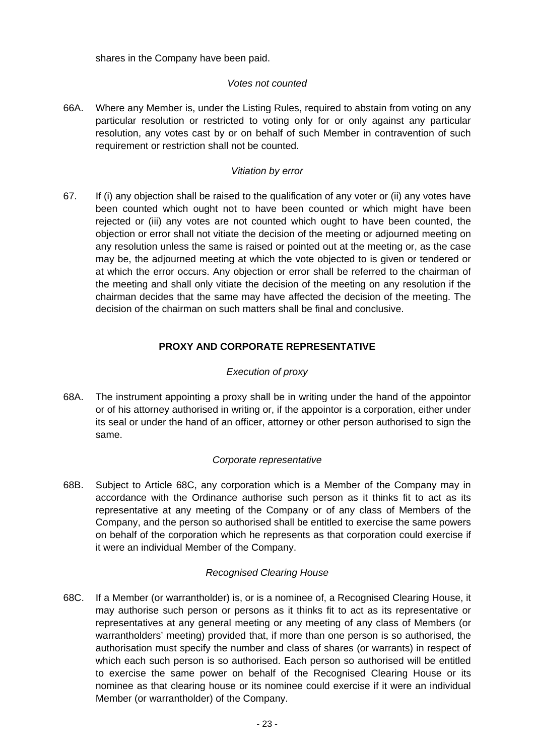shares in the Company have been paid.

#### *Votes not counted*

66A. Where any Member is, under the Listing Rules, required to abstain from voting on any particular resolution or restricted to voting only for or only against any particular resolution, any votes cast by or on behalf of such Member in contravention of such requirement or restriction shall not be counted.

## *Vitiation by error*

67. If (i) any objection shall be raised to the qualification of any voter or (ii) any votes have been counted which ought not to have been counted or which might have been rejected or (iii) any votes are not counted which ought to have been counted, the objection or error shall not vitiate the decision of the meeting or adjourned meeting on any resolution unless the same is raised or pointed out at the meeting or, as the case may be, the adjourned meeting at which the vote objected to is given or tendered or at which the error occurs. Any objection or error shall be referred to the chairman of the meeting and shall only vitiate the decision of the meeting on any resolution if the chairman decides that the same may have affected the decision of the meeting. The decision of the chairman on such matters shall be final and conclusive.

# **PROXY AND CORPORATE REPRESENTATIVE**

# *Execution of proxy*

68A. The instrument appointing a proxy shall be in writing under the hand of the appointor or of his attorney authorised in writing or, if the appointor is a corporation, either under its seal or under the hand of an officer, attorney or other person authorised to sign the same.

#### *Corporate representative*

68B. Subject to Article 68C, any corporation which is a Member of the Company may in accordance with the Ordinance authorise such person as it thinks fit to act as its representative at any meeting of the Company or of any class of Members of the Company, and the person so authorised shall be entitled to exercise the same powers on behalf of the corporation which he represents as that corporation could exercise if it were an individual Member of the Company.

#### *Recognised Clearing House*

68C. If a Member (or warrantholder) is, or is a nominee of, a Recognised Clearing House, it may authorise such person or persons as it thinks fit to act as its representative or representatives at any general meeting or any meeting of any class of Members (or warrantholders' meeting) provided that, if more than one person is so authorised, the authorisation must specify the number and class of shares (or warrants) in respect of which each such person is so authorised. Each person so authorised will be entitled to exercise the same power on behalf of the Recognised Clearing House or its nominee as that clearing house or its nominee could exercise if it were an individual Member (or warrantholder) of the Company.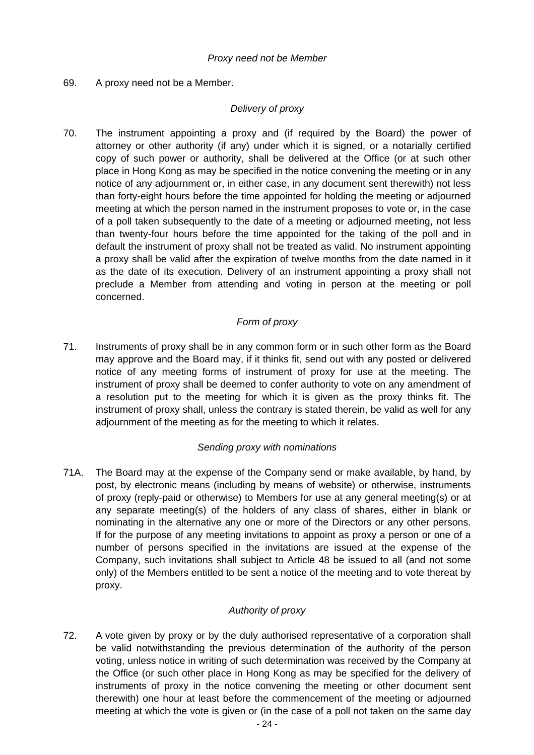## 69. A proxy need not be a Member.

## *Delivery of proxy*

70. The instrument appointing a proxy and (if required by the Board) the power of attorney or other authority (if any) under which it is signed, or a notarially certified copy of such power or authority, shall be delivered at the Office (or at such other place in Hong Kong as may be specified in the notice convening the meeting or in any notice of any adjournment or, in either case, in any document sent therewith) not less than forty-eight hours before the time appointed for holding the meeting or adjourned meeting at which the person named in the instrument proposes to vote or, in the case of a poll taken subsequently to the date of a meeting or adjourned meeting, not less than twenty-four hours before the time appointed for the taking of the poll and in default the instrument of proxy shall not be treated as valid. No instrument appointing a proxy shall be valid after the expiration of twelve months from the date named in it as the date of its execution. Delivery of an instrument appointing a proxy shall not preclude a Member from attending and voting in person at the meeting or poll concerned.

# *Form of proxy*

71. Instruments of proxy shall be in any common form or in such other form as the Board may approve and the Board may, if it thinks fit, send out with any posted or delivered notice of any meeting forms of instrument of proxy for use at the meeting. The instrument of proxy shall be deemed to confer authority to vote on any amendment of a resolution put to the meeting for which it is given as the proxy thinks fit. The instrument of proxy shall, unless the contrary is stated therein, be valid as well for any adjournment of the meeting as for the meeting to which it relates.

#### *Sending proxy with nominations*

71A. The Board may at the expense of the Company send or make available, by hand, by post, by electronic means (including by means of website) or otherwise, instruments of proxy (reply-paid or otherwise) to Members for use at any general meeting(s) or at any separate meeting(s) of the holders of any class of shares, either in blank or nominating in the alternative any one or more of the Directors or any other persons. If for the purpose of any meeting invitations to appoint as proxy a person or one of a number of persons specified in the invitations are issued at the expense of the Company, such invitations shall subject to Article 48 be issued to all (and not some only) of the Members entitled to be sent a notice of the meeting and to vote thereat by proxy.

# *Authority of proxy*

72. A vote given by proxy or by the duly authorised representative of a corporation shall be valid notwithstanding the previous determination of the authority of the person voting, unless notice in writing of such determination was received by the Company at the Office (or such other place in Hong Kong as may be specified for the delivery of instruments of proxy in the notice convening the meeting or other document sent therewith) one hour at least before the commencement of the meeting or adjourned meeting at which the vote is given or (in the case of a poll not taken on the same day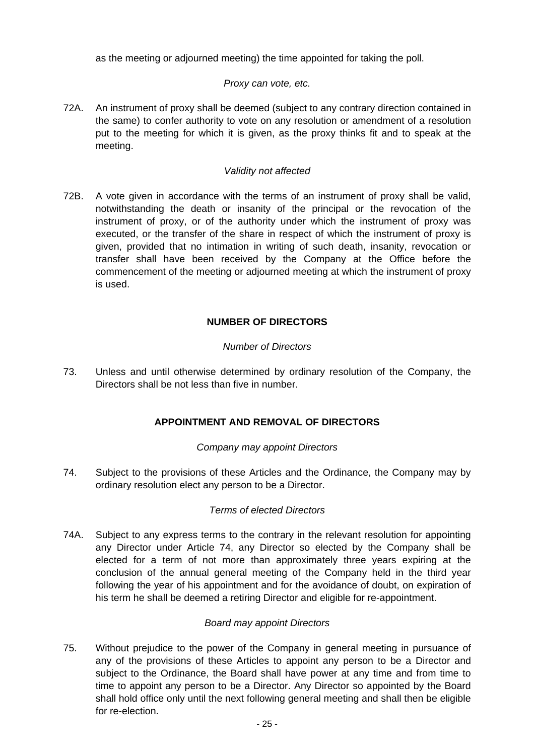as the meeting or adjourned meeting) the time appointed for taking the poll.

#### *Proxy can vote, etc.*

72A. An instrument of proxy shall be deemed (subject to any contrary direction contained in the same) to confer authority to vote on any resolution or amendment of a resolution put to the meeting for which it is given, as the proxy thinks fit and to speak at the meeting.

#### *Validity not affected*

72B. A vote given in accordance with the terms of an instrument of proxy shall be valid, notwithstanding the death or insanity of the principal or the revocation of the instrument of proxy, or of the authority under which the instrument of proxy was executed, or the transfer of the share in respect of which the instrument of proxy is given, provided that no intimation in writing of such death, insanity, revocation or transfer shall have been received by the Company at the Office before the commencement of the meeting or adjourned meeting at which the instrument of proxy is used.

# **NUMBER OF DIRECTORS**

#### *Number of Directors*

73. Unless and until otherwise determined by ordinary resolution of the Company, the Directors shall be not less than five in number.

# **APPOINTMENT AND REMOVAL OF DIRECTORS**

#### *Company may appoint Directors*

74. Subject to the provisions of these Articles and the Ordinance, the Company may by ordinary resolution elect any person to be a Director.

#### *Terms of elected Directors*

74A. Subject to any express terms to the contrary in the relevant resolution for appointing any Director under Article 74, any Director so elected by the Company shall be elected for a term of not more than approximately three years expiring at the conclusion of the annual general meeting of the Company held in the third year following the year of his appointment and for the avoidance of doubt, on expiration of his term he shall be deemed a retiring Director and eligible for re-appointment.

#### *Board may appoint Directors*

75. Without prejudice to the power of the Company in general meeting in pursuance of any of the provisions of these Articles to appoint any person to be a Director and subject to the Ordinance, the Board shall have power at any time and from time to time to appoint any person to be a Director. Any Director so appointed by the Board shall hold office only until the next following general meeting and shall then be eligible for re-election.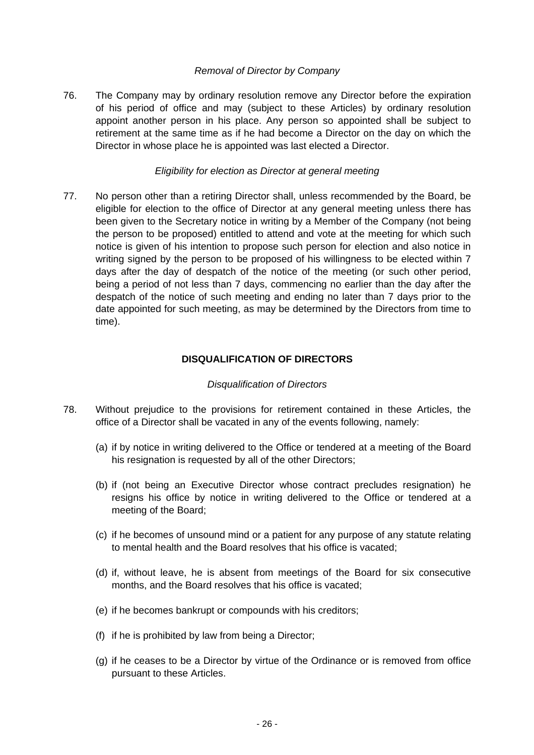#### *Removal of Director by Company*

76. The Company may by ordinary resolution remove any Director before the expiration of his period of office and may (subject to these Articles) by ordinary resolution appoint another person in his place. Any person so appointed shall be subject to retirement at the same time as if he had become a Director on the day on which the Director in whose place he is appointed was last elected a Director.

#### *Eligibility for election as Director at general meeting*

77. No person other than a retiring Director shall, unless recommended by the Board, be eligible for election to the office of Director at any general meeting unless there has been given to the Secretary notice in writing by a Member of the Company (not being the person to be proposed) entitled to attend and vote at the meeting for which such notice is given of his intention to propose such person for election and also notice in writing signed by the person to be proposed of his willingness to be elected within 7 days after the day of despatch of the notice of the meeting (or such other period, being a period of not less than 7 days, commencing no earlier than the day after the despatch of the notice of such meeting and ending no later than 7 days prior to the date appointed for such meeting, as may be determined by the Directors from time to time).

#### **DISQUALIFICATION OF DIRECTORS**

#### *Disqualification of Directors*

- 78. Without prejudice to the provisions for retirement contained in these Articles, the office of a Director shall be vacated in any of the events following, namely:
	- (a) if by notice in writing delivered to the Office or tendered at a meeting of the Board his resignation is requested by all of the other Directors;
	- (b) if (not being an Executive Director whose contract precludes resignation) he resigns his office by notice in writing delivered to the Office or tendered at a meeting of the Board;
	- (c) if he becomes of unsound mind or a patient for any purpose of any statute relating to mental health and the Board resolves that his office is vacated;
	- (d) if, without leave, he is absent from meetings of the Board for six consecutive months, and the Board resolves that his office is vacated;
	- (e) if he becomes bankrupt or compounds with his creditors;
	- (f) if he is prohibited by law from being a Director;
	- (g) if he ceases to be a Director by virtue of the Ordinance or is removed from office pursuant to these Articles.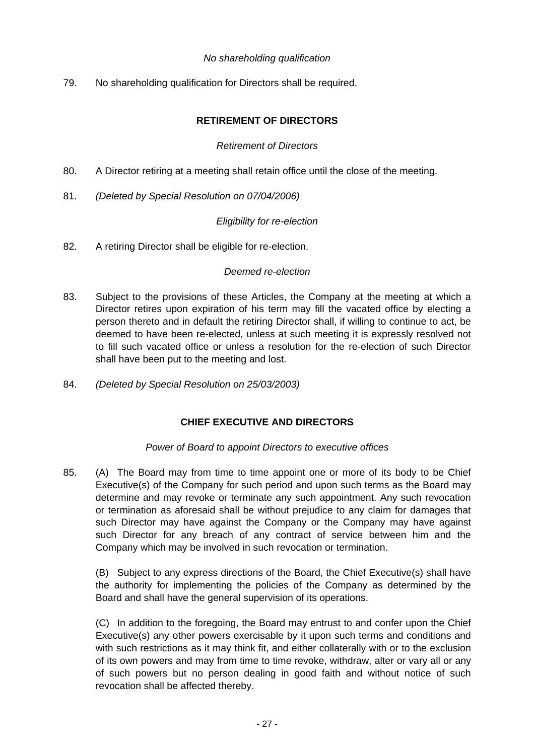#### *No shareholding qualification*

79. No shareholding qualification for Directors shall be required.

#### **RETIREMENT OF DIRECTORS**

#### *Retirement of Directors*

- 80. A Director retiring at a meeting shall retain office until the close of the meeting.
- 81. *(Deleted by Special Resolution on 07/04/2006)*

#### *Eligibility for re-election*

82. A retiring Director shall be eligible for re-election.

#### *Deemed re-election*

- 83. Subject to the provisions of these Articles, the Company at the meeting at which a Director retires upon expiration of his term may fill the vacated office by electing a person thereto and in default the retiring Director shall, if willing to continue to act, be deemed to have been re-elected, unless at such meeting it is expressly resolved not to fill such vacated office or unless a resolution for the re-election of such Director shall have been put to the meeting and lost.
- 84. *(Deleted by Special Resolution on 25/03/2003)*

# **CHIEF EXECUTIVE AND DIRECTORS**

#### *Power of Board to appoint Directors to executive offices*

85. (A) The Board may from time to time appoint one or more of its body to be Chief Executive(s) of the Company for such period and upon such terms as the Board may determine and may revoke or terminate any such appointment. Any such revocation or termination as aforesaid shall be without prejudice to any claim for damages that such Director may have against the Company or the Company may have against such Director for any breach of any contract of service between him and the Company which may be involved in such revocation or termination.

 (B) Subject to any express directions of the Board, the Chief Executive(s) shall have the authority for implementing the policies of the Company as determined by the Board and shall have the general supervision of its operations.

 (C) In addition to the foregoing, the Board may entrust to and confer upon the Chief Executive(s) any other powers exercisable by it upon such terms and conditions and with such restrictions as it may think fit, and either collaterally with or to the exclusion of its own powers and may from time to time revoke, withdraw, alter or vary all or any of such powers but no person dealing in good faith and without notice of such revocation shall be affected thereby.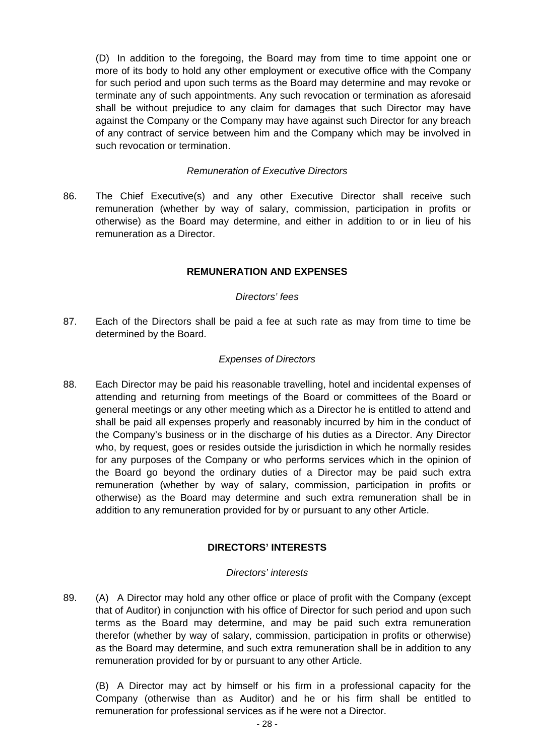(D) In addition to the foregoing, the Board may from time to time appoint one or more of its body to hold any other employment or executive office with the Company for such period and upon such terms as the Board may determine and may revoke or terminate any of such appointments. Any such revocation or termination as aforesaid shall be without prejudice to any claim for damages that such Director may have against the Company or the Company may have against such Director for any breach of any contract of service between him and the Company which may be involved in such revocation or termination.

#### *Remuneration of Executive Directors*

86. The Chief Executive(s) and any other Executive Director shall receive such remuneration (whether by way of salary, commission, participation in profits or otherwise) as the Board may determine, and either in addition to or in lieu of his remuneration as a Director.

#### **REMUNERATION AND EXPENSES**

#### *Directors' fees*

87. Each of the Directors shall be paid a fee at such rate as may from time to time be determined by the Board.

#### *Expenses of Directors*

88. Each Director may be paid his reasonable travelling, hotel and incidental expenses of attending and returning from meetings of the Board or committees of the Board or general meetings or any other meeting which as a Director he is entitled to attend and shall be paid all expenses properly and reasonably incurred by him in the conduct of the Company's business or in the discharge of his duties as a Director. Any Director who, by request, goes or resides outside the jurisdiction in which he normally resides for any purposes of the Company or who performs services which in the opinion of the Board go beyond the ordinary duties of a Director may be paid such extra remuneration (whether by way of salary, commission, participation in profits or otherwise) as the Board may determine and such extra remuneration shall be in addition to any remuneration provided for by or pursuant to any other Article.

# **DIRECTORS' INTERESTS**

#### *Directors' interests*

89. (A) A Director may hold any other office or place of profit with the Company (except that of Auditor) in conjunction with his office of Director for such period and upon such terms as the Board may determine, and may be paid such extra remuneration therefor (whether by way of salary, commission, participation in profits or otherwise) as the Board may determine, and such extra remuneration shall be in addition to any remuneration provided for by or pursuant to any other Article.

 (B) A Director may act by himself or his firm in a professional capacity for the Company (otherwise than as Auditor) and he or his firm shall be entitled to remuneration for professional services as if he were not a Director.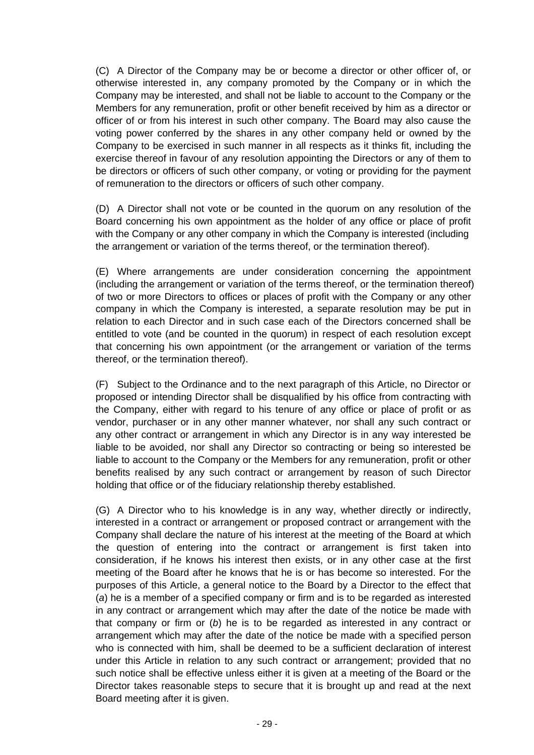(C) A Director of the Company may be or become a director or other officer of, or otherwise interested in, any company promoted by the Company or in which the Company may be interested, and shall not be liable to account to the Company or the Members for any remuneration, profit or other benefit received by him as a director or officer of or from his interest in such other company. The Board may also cause the voting power conferred by the shares in any other company held or owned by the Company to be exercised in such manner in all respects as it thinks fit, including the exercise thereof in favour of any resolution appointing the Directors or any of them to be directors or officers of such other company, or voting or providing for the payment of remuneration to the directors or officers of such other company.

 (D) A Director shall not vote or be counted in the quorum on any resolution of the Board concerning his own appointment as the holder of any office or place of profit with the Company or any other company in which the Company is interested (including the arrangement or variation of the terms thereof, or the termination thereof).

 (E) Where arrangements are under consideration concerning the appointment (including the arrangement or variation of the terms thereof, or the termination thereof) of two or more Directors to offices or places of profit with the Company or any other company in which the Company is interested, a separate resolution may be put in relation to each Director and in such case each of the Directors concerned shall be entitled to vote (and be counted in the quorum) in respect of each resolution except that concerning his own appointment (or the arrangement or variation of the terms thereof, or the termination thereof).

 (F) Subject to the Ordinance and to the next paragraph of this Article, no Director or proposed or intending Director shall be disqualified by his office from contracting with the Company, either with regard to his tenure of any office or place of profit or as vendor, purchaser or in any other manner whatever, nor shall any such contract or any other contract or arrangement in which any Director is in any way interested be liable to be avoided, nor shall any Director so contracting or being so interested be liable to account to the Company or the Members for any remuneration, profit or other benefits realised by any such contract or arrangement by reason of such Director holding that office or of the fiduciary relationship thereby established.

 (G) A Director who to his knowledge is in any way, whether directly or indirectly, interested in a contract or arrangement or proposed contract or arrangement with the Company shall declare the nature of his interest at the meeting of the Board at which the question of entering into the contract or arrangement is first taken into consideration, if he knows his interest then exists, or in any other case at the first meeting of the Board after he knows that he is or has become so interested. For the purposes of this Article, a general notice to the Board by a Director to the effect that (*a*) he is a member of a specified company or firm and is to be regarded as interested in any contract or arrangement which may after the date of the notice be made with that company or firm or (*b*) he is to be regarded as interested in any contract or arrangement which may after the date of the notice be made with a specified person who is connected with him, shall be deemed to be a sufficient declaration of interest under this Article in relation to any such contract or arrangement; provided that no such notice shall be effective unless either it is given at a meeting of the Board or the Director takes reasonable steps to secure that it is brought up and read at the next Board meeting after it is given.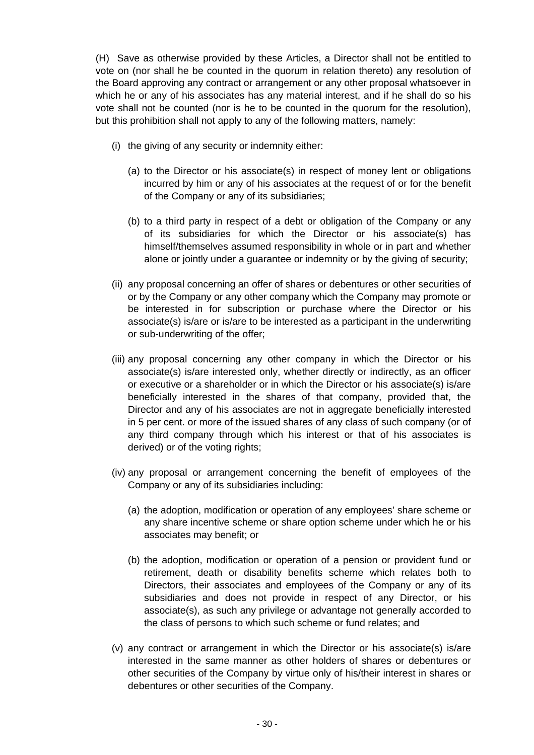(H) Save as otherwise provided by these Articles, a Director shall not be entitled to vote on (nor shall he be counted in the quorum in relation thereto) any resolution of the Board approving any contract or arrangement or any other proposal whatsoever in which he or any of his associates has any material interest, and if he shall do so his vote shall not be counted (nor is he to be counted in the quorum for the resolution), but this prohibition shall not apply to any of the following matters, namely:

- (i) the giving of any security or indemnity either:
	- (a) to the Director or his associate(s) in respect of money lent or obligations incurred by him or any of his associates at the request of or for the benefit of the Company or any of its subsidiaries;
	- (b) to a third party in respect of a debt or obligation of the Company or any of its subsidiaries for which the Director or his associate(s) has himself/themselves assumed responsibility in whole or in part and whether alone or jointly under a guarantee or indemnity or by the giving of security;
- (ii) any proposal concerning an offer of shares or debentures or other securities of or by the Company or any other company which the Company may promote or be interested in for subscription or purchase where the Director or his associate(s) is/are or is/are to be interested as a participant in the underwriting or sub-underwriting of the offer;
- (iii) any proposal concerning any other company in which the Director or his associate(s) is/are interested only, whether directly or indirectly, as an officer or executive or a shareholder or in which the Director or his associate(s) is/are beneficially interested in the shares of that company, provided that, the Director and any of his associates are not in aggregate beneficially interested in 5 per cent. or more of the issued shares of any class of such company (or of any third company through which his interest or that of his associates is derived) or of the voting rights;
- (iv) any proposal or arrangement concerning the benefit of employees of the Company or any of its subsidiaries including:
	- (a) the adoption, modification or operation of any employees' share scheme or any share incentive scheme or share option scheme under which he or his associates may benefit; or
	- (b) the adoption, modification or operation of a pension or provident fund or retirement, death or disability benefits scheme which relates both to Directors, their associates and employees of the Company or any of its subsidiaries and does not provide in respect of any Director, or his associate(s), as such any privilege or advantage not generally accorded to the class of persons to which such scheme or fund relates; and
- (v) any contract or arrangement in which the Director or his associate(s) is/are interested in the same manner as other holders of shares or debentures or other securities of the Company by virtue only of his/their interest in shares or debentures or other securities of the Company.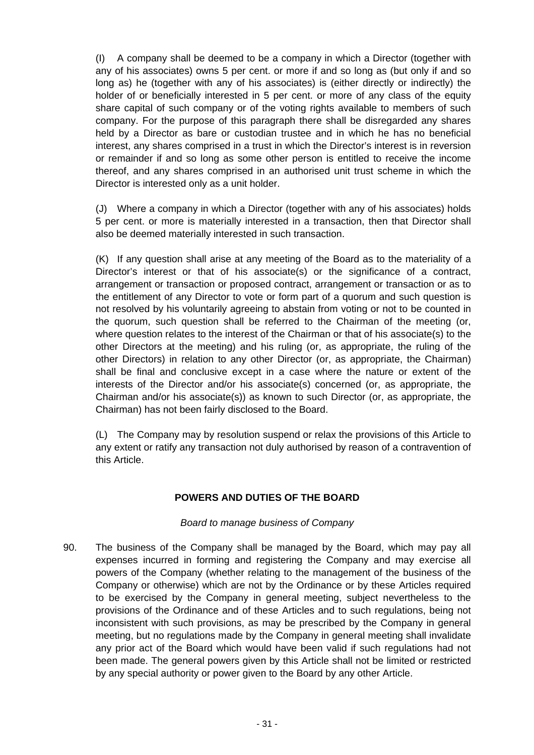(I) A company shall be deemed to be a company in which a Director (together with any of his associates) owns 5 per cent. or more if and so long as (but only if and so long as) he (together with any of his associates) is (either directly or indirectly) the holder of or beneficially interested in 5 per cent. or more of any class of the equity share capital of such company or of the voting rights available to members of such company. For the purpose of this paragraph there shall be disregarded any shares held by a Director as bare or custodian trustee and in which he has no beneficial interest, any shares comprised in a trust in which the Director's interest is in reversion or remainder if and so long as some other person is entitled to receive the income thereof, and any shares comprised in an authorised unit trust scheme in which the Director is interested only as a unit holder.

 (J) Where a company in which a Director (together with any of his associates) holds 5 per cent. or more is materially interested in a transaction, then that Director shall also be deemed materially interested in such transaction.

 (K) If any question shall arise at any meeting of the Board as to the materiality of a Director's interest or that of his associate(s) or the significance of a contract, arrangement or transaction or proposed contract, arrangement or transaction or as to the entitlement of any Director to vote or form part of a quorum and such question is not resolved by his voluntarily agreeing to abstain from voting or not to be counted in the quorum, such question shall be referred to the Chairman of the meeting (or, where question relates to the interest of the Chairman or that of his associate(s) to the other Directors at the meeting) and his ruling (or, as appropriate, the ruling of the other Directors) in relation to any other Director (or, as appropriate, the Chairman) shall be final and conclusive except in a case where the nature or extent of the interests of the Director and/or his associate(s) concerned (or, as appropriate, the Chairman and/or his associate(s)) as known to such Director (or, as appropriate, the Chairman) has not been fairly disclosed to the Board.

 (L) The Company may by resolution suspend or relax the provisions of this Article to any extent or ratify any transaction not duly authorised by reason of a contravention of this Article.

# **POWERS AND DUTIES OF THE BOARD**

#### *Board to manage business of Company*

90. The business of the Company shall be managed by the Board, which may pay all expenses incurred in forming and registering the Company and may exercise all powers of the Company (whether relating to the management of the business of the Company or otherwise) which are not by the Ordinance or by these Articles required to be exercised by the Company in general meeting, subject nevertheless to the provisions of the Ordinance and of these Articles and to such regulations, being not inconsistent with such provisions, as may be prescribed by the Company in general meeting, but no regulations made by the Company in general meeting shall invalidate any prior act of the Board which would have been valid if such regulations had not been made. The general powers given by this Article shall not be limited or restricted by any special authority or power given to the Board by any other Article.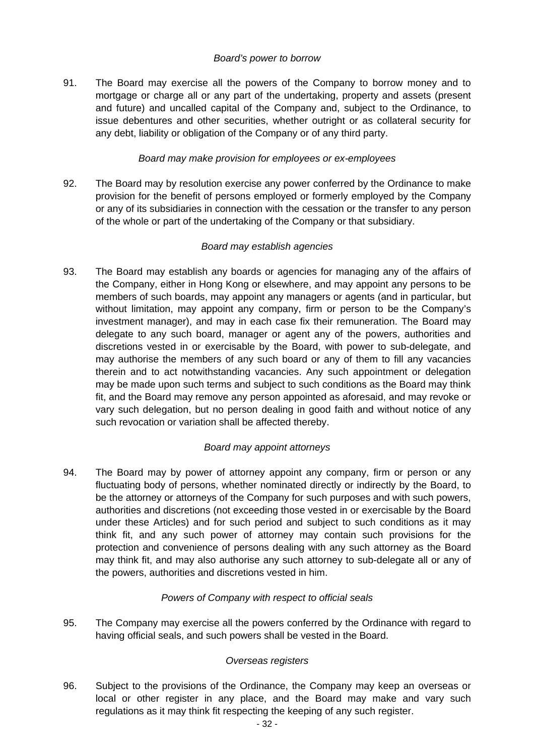#### *Board's power to borrow*

91. The Board may exercise all the powers of the Company to borrow money and to mortgage or charge all or any part of the undertaking, property and assets (present and future) and uncalled capital of the Company and, subject to the Ordinance, to issue debentures and other securities, whether outright or as collateral security for any debt, liability or obligation of the Company or of any third party.

#### *Board may make provision for employees or ex-employees*

92. The Board may by resolution exercise any power conferred by the Ordinance to make provision for the benefit of persons employed or formerly employed by the Company or any of its subsidiaries in connection with the cessation or the transfer to any person of the whole or part of the undertaking of the Company or that subsidiary.

#### *Board may establish agencies*

93. The Board may establish any boards or agencies for managing any of the affairs of the Company, either in Hong Kong or elsewhere, and may appoint any persons to be members of such boards, may appoint any managers or agents (and in particular, but without limitation, may appoint any company, firm or person to be the Company's investment manager), and may in each case fix their remuneration. The Board may delegate to any such board, manager or agent any of the powers, authorities and discretions vested in or exercisable by the Board, with power to sub-delegate, and may authorise the members of any such board or any of them to fill any vacancies therein and to act notwithstanding vacancies. Any such appointment or delegation may be made upon such terms and subject to such conditions as the Board may think fit, and the Board may remove any person appointed as aforesaid, and may revoke or vary such delegation, but no person dealing in good faith and without notice of any such revocation or variation shall be affected thereby.

#### *Board may appoint attorneys*

94. The Board may by power of attorney appoint any company, firm or person or any fluctuating body of persons, whether nominated directly or indirectly by the Board, to be the attorney or attorneys of the Company for such purposes and with such powers, authorities and discretions (not exceeding those vested in or exercisable by the Board under these Articles) and for such period and subject to such conditions as it may think fit, and any such power of attorney may contain such provisions for the protection and convenience of persons dealing with any such attorney as the Board may think fit, and may also authorise any such attorney to sub-delegate all or any of the powers, authorities and discretions vested in him.

#### *Powers of Company with respect to official seals*

95. The Company may exercise all the powers conferred by the Ordinance with regard to having official seals, and such powers shall be vested in the Board.

#### *Overseas registers*

96. Subject to the provisions of the Ordinance, the Company may keep an overseas or local or other register in any place, and the Board may make and vary such regulations as it may think fit respecting the keeping of any such register.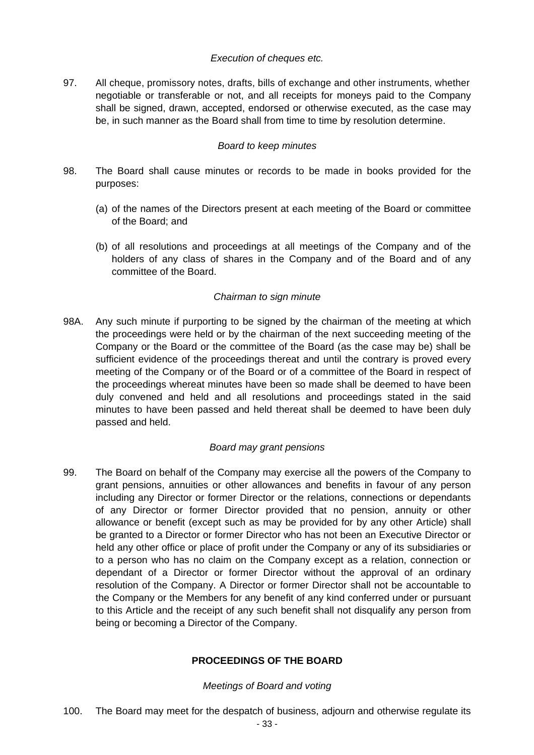#### *Execution of cheques etc.*

97. All cheque, promissory notes, drafts, bills of exchange and other instruments, whether negotiable or transferable or not, and all receipts for moneys paid to the Company shall be signed, drawn, accepted, endorsed or otherwise executed, as the case may be, in such manner as the Board shall from time to time by resolution determine.

#### *Board to keep minutes*

- 98. The Board shall cause minutes or records to be made in books provided for the purposes:
	- (a) of the names of the Directors present at each meeting of the Board or committee of the Board; and
	- (b) of all resolutions and proceedings at all meetings of the Company and of the holders of any class of shares in the Company and of the Board and of any committee of the Board.

#### *Chairman to sign minute*

98A. Any such minute if purporting to be signed by the chairman of the meeting at which the proceedings were held or by the chairman of the next succeeding meeting of the Company or the Board or the committee of the Board (as the case may be) shall be sufficient evidence of the proceedings thereat and until the contrary is proved every meeting of the Company or of the Board or of a committee of the Board in respect of the proceedings whereat minutes have been so made shall be deemed to have been duly convened and held and all resolutions and proceedings stated in the said minutes to have been passed and held thereat shall be deemed to have been duly passed and held.

#### *Board may grant pensions*

99. The Board on behalf of the Company may exercise all the powers of the Company to grant pensions, annuities or other allowances and benefits in favour of any person including any Director or former Director or the relations, connections or dependants of any Director or former Director provided that no pension, annuity or other allowance or benefit (except such as may be provided for by any other Article) shall be granted to a Director or former Director who has not been an Executive Director or held any other office or place of profit under the Company or any of its subsidiaries or to a person who has no claim on the Company except as a relation, connection or dependant of a Director or former Director without the approval of an ordinary resolution of the Company. A Director or former Director shall not be accountable to the Company or the Members for any benefit of any kind conferred under or pursuant to this Article and the receipt of any such benefit shall not disqualify any person from being or becoming a Director of the Company.

#### **PROCEEDINGS OF THE BOARD**

#### *Meetings of Board and voting*

100. The Board may meet for the despatch of business, adjourn and otherwise regulate its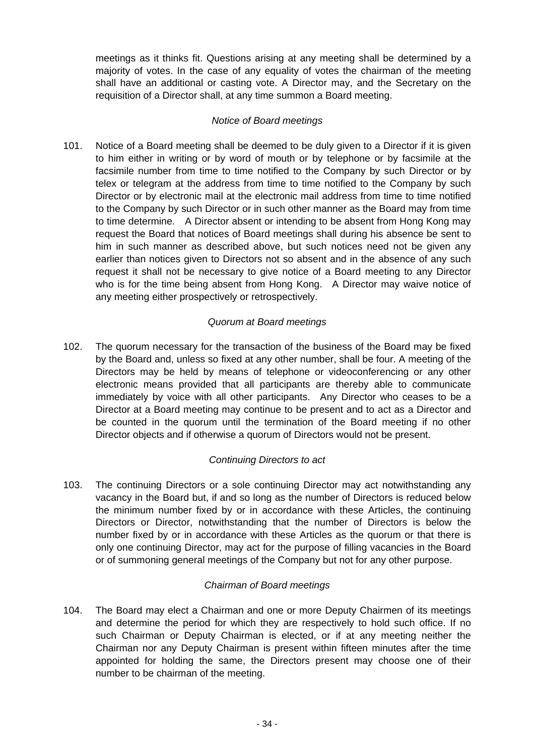meetings as it thinks fit. Questions arising at any meeting shall be determined by a majority of votes. In the case of any equality of votes the chairman of the meeting shall have an additional or casting vote. A Director may, and the Secretary on the requisition of a Director shall, at any time summon a Board meeting.

## *Notice of Board meetings*

101. Notice of a Board meeting shall be deemed to be duly given to a Director if it is given to him either in writing or by word of mouth or by telephone or by facsimile at the facsimile number from time to time notified to the Company by such Director or by telex or telegram at the address from time to time notified to the Company by such Director or by electronic mail at the electronic mail address from time to time notified to the Company by such Director or in such other manner as the Board may from time to time determine. A Director absent or intending to be absent from Hong Kong may request the Board that notices of Board meetings shall during his absence be sent to him in such manner as described above, but such notices need not be given any earlier than notices given to Directors not so absent and in the absence of any such request it shall not be necessary to give notice of a Board meeting to any Director who is for the time being absent from Hong Kong. A Director may waive notice of any meeting either prospectively or retrospectively.

# *Quorum at Board meetings*

102. The quorum necessary for the transaction of the business of the Board may be fixed by the Board and, unless so fixed at any other number, shall be four. A meeting of the Directors may be held by means of telephone or videoconferencing or any other electronic means provided that all participants are thereby able to communicate immediately by voice with all other participants. Any Director who ceases to be a Director at a Board meeting may continue to be present and to act as a Director and be counted in the quorum until the termination of the Board meeting if no other Director objects and if otherwise a quorum of Directors would not be present.

#### *Continuing Directors to act*

103. The continuing Directors or a sole continuing Director may act notwithstanding any vacancy in the Board but, if and so long as the number of Directors is reduced below the minimum number fixed by or in accordance with these Articles, the continuing Directors or Director, notwithstanding that the number of Directors is below the number fixed by or in accordance with these Articles as the quorum or that there is only one continuing Director, may act for the purpose of filling vacancies in the Board or of summoning general meetings of the Company but not for any other purpose.

#### *Chairman of Board meetings*

104. The Board may elect a Chairman and one or more Deputy Chairmen of its meetings and determine the period for which they are respectively to hold such office. If no such Chairman or Deputy Chairman is elected, or if at any meeting neither the Chairman nor any Deputy Chairman is present within fifteen minutes after the time appointed for holding the same, the Directors present may choose one of their number to be chairman of the meeting.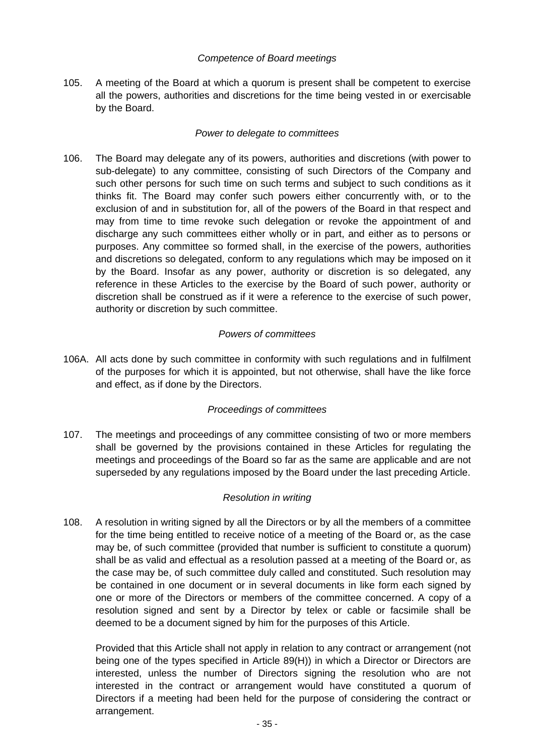#### *Competence of Board meetings*

105. A meeting of the Board at which a quorum is present shall be competent to exercise all the powers, authorities and discretions for the time being vested in or exercisable by the Board.

#### *Power to delegate to committees*

106. The Board may delegate any of its powers, authorities and discretions (with power to sub-delegate) to any committee, consisting of such Directors of the Company and such other persons for such time on such terms and subject to such conditions as it thinks fit. The Board may confer such powers either concurrently with, or to the exclusion of and in substitution for, all of the powers of the Board in that respect and may from time to time revoke such delegation or revoke the appointment of and discharge any such committees either wholly or in part, and either as to persons or purposes. Any committee so formed shall, in the exercise of the powers, authorities and discretions so delegated, conform to any regulations which may be imposed on it by the Board. Insofar as any power, authority or discretion is so delegated, any reference in these Articles to the exercise by the Board of such power, authority or discretion shall be construed as if it were a reference to the exercise of such power, authority or discretion by such committee.

#### *Powers of committees*

106A. All acts done by such committee in conformity with such regulations and in fulfilment of the purposes for which it is appointed, but not otherwise, shall have the like force and effect, as if done by the Directors.

# *Proceedings of committees*

107. The meetings and proceedings of any committee consisting of two or more members shall be governed by the provisions contained in these Articles for regulating the meetings and proceedings of the Board so far as the same are applicable and are not superseded by any regulations imposed by the Board under the last preceding Article.

# *Resolution in writing*

108. A resolution in writing signed by all the Directors or by all the members of a committee for the time being entitled to receive notice of a meeting of the Board or, as the case may be, of such committee (provided that number is sufficient to constitute a quorum) shall be as valid and effectual as a resolution passed at a meeting of the Board or, as the case may be, of such committee duly called and constituted. Such resolution may be contained in one document or in several documents in like form each signed by one or more of the Directors or members of the committee concerned. A copy of a resolution signed and sent by a Director by telex or cable or facsimile shall be deemed to be a document signed by him for the purposes of this Article.

 Provided that this Article shall not apply in relation to any contract or arrangement (not being one of the types specified in Article 89(H)) in which a Director or Directors are interested, unless the number of Directors signing the resolution who are not interested in the contract or arrangement would have constituted a quorum of Directors if a meeting had been held for the purpose of considering the contract or arrangement.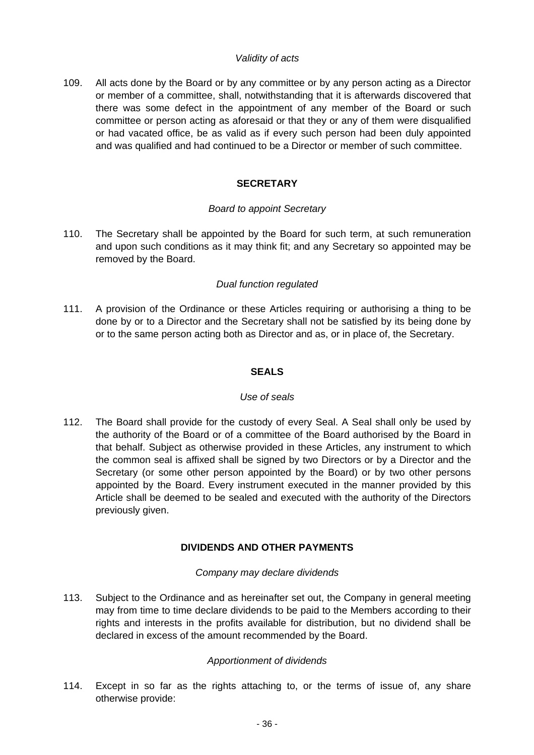#### *Validity of acts*

109. All acts done by the Board or by any committee or by any person acting as a Director or member of a committee, shall, notwithstanding that it is afterwards discovered that there was some defect in the appointment of any member of the Board or such committee or person acting as aforesaid or that they or any of them were disqualified or had vacated office, be as valid as if every such person had been duly appointed and was qualified and had continued to be a Director or member of such committee.

# **SECRETARY**

#### *Board to appoint Secretary*

110. The Secretary shall be appointed by the Board for such term, at such remuneration and upon such conditions as it may think fit; and any Secretary so appointed may be removed by the Board.

#### *Dual function regulated*

111. A provision of the Ordinance or these Articles requiring or authorising a thing to be done by or to a Director and the Secretary shall not be satisfied by its being done by or to the same person acting both as Director and as, or in place of, the Secretary.

#### **SEALS**

#### *Use of seals*

112. The Board shall provide for the custody of every Seal. A Seal shall only be used by the authority of the Board or of a committee of the Board authorised by the Board in that behalf. Subject as otherwise provided in these Articles, any instrument to which the common seal is affixed shall be signed by two Directors or by a Director and the Secretary (or some other person appointed by the Board) or by two other persons appointed by the Board. Every instrument executed in the manner provided by this Article shall be deemed to be sealed and executed with the authority of the Directors previously given.

# **DIVIDENDS AND OTHER PAYMENTS**

#### *Company may declare dividends*

113. Subject to the Ordinance and as hereinafter set out, the Company in general meeting may from time to time declare dividends to be paid to the Members according to their rights and interests in the profits available for distribution, but no dividend shall be declared in excess of the amount recommended by the Board.

# *Apportionment of dividends*

114. Except in so far as the rights attaching to, or the terms of issue of, any share otherwise provide: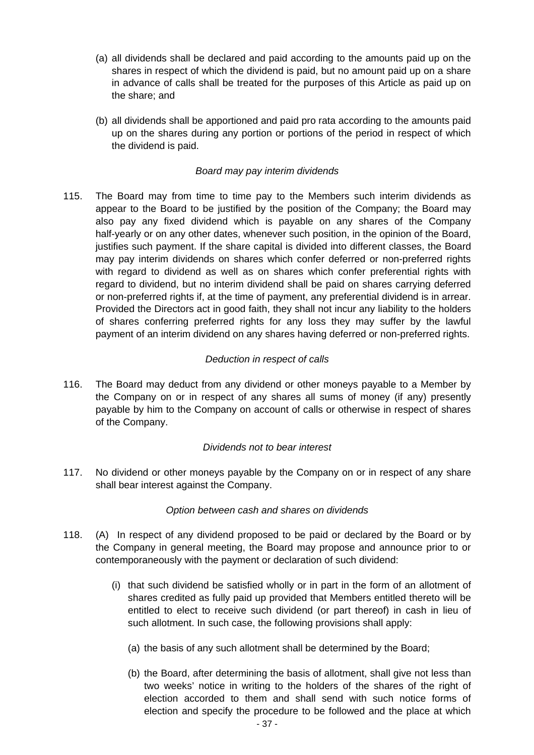- (a) all dividends shall be declared and paid according to the amounts paid up on the shares in respect of which the dividend is paid, but no amount paid up on a share in advance of calls shall be treated for the purposes of this Article as paid up on the share; and
- (b) all dividends shall be apportioned and paid pro rata according to the amounts paid up on the shares during any portion or portions of the period in respect of which the dividend is paid.

#### *Board may pay interim dividends*

115. The Board may from time to time pay to the Members such interim dividends as appear to the Board to be justified by the position of the Company; the Board may also pay any fixed dividend which is payable on any shares of the Company half-yearly or on any other dates, whenever such position, in the opinion of the Board, justifies such payment. If the share capital is divided into different classes, the Board may pay interim dividends on shares which confer deferred or non-preferred rights with regard to dividend as well as on shares which confer preferential rights with regard to dividend, but no interim dividend shall be paid on shares carrying deferred or non-preferred rights if, at the time of payment, any preferential dividend is in arrear. Provided the Directors act in good faith, they shall not incur any liability to the holders of shares conferring preferred rights for any loss they may suffer by the lawful payment of an interim dividend on any shares having deferred or non-preferred rights.

#### *Deduction in respect of calls*

116. The Board may deduct from any dividend or other moneys payable to a Member by the Company on or in respect of any shares all sums of money (if any) presently payable by him to the Company on account of calls or otherwise in respect of shares of the Company.

#### *Dividends not to bear interest*

117. No dividend or other moneys payable by the Company on or in respect of any share shall bear interest against the Company.

#### *Option between cash and shares on dividends*

- 118. (A) In respect of any dividend proposed to be paid or declared by the Board or by the Company in general meeting, the Board may propose and announce prior to or contemporaneously with the payment or declaration of such dividend:
	- (i) that such dividend be satisfied wholly or in part in the form of an allotment of shares credited as fully paid up provided that Members entitled thereto will be entitled to elect to receive such dividend (or part thereof) in cash in lieu of such allotment. In such case, the following provisions shall apply:
		- (a) the basis of any such allotment shall be determined by the Board;
		- (b) the Board, after determining the basis of allotment, shall give not less than two weeks' notice in writing to the holders of the shares of the right of election accorded to them and shall send with such notice forms of election and specify the procedure to be followed and the place at which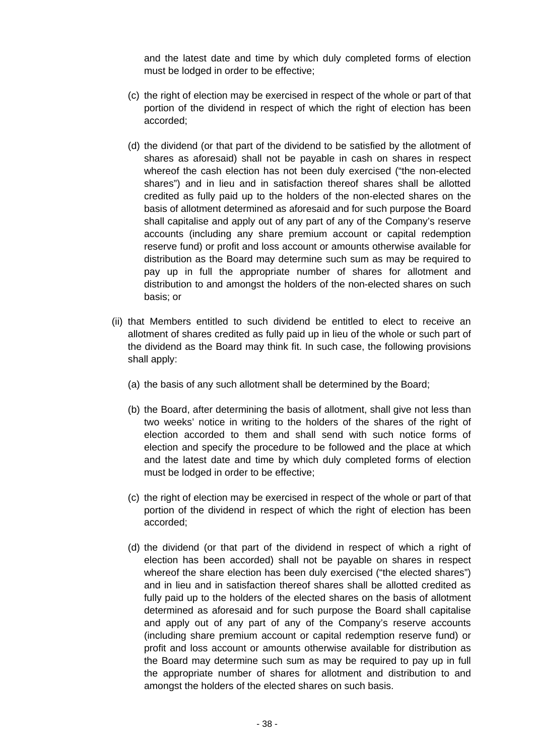and the latest date and time by which duly completed forms of election must be lodged in order to be effective;

- (c) the right of election may be exercised in respect of the whole or part of that portion of the dividend in respect of which the right of election has been accorded;
- (d) the dividend (or that part of the dividend to be satisfied by the allotment of shares as aforesaid) shall not be payable in cash on shares in respect whereof the cash election has not been duly exercised ("the non-elected shares") and in lieu and in satisfaction thereof shares shall be allotted credited as fully paid up to the holders of the non-elected shares on the basis of allotment determined as aforesaid and for such purpose the Board shall capitalise and apply out of any part of any of the Company's reserve accounts (including any share premium account or capital redemption reserve fund) or profit and loss account or amounts otherwise available for distribution as the Board may determine such sum as may be required to pay up in full the appropriate number of shares for allotment and distribution to and amongst the holders of the non-elected shares on such basis; or
- (ii) that Members entitled to such dividend be entitled to elect to receive an allotment of shares credited as fully paid up in lieu of the whole or such part of the dividend as the Board may think fit. In such case, the following provisions shall apply:
	- (a) the basis of any such allotment shall be determined by the Board;
	- (b) the Board, after determining the basis of allotment, shall give not less than two weeks' notice in writing to the holders of the shares of the right of election accorded to them and shall send with such notice forms of election and specify the procedure to be followed and the place at which and the latest date and time by which duly completed forms of election must be lodged in order to be effective;
	- (c) the right of election may be exercised in respect of the whole or part of that portion of the dividend in respect of which the right of election has been accorded;
	- (d) the dividend (or that part of the dividend in respect of which a right of election has been accorded) shall not be payable on shares in respect whereof the share election has been duly exercised ("the elected shares") and in lieu and in satisfaction thereof shares shall be allotted credited as fully paid up to the holders of the elected shares on the basis of allotment determined as aforesaid and for such purpose the Board shall capitalise and apply out of any part of any of the Company's reserve accounts (including share premium account or capital redemption reserve fund) or profit and loss account or amounts otherwise available for distribution as the Board may determine such sum as may be required to pay up in full the appropriate number of shares for allotment and distribution to and amongst the holders of the elected shares on such basis.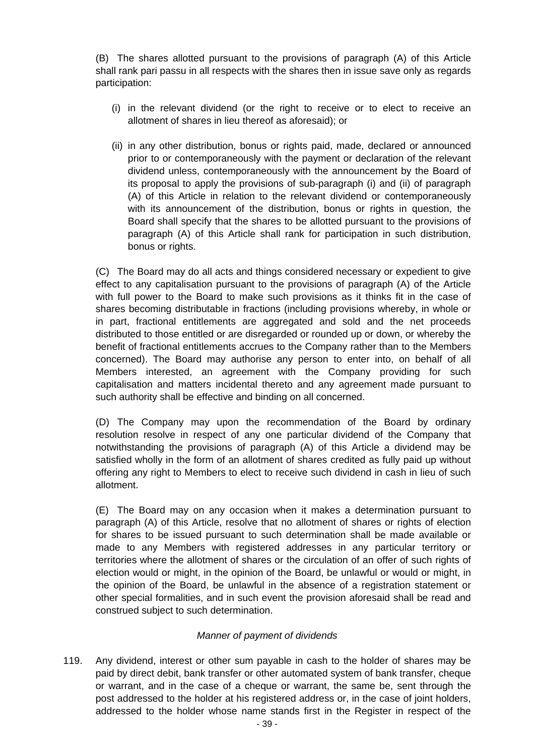(B) The shares allotted pursuant to the provisions of paragraph (A) of this Article shall rank pari passu in all respects with the shares then in issue save only as regards participation:

- (i) in the relevant dividend (or the right to receive or to elect to receive an allotment of shares in lieu thereof as aforesaid); or
- (ii) in any other distribution, bonus or rights paid, made, declared or announced prior to or contemporaneously with the payment or declaration of the relevant dividend unless, contemporaneously with the announcement by the Board of its proposal to apply the provisions of sub-paragraph (i) and (ii) of paragraph (A) of this Article in relation to the relevant dividend or contemporaneously with its announcement of the distribution, bonus or rights in question, the Board shall specify that the shares to be allotted pursuant to the provisions of paragraph (A) of this Article shall rank for participation in such distribution, bonus or rights.

 (C) The Board may do all acts and things considered necessary or expedient to give effect to any capitalisation pursuant to the provisions of paragraph (A) of the Article with full power to the Board to make such provisions as it thinks fit in the case of shares becoming distributable in fractions (including provisions whereby, in whole or in part, fractional entitlements are aggregated and sold and the net proceeds distributed to those entitled or are disregarded or rounded up or down, or whereby the benefit of fractional entitlements accrues to the Company rather than to the Members concerned). The Board may authorise any person to enter into, on behalf of all Members interested, an agreement with the Company providing for such capitalisation and matters incidental thereto and any agreement made pursuant to such authority shall be effective and binding on all concerned.

 (D) The Company may upon the recommendation of the Board by ordinary resolution resolve in respect of any one particular dividend of the Company that notwithstanding the provisions of paragraph (A) of this Article a dividend may be satisfied wholly in the form of an allotment of shares credited as fully paid up without offering any right to Members to elect to receive such dividend in cash in lieu of such allotment.

 (E) The Board may on any occasion when it makes a determination pursuant to paragraph (A) of this Article, resolve that no allotment of shares or rights of election for shares to be issued pursuant to such determination shall be made available or made to any Members with registered addresses in any particular territory or territories where the allotment of shares or the circulation of an offer of such rights of election would or might, in the opinion of the Board, be unlawful or would or might, in the opinion of the Board, be unlawful in the absence of a registration statement or other special formalities, and in such event the provision aforesaid shall be read and construed subject to such determination.

#### *Manner of payment of dividends*

119. Any dividend, interest or other sum payable in cash to the holder of shares may be paid by direct debit, bank transfer or other automated system of bank transfer, cheque or warrant, and in the case of a cheque or warrant, the same be, sent through the post addressed to the holder at his registered address or, in the case of joint holders, addressed to the holder whose name stands first in the Register in respect of the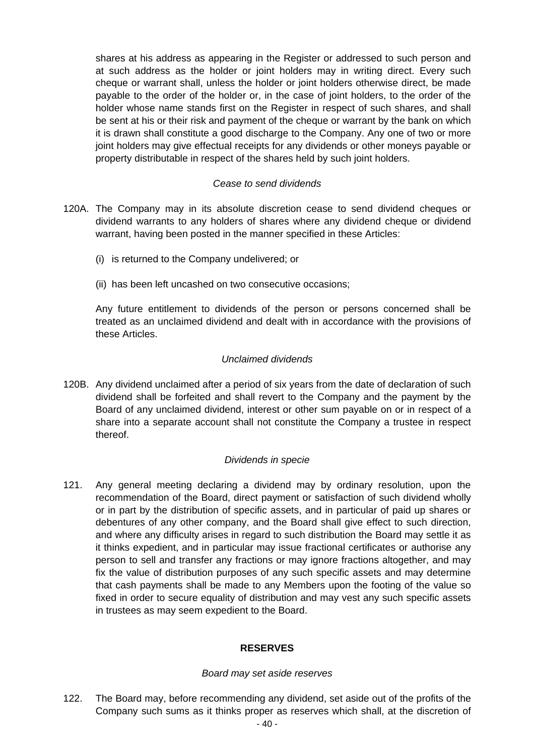shares at his address as appearing in the Register or addressed to such person and at such address as the holder or joint holders may in writing direct. Every such cheque or warrant shall, unless the holder or joint holders otherwise direct, be made payable to the order of the holder or, in the case of joint holders, to the order of the holder whose name stands first on the Register in respect of such shares, and shall be sent at his or their risk and payment of the cheque or warrant by the bank on which it is drawn shall constitute a good discharge to the Company. Any one of two or more joint holders may give effectual receipts for any dividends or other moneys payable or property distributable in respect of the shares held by such joint holders.

#### *Cease to send dividends*

- 120A. The Company may in its absolute discretion cease to send dividend cheques or dividend warrants to any holders of shares where any dividend cheque or dividend warrant, having been posted in the manner specified in these Articles:
	- (i) is returned to the Company undelivered; or
	- (ii) has been left uncashed on two consecutive occasions;

 Any future entitlement to dividends of the person or persons concerned shall be treated as an unclaimed dividend and dealt with in accordance with the provisions of these Articles.

#### *Unclaimed dividends*

120B. Any dividend unclaimed after a period of six years from the date of declaration of such dividend shall be forfeited and shall revert to the Company and the payment by the Board of any unclaimed dividend, interest or other sum payable on or in respect of a share into a separate account shall not constitute the Company a trustee in respect thereof.

#### *Dividends in specie*

121. Any general meeting declaring a dividend may by ordinary resolution, upon the recommendation of the Board, direct payment or satisfaction of such dividend wholly or in part by the distribution of specific assets, and in particular of paid up shares or debentures of any other company, and the Board shall give effect to such direction, and where any difficulty arises in regard to such distribution the Board may settle it as it thinks expedient, and in particular may issue fractional certificates or authorise any person to sell and transfer any fractions or may ignore fractions altogether, and may fix the value of distribution purposes of any such specific assets and may determine that cash payments shall be made to any Members upon the footing of the value so fixed in order to secure equality of distribution and may vest any such specific assets in trustees as may seem expedient to the Board.

# **RESERVES**

#### *Board may set aside reserves*

122. The Board may, before recommending any dividend, set aside out of the profits of the Company such sums as it thinks proper as reserves which shall, at the discretion of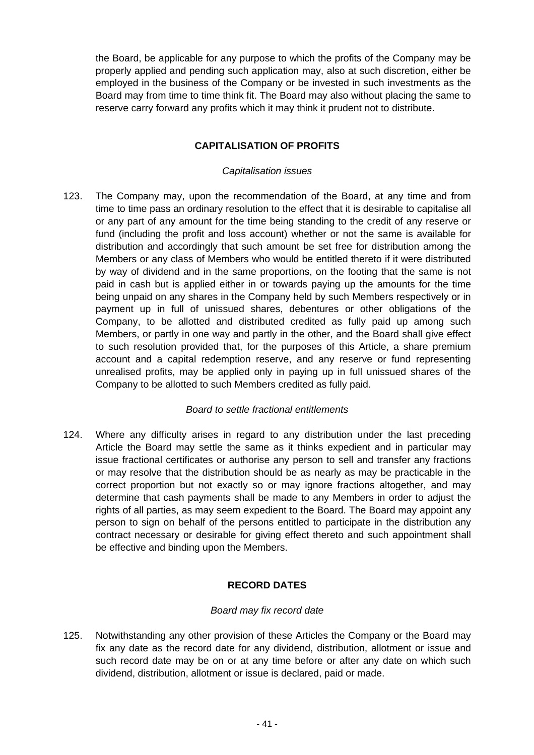the Board, be applicable for any purpose to which the profits of the Company may be properly applied and pending such application may, also at such discretion, either be employed in the business of the Company or be invested in such investments as the Board may from time to time think fit. The Board may also without placing the same to reserve carry forward any profits which it may think it prudent not to distribute.

# **CAPITALISATION OF PROFITS**

#### *Capitalisation issues*

123. The Company may, upon the recommendation of the Board, at any time and from time to time pass an ordinary resolution to the effect that it is desirable to capitalise all or any part of any amount for the time being standing to the credit of any reserve or fund (including the profit and loss account) whether or not the same is available for distribution and accordingly that such amount be set free for distribution among the Members or any class of Members who would be entitled thereto if it were distributed by way of dividend and in the same proportions, on the footing that the same is not paid in cash but is applied either in or towards paying up the amounts for the time being unpaid on any shares in the Company held by such Members respectively or in payment up in full of unissued shares, debentures or other obligations of the Company, to be allotted and distributed credited as fully paid up among such Members, or partly in one way and partly in the other, and the Board shall give effect to such resolution provided that, for the purposes of this Article, a share premium account and a capital redemption reserve, and any reserve or fund representing unrealised profits, may be applied only in paying up in full unissued shares of the Company to be allotted to such Members credited as fully paid.

# *Board to settle fractional entitlements*

124. Where any difficulty arises in regard to any distribution under the last preceding Article the Board may settle the same as it thinks expedient and in particular may issue fractional certificates or authorise any person to sell and transfer any fractions or may resolve that the distribution should be as nearly as may be practicable in the correct proportion but not exactly so or may ignore fractions altogether, and may determine that cash payments shall be made to any Members in order to adjust the rights of all parties, as may seem expedient to the Board. The Board may appoint any person to sign on behalf of the persons entitled to participate in the distribution any contract necessary or desirable for giving effect thereto and such appointment shall be effective and binding upon the Members.

# **RECORD DATES**

#### *Board may fix record date*

125. Notwithstanding any other provision of these Articles the Company or the Board may fix any date as the record date for any dividend, distribution, allotment or issue and such record date may be on or at any time before or after any date on which such dividend, distribution, allotment or issue is declared, paid or made.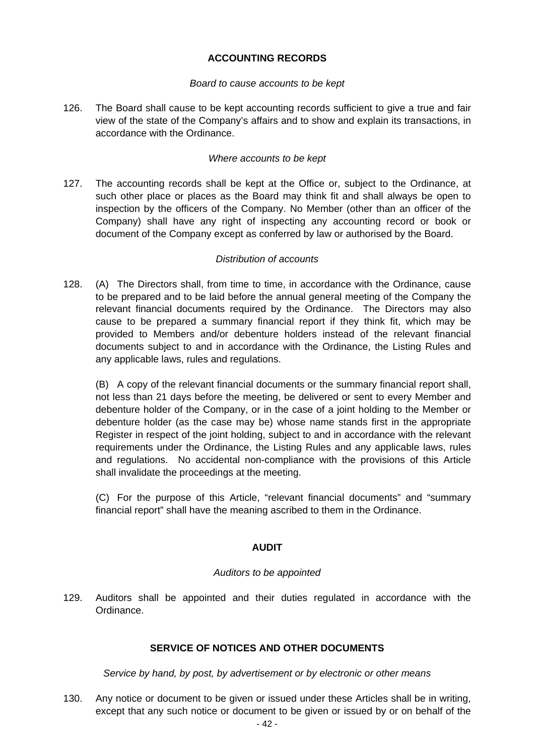# **ACCOUNTING RECORDS**

#### *Board to cause accounts to be kept*

126. The Board shall cause to be kept accounting records sufficient to give a true and fair view of the state of the Company's affairs and to show and explain its transactions, in accordance with the Ordinance.

#### *Where accounts to be kept*

127. The accounting records shall be kept at the Office or, subject to the Ordinance, at such other place or places as the Board may think fit and shall always be open to inspection by the officers of the Company. No Member (other than an officer of the Company) shall have any right of inspecting any accounting record or book or document of the Company except as conferred by law or authorised by the Board.

#### *Distribution of accounts*

128. (A) The Directors shall, from time to time, in accordance with the Ordinance, cause to be prepared and to be laid before the annual general meeting of the Company the relevant financial documents required by the Ordinance. The Directors may also cause to be prepared a summary financial report if they think fit, which may be provided to Members and/or debenture holders instead of the relevant financial documents subject to and in accordance with the Ordinance, the Listing Rules and any applicable laws, rules and regulations.

 (B) A copy of the relevant financial documents or the summary financial report shall, not less than 21 days before the meeting, be delivered or sent to every Member and debenture holder of the Company, or in the case of a joint holding to the Member or debenture holder (as the case may be) whose name stands first in the appropriate Register in respect of the joint holding, subject to and in accordance with the relevant requirements under the Ordinance, the Listing Rules and any applicable laws, rules and regulations. No accidental non-compliance with the provisions of this Article shall invalidate the proceedings at the meeting.

 (C) For the purpose of this Article, "relevant financial documents" and "summary financial report" shall have the meaning ascribed to them in the Ordinance.

#### **AUDIT**

#### *Auditors to be appointed*

129. Auditors shall be appointed and their duties regulated in accordance with the Ordinance.

#### **SERVICE OF NOTICES AND OTHER DOCUMENTS**

*Service by hand, by post, by advertisement or by electronic or other means* 

130. Any notice or document to be given or issued under these Articles shall be in writing, except that any such notice or document to be given or issued by or on behalf of the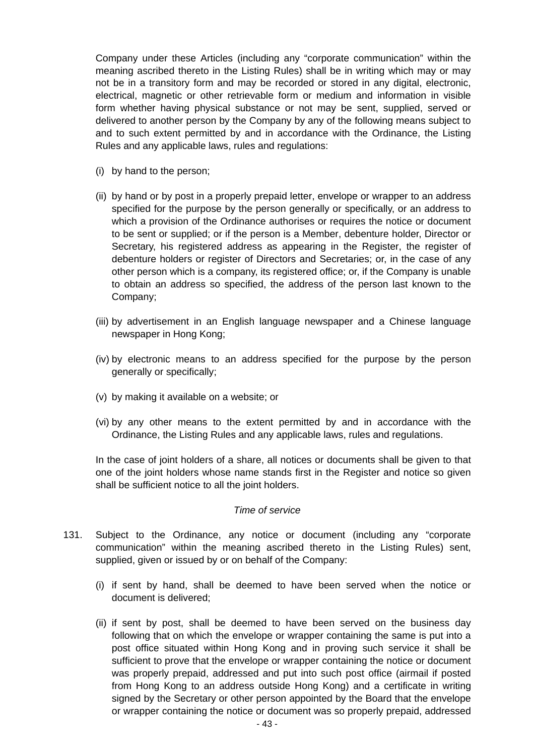Company under these Articles (including any "corporate communication" within the meaning ascribed thereto in the Listing Rules) shall be in writing which may or may not be in a transitory form and may be recorded or stored in any digital, electronic, electrical, magnetic or other retrievable form or medium and information in visible form whether having physical substance or not may be sent, supplied, served or delivered to another person by the Company by any of the following means subject to and to such extent permitted by and in accordance with the Ordinance, the Listing Rules and any applicable laws, rules and regulations:

- (i) by hand to the person;
- (ii) by hand or by post in a properly prepaid letter, envelope or wrapper to an address specified for the purpose by the person generally or specifically, or an address to which a provision of the Ordinance authorises or requires the notice or document to be sent or supplied; or if the person is a Member, debenture holder, Director or Secretary, his registered address as appearing in the Register, the register of debenture holders or register of Directors and Secretaries; or, in the case of any other person which is a company, its registered office; or, if the Company is unable to obtain an address so specified, the address of the person last known to the Company;
- (iii) by advertisement in an English language newspaper and a Chinese language newspaper in Hong Kong;
- (iv) by electronic means to an address specified for the purpose by the person generally or specifically;
- (v) by making it available on a website; or
- (vi) by any other means to the extent permitted by and in accordance with the Ordinance, the Listing Rules and any applicable laws, rules and regulations.

 In the case of joint holders of a share, all notices or documents shall be given to that one of the joint holders whose name stands first in the Register and notice so given shall be sufficient notice to all the joint holders.

#### *Time of service*

- 131. Subject to the Ordinance, any notice or document (including any "corporate communication" within the meaning ascribed thereto in the Listing Rules) sent, supplied, given or issued by or on behalf of the Company:
	- (i) if sent by hand, shall be deemed to have been served when the notice or document is delivered;
	- (ii) if sent by post, shall be deemed to have been served on the business day following that on which the envelope or wrapper containing the same is put into a post office situated within Hong Kong and in proving such service it shall be sufficient to prove that the envelope or wrapper containing the notice or document was properly prepaid, addressed and put into such post office (airmail if posted from Hong Kong to an address outside Hong Kong) and a certificate in writing signed by the Secretary or other person appointed by the Board that the envelope or wrapper containing the notice or document was so properly prepaid, addressed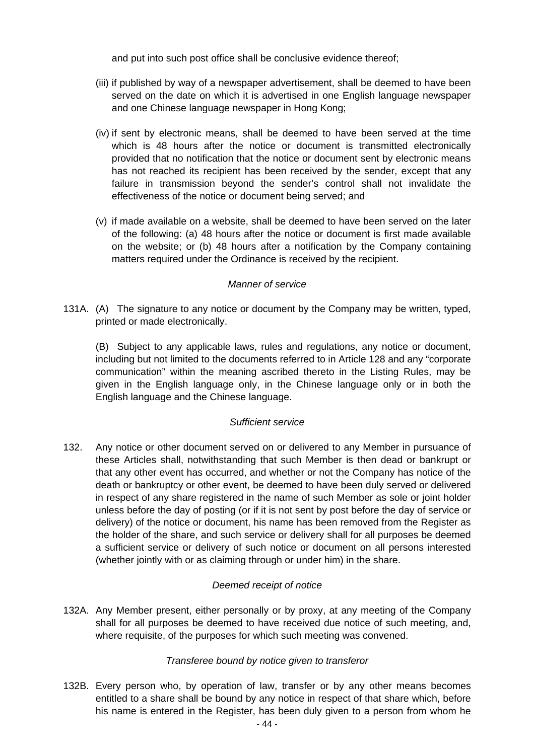and put into such post office shall be conclusive evidence thereof;

- (iii) if published by way of a newspaper advertisement, shall be deemed to have been served on the date on which it is advertised in one English language newspaper and one Chinese language newspaper in Hong Kong;
- (iv) if sent by electronic means, shall be deemed to have been served at the time which is 48 hours after the notice or document is transmitted electronically provided that no notification that the notice or document sent by electronic means has not reached its recipient has been received by the sender, except that any failure in transmission beyond the sender's control shall not invalidate the effectiveness of the notice or document being served; and
- (v) if made available on a website, shall be deemed to have been served on the later of the following: (a) 48 hours after the notice or document is first made available on the website; or (b) 48 hours after a notification by the Company containing matters required under the Ordinance is received by the recipient.

#### *Manner of service*

131A. (A) The signature to any notice or document by the Company may be written, typed, printed or made electronically.

 (B) Subject to any applicable laws, rules and regulations, any notice or document, including but not limited to the documents referred to in Article 128 and any "corporate communication" within the meaning ascribed thereto in the Listing Rules, may be given in the English language only, in the Chinese language only or in both the English language and the Chinese language.

# *Sufficient service*

132. Any notice or other document served on or delivered to any Member in pursuance of these Articles shall, notwithstanding that such Member is then dead or bankrupt or that any other event has occurred, and whether or not the Company has notice of the death or bankruptcy or other event, be deemed to have been duly served or delivered in respect of any share registered in the name of such Member as sole or joint holder unless before the day of posting (or if it is not sent by post before the day of service or delivery) of the notice or document, his name has been removed from the Register as the holder of the share, and such service or delivery shall for all purposes be deemed a sufficient service or delivery of such notice or document on all persons interested (whether jointly with or as claiming through or under him) in the share.

#### *Deemed receipt of notice*

132A. Any Member present, either personally or by proxy, at any meeting of the Company shall for all purposes be deemed to have received due notice of such meeting, and, where requisite, of the purposes for which such meeting was convened.

# *Transferee bound by notice given to transferor*

132B. Every person who, by operation of law, transfer or by any other means becomes entitled to a share shall be bound by any notice in respect of that share which, before his name is entered in the Register, has been duly given to a person from whom he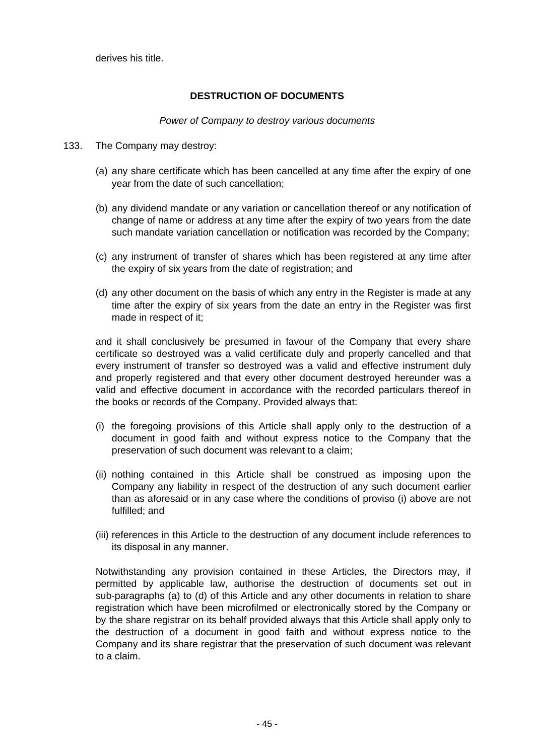derives his title.

#### **DESTRUCTION OF DOCUMENTS**

#### *Power of Company to destroy various documents*

- 133. The Company may destroy:
	- (a) any share certificate which has been cancelled at any time after the expiry of one year from the date of such cancellation;
	- (b) any dividend mandate or any variation or cancellation thereof or any notification of change of name or address at any time after the expiry of two years from the date such mandate variation cancellation or notification was recorded by the Company;
	- (c) any instrument of transfer of shares which has been registered at any time after the expiry of six years from the date of registration; and
	- (d) any other document on the basis of which any entry in the Register is made at any time after the expiry of six years from the date an entry in the Register was first made in respect of it;

 and it shall conclusively be presumed in favour of the Company that every share certificate so destroyed was a valid certificate duly and properly cancelled and that every instrument of transfer so destroyed was a valid and effective instrument duly and properly registered and that every other document destroyed hereunder was a valid and effective document in accordance with the recorded particulars thereof in the books or records of the Company. Provided always that:

- (i) the foregoing provisions of this Article shall apply only to the destruction of a document in good faith and without express notice to the Company that the preservation of such document was relevant to a claim;
- (ii) nothing contained in this Article shall be construed as imposing upon the Company any liability in respect of the destruction of any such document earlier than as aforesaid or in any case where the conditions of proviso (i) above are not fulfilled; and
- (iii) references in this Article to the destruction of any document include references to its disposal in any manner.

 Notwithstanding any provision contained in these Articles, the Directors may, if permitted by applicable law, authorise the destruction of documents set out in sub-paragraphs (a) to (d) of this Article and any other documents in relation to share registration which have been microfilmed or electronically stored by the Company or by the share registrar on its behalf provided always that this Article shall apply only to the destruction of a document in good faith and without express notice to the Company and its share registrar that the preservation of such document was relevant to a claim.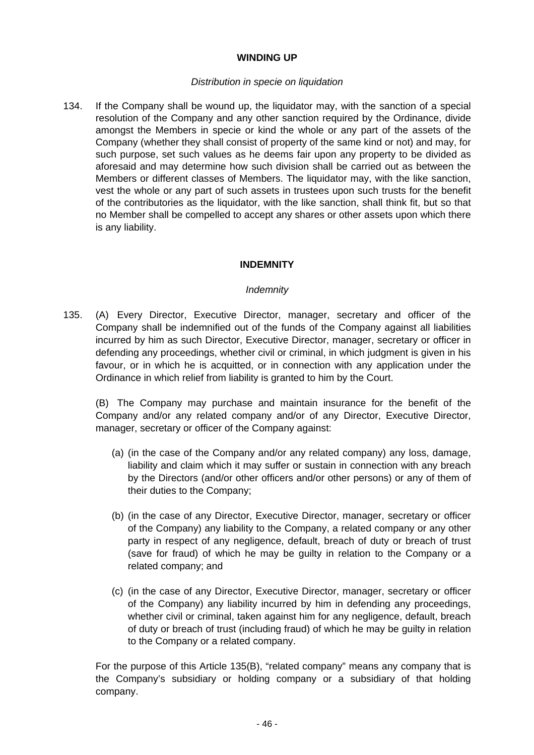#### **WINDING UP**

#### *Distribution in specie on liquidation*

134. If the Company shall be wound up, the liquidator may, with the sanction of a special resolution of the Company and any other sanction required by the Ordinance, divide amongst the Members in specie or kind the whole or any part of the assets of the Company (whether they shall consist of property of the same kind or not) and may, for such purpose, set such values as he deems fair upon any property to be divided as aforesaid and may determine how such division shall be carried out as between the Members or different classes of Members. The liquidator may, with the like sanction, vest the whole or any part of such assets in trustees upon such trusts for the benefit of the contributories as the liquidator, with the like sanction, shall think fit, but so that no Member shall be compelled to accept any shares or other assets upon which there is any liability.

#### **INDEMNITY**

#### *Indemnity*

135. (A) Every Director, Executive Director, manager, secretary and officer of the Company shall be indemnified out of the funds of the Company against all liabilities incurred by him as such Director, Executive Director, manager, secretary or officer in defending any proceedings, whether civil or criminal, in which judgment is given in his favour, or in which he is acquitted, or in connection with any application under the Ordinance in which relief from liability is granted to him by the Court.

 (B) The Company may purchase and maintain insurance for the benefit of the Company and/or any related company and/or of any Director, Executive Director, manager, secretary or officer of the Company against:

- (a) (in the case of the Company and/or any related company) any loss, damage, liability and claim which it may suffer or sustain in connection with any breach by the Directors (and/or other officers and/or other persons) or any of them of their duties to the Company;
- (b) (in the case of any Director, Executive Director, manager, secretary or officer of the Company) any liability to the Company, a related company or any other party in respect of any negligence, default, breach of duty or breach of trust (save for fraud) of which he may be guilty in relation to the Company or a related company; and
- (c) (in the case of any Director, Executive Director, manager, secretary or officer of the Company) any liability incurred by him in defending any proceedings, whether civil or criminal, taken against him for any negligence, default, breach of duty or breach of trust (including fraud) of which he may be guilty in relation to the Company or a related company.

 For the purpose of this Article 135(B), "related company" means any company that is the Company's subsidiary or holding company or a subsidiary of that holding company.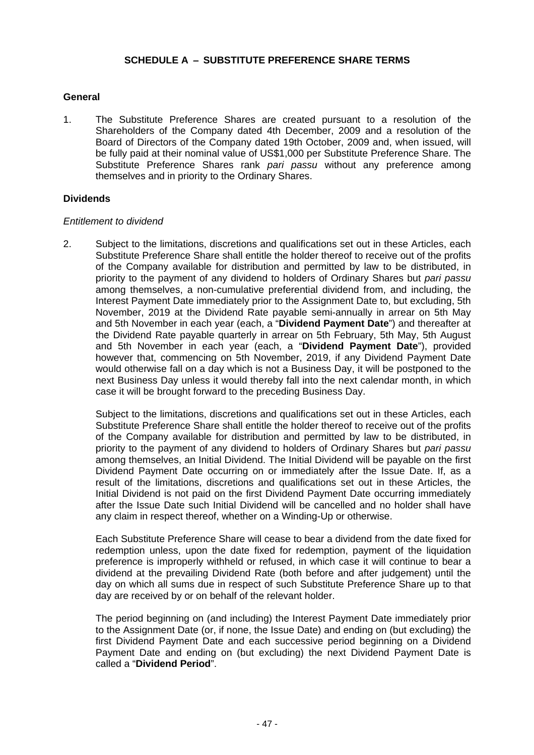#### **SCHEDULE A** – **SUBSTITUTE PREFERENCE SHARE TERMS**

#### **General**

1. The Substitute Preference Shares are created pursuant to a resolution of the Shareholders of the Company dated 4th December, 2009 and a resolution of the Board of Directors of the Company dated 19th October, 2009 and, when issued, will be fully paid at their nominal value of US\$1,000 per Substitute Preference Share. The Substitute Preference Shares rank *pari passu* without any preference among themselves and in priority to the Ordinary Shares.

#### **Dividends**

#### *Entitlement to dividend*

2. Subject to the limitations, discretions and qualifications set out in these Articles, each Substitute Preference Share shall entitle the holder thereof to receive out of the profits of the Company available for distribution and permitted by law to be distributed, in priority to the payment of any dividend to holders of Ordinary Shares but *pari passu*  among themselves, a non-cumulative preferential dividend from, and including, the Interest Payment Date immediately prior to the Assignment Date to, but excluding, 5th November, 2019 at the Dividend Rate payable semi-annually in arrear on 5th May and 5th November in each year (each, a "**Dividend Payment Date**") and thereafter at the Dividend Rate payable quarterly in arrear on 5th February, 5th May, 5th August and 5th November in each year (each, a "**Dividend Payment Date**"), provided however that, commencing on 5th November, 2019, if any Dividend Payment Date would otherwise fall on a day which is not a Business Day, it will be postponed to the next Business Day unless it would thereby fall into the next calendar month, in which case it will be brought forward to the preceding Business Day.

Subject to the limitations, discretions and qualifications set out in these Articles, each Substitute Preference Share shall entitle the holder thereof to receive out of the profits of the Company available for distribution and permitted by law to be distributed, in priority to the payment of any dividend to holders of Ordinary Shares but *pari passu*  among themselves, an Initial Dividend. The Initial Dividend will be payable on the first Dividend Payment Date occurring on or immediately after the Issue Date. If, as a result of the limitations, discretions and qualifications set out in these Articles, the Initial Dividend is not paid on the first Dividend Payment Date occurring immediately after the Issue Date such Initial Dividend will be cancelled and no holder shall have any claim in respect thereof, whether on a Winding-Up or otherwise.

Each Substitute Preference Share will cease to bear a dividend from the date fixed for redemption unless, upon the date fixed for redemption, payment of the liquidation preference is improperly withheld or refused, in which case it will continue to bear a dividend at the prevailing Dividend Rate (both before and after judgement) until the day on which all sums due in respect of such Substitute Preference Share up to that day are received by or on behalf of the relevant holder.

The period beginning on (and including) the Interest Payment Date immediately prior to the Assignment Date (or, if none, the Issue Date) and ending on (but excluding) the first Dividend Payment Date and each successive period beginning on a Dividend Payment Date and ending on (but excluding) the next Dividend Payment Date is called a "**Dividend Period**".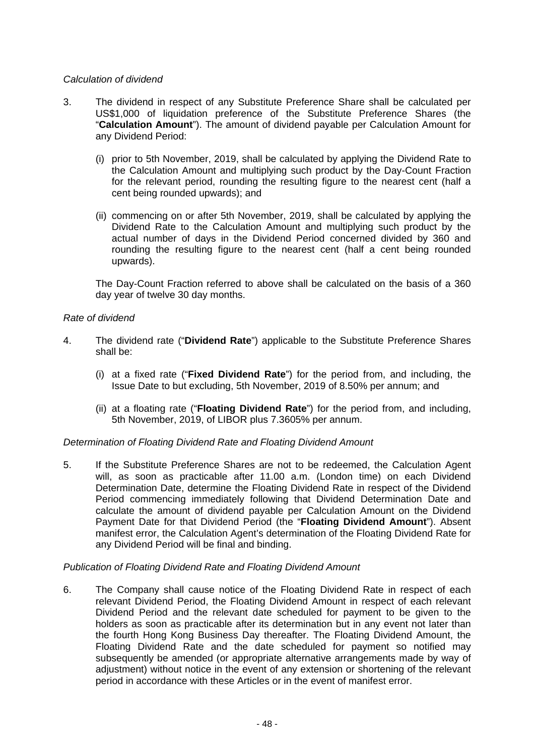#### *Calculation of dividend*

- 3. The dividend in respect of any Substitute Preference Share shall be calculated per US\$1,000 of liquidation preference of the Substitute Preference Shares (the "**Calculation Amount**"). The amount of dividend payable per Calculation Amount for any Dividend Period:
	- (i) prior to 5th November, 2019, shall be calculated by applying the Dividend Rate to the Calculation Amount and multiplying such product by the Day-Count Fraction for the relevant period, rounding the resulting figure to the nearest cent (half a cent being rounded upwards); and
	- (ii) commencing on or after 5th November, 2019, shall be calculated by applying the Dividend Rate to the Calculation Amount and multiplying such product by the actual number of days in the Dividend Period concerned divided by 360 and rounding the resulting figure to the nearest cent (half a cent being rounded upwards).

The Day-Count Fraction referred to above shall be calculated on the basis of a 360 day year of twelve 30 day months.

#### *Rate of dividend*

- 4. The dividend rate ("**Dividend Rate**") applicable to the Substitute Preference Shares shall be:
	- (i) at a fixed rate ("**Fixed Dividend Rate**") for the period from, and including, the Issue Date to but excluding, 5th November, 2019 of 8.50% per annum; and
	- (ii) at a floating rate ("**Floating Dividend Rate**") for the period from, and including, 5th November, 2019, of LIBOR plus 7.3605% per annum.

#### *Determination of Floating Dividend Rate and Floating Dividend Amount*

5. If the Substitute Preference Shares are not to be redeemed, the Calculation Agent will, as soon as practicable after 11.00 a.m. (London time) on each Dividend Determination Date, determine the Floating Dividend Rate in respect of the Dividend Period commencing immediately following that Dividend Determination Date and calculate the amount of dividend payable per Calculation Amount on the Dividend Payment Date for that Dividend Period (the "**Floating Dividend Amount**"). Absent manifest error, the Calculation Agent's determination of the Floating Dividend Rate for any Dividend Period will be final and binding.

#### *Publication of Floating Dividend Rate and Floating Dividend Amount*

6. The Company shall cause notice of the Floating Dividend Rate in respect of each relevant Dividend Period, the Floating Dividend Amount in respect of each relevant Dividend Period and the relevant date scheduled for payment to be given to the holders as soon as practicable after its determination but in any event not later than the fourth Hong Kong Business Day thereafter. The Floating Dividend Amount, the Floating Dividend Rate and the date scheduled for payment so notified may subsequently be amended (or appropriate alternative arrangements made by way of adjustment) without notice in the event of any extension or shortening of the relevant period in accordance with these Articles or in the event of manifest error.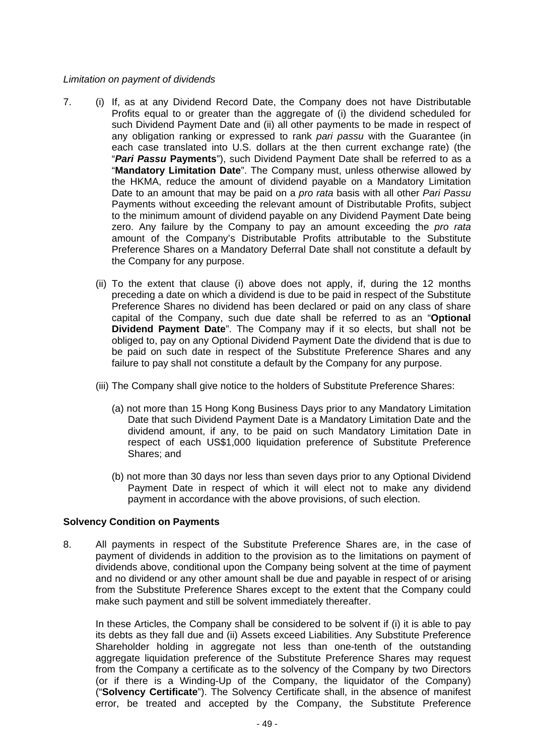#### *Limitation on payment of dividends*

- 7. (i) If, as at any Dividend Record Date, the Company does not have Distributable Profits equal to or greater than the aggregate of (i) the dividend scheduled for such Dividend Payment Date and (ii) all other payments to be made in respect of any obligation ranking or expressed to rank *pari passu* with the Guarantee (in each case translated into U.S. dollars at the then current exchange rate) (the "*Pari Passu* **Payments**"), such Dividend Payment Date shall be referred to as a "**Mandatory Limitation Date**". The Company must, unless otherwise allowed by the HKMA, reduce the amount of dividend payable on a Mandatory Limitation Date to an amount that may be paid on a *pro rata* basis with all other *Pari Passu*  Payments without exceeding the relevant amount of Distributable Profits, subject to the minimum amount of dividend payable on any Dividend Payment Date being zero. Any failure by the Company to pay an amount exceeding the *pro rata*  amount of the Company's Distributable Profits attributable to the Substitute Preference Shares on a Mandatory Deferral Date shall not constitute a default by the Company for any purpose.
	- (ii) To the extent that clause (i) above does not apply, if, during the 12 months preceding a date on which a dividend is due to be paid in respect of the Substitute Preference Shares no dividend has been declared or paid on any class of share capital of the Company, such due date shall be referred to as an "**Optional Dividend Payment Date**". The Company may if it so elects, but shall not be obliged to, pay on any Optional Dividend Payment Date the dividend that is due to be paid on such date in respect of the Substitute Preference Shares and any failure to pay shall not constitute a default by the Company for any purpose.
	- (iii) The Company shall give notice to the holders of Substitute Preference Shares:
		- (a) not more than 15 Hong Kong Business Days prior to any Mandatory Limitation Date that such Dividend Payment Date is a Mandatory Limitation Date and the dividend amount, if any, to be paid on such Mandatory Limitation Date in respect of each US\$1,000 liquidation preference of Substitute Preference Shares; and
		- (b) not more than 30 days nor less than seven days prior to any Optional Dividend Payment Date in respect of which it will elect not to make any dividend payment in accordance with the above provisions, of such election.

#### **Solvency Condition on Payments**

8. All payments in respect of the Substitute Preference Shares are, in the case of payment of dividends in addition to the provision as to the limitations on payment of dividends above, conditional upon the Company being solvent at the time of payment and no dividend or any other amount shall be due and payable in respect of or arising from the Substitute Preference Shares except to the extent that the Company could make such payment and still be solvent immediately thereafter.

In these Articles, the Company shall be considered to be solvent if (i) it is able to pay its debts as they fall due and (ii) Assets exceed Liabilities. Any Substitute Preference Shareholder holding in aggregate not less than one-tenth of the outstanding aggregate liquidation preference of the Substitute Preference Shares may request from the Company a certificate as to the solvency of the Company by two Directors (or if there is a Winding-Up of the Company, the liquidator of the Company) ("**Solvency Certificate**"). The Solvency Certificate shall, in the absence of manifest error, be treated and accepted by the Company, the Substitute Preference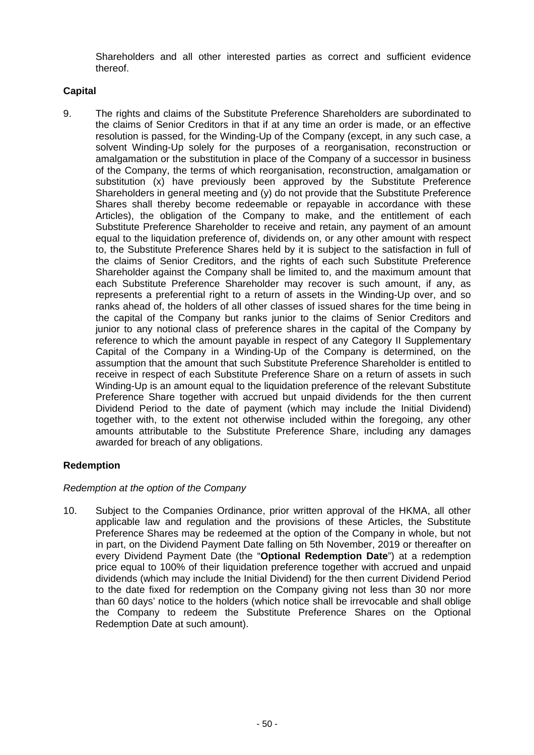Shareholders and all other interested parties as correct and sufficient evidence thereof.

#### **Capital**

9. The rights and claims of the Substitute Preference Shareholders are subordinated to the claims of Senior Creditors in that if at any time an order is made, or an effective resolution is passed, for the Winding-Up of the Company (except, in any such case, a solvent Winding-Up solely for the purposes of a reorganisation, reconstruction or amalgamation or the substitution in place of the Company of a successor in business of the Company, the terms of which reorganisation, reconstruction, amalgamation or substitution (x) have previously been approved by the Substitute Preference Shareholders in general meeting and (y) do not provide that the Substitute Preference Shares shall thereby become redeemable or repayable in accordance with these Articles), the obligation of the Company to make, and the entitlement of each Substitute Preference Shareholder to receive and retain, any payment of an amount equal to the liquidation preference of, dividends on, or any other amount with respect to, the Substitute Preference Shares held by it is subject to the satisfaction in full of the claims of Senior Creditors, and the rights of each such Substitute Preference Shareholder against the Company shall be limited to, and the maximum amount that each Substitute Preference Shareholder may recover is such amount, if any, as represents a preferential right to a return of assets in the Winding-Up over, and so ranks ahead of, the holders of all other classes of issued shares for the time being in the capital of the Company but ranks junior to the claims of Senior Creditors and junior to any notional class of preference shares in the capital of the Company by reference to which the amount payable in respect of any Category II Supplementary Capital of the Company in a Winding-Up of the Company is determined, on the assumption that the amount that such Substitute Preference Shareholder is entitled to receive in respect of each Substitute Preference Share on a return of assets in such Winding-Up is an amount equal to the liquidation preference of the relevant Substitute Preference Share together with accrued but unpaid dividends for the then current Dividend Period to the date of payment (which may include the Initial Dividend) together with, to the extent not otherwise included within the foregoing, any other amounts attributable to the Substitute Preference Share, including any damages awarded for breach of any obligations.

# **Redemption**

#### *Redemption at the option of the Company*

10. Subject to the Companies Ordinance, prior written approval of the HKMA, all other applicable law and regulation and the provisions of these Articles, the Substitute Preference Shares may be redeemed at the option of the Company in whole, but not in part, on the Dividend Payment Date falling on 5th November, 2019 or thereafter on every Dividend Payment Date (the "**Optional Redemption Date**") at a redemption price equal to 100% of their liquidation preference together with accrued and unpaid dividends (which may include the Initial Dividend) for the then current Dividend Period to the date fixed for redemption on the Company giving not less than 30 nor more than 60 days' notice to the holders (which notice shall be irrevocable and shall oblige the Company to redeem the Substitute Preference Shares on the Optional Redemption Date at such amount).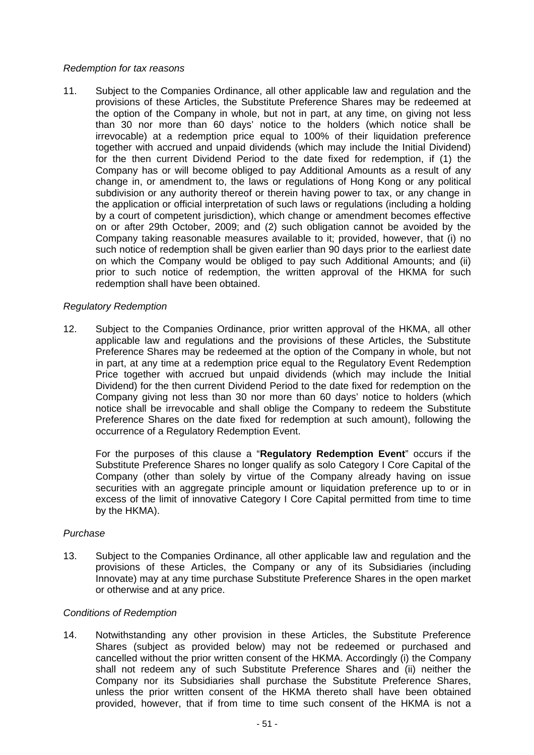#### *Redemption for tax reasons*

11. Subject to the Companies Ordinance, all other applicable law and regulation and the provisions of these Articles, the Substitute Preference Shares may be redeemed at the option of the Company in whole, but not in part, at any time, on giving not less than 30 nor more than 60 days' notice to the holders (which notice shall be irrevocable) at a redemption price equal to 100% of their liquidation preference together with accrued and unpaid dividends (which may include the Initial Dividend) for the then current Dividend Period to the date fixed for redemption, if (1) the Company has or will become obliged to pay Additional Amounts as a result of any change in, or amendment to, the laws or regulations of Hong Kong or any political subdivision or any authority thereof or therein having power to tax, or any change in the application or official interpretation of such laws or regulations (including a holding by a court of competent jurisdiction), which change or amendment becomes effective on or after 29th October, 2009; and (2) such obligation cannot be avoided by the Company taking reasonable measures available to it; provided, however, that (i) no such notice of redemption shall be given earlier than 90 days prior to the earliest date on which the Company would be obliged to pay such Additional Amounts; and (ii) prior to such notice of redemption, the written approval of the HKMA for such redemption shall have been obtained.

#### *Regulatory Redemption*

12. Subject to the Companies Ordinance, prior written approval of the HKMA, all other applicable law and regulations and the provisions of these Articles, the Substitute Preference Shares may be redeemed at the option of the Company in whole, but not in part, at any time at a redemption price equal to the Regulatory Event Redemption Price together with accrued but unpaid dividends (which may include the Initial Dividend) for the then current Dividend Period to the date fixed for redemption on the Company giving not less than 30 nor more than 60 days' notice to holders (which notice shall be irrevocable and shall oblige the Company to redeem the Substitute Preference Shares on the date fixed for redemption at such amount), following the occurrence of a Regulatory Redemption Event.

For the purposes of this clause a "**Regulatory Redemption Event**" occurs if the Substitute Preference Shares no longer qualify as solo Category I Core Capital of the Company (other than solely by virtue of the Company already having on issue securities with an aggregate principle amount or liquidation preference up to or in excess of the limit of innovative Category I Core Capital permitted from time to time by the HKMA).

#### *Purchase*

13. Subject to the Companies Ordinance, all other applicable law and regulation and the provisions of these Articles, the Company or any of its Subsidiaries (including Innovate) may at any time purchase Substitute Preference Shares in the open market or otherwise and at any price.

#### *Conditions of Redemption*

14. Notwithstanding any other provision in these Articles, the Substitute Preference Shares (subject as provided below) may not be redeemed or purchased and cancelled without the prior written consent of the HKMA. Accordingly (i) the Company shall not redeem any of such Substitute Preference Shares and (ii) neither the Company nor its Subsidiaries shall purchase the Substitute Preference Shares, unless the prior written consent of the HKMA thereto shall have been obtained provided, however, that if from time to time such consent of the HKMA is not a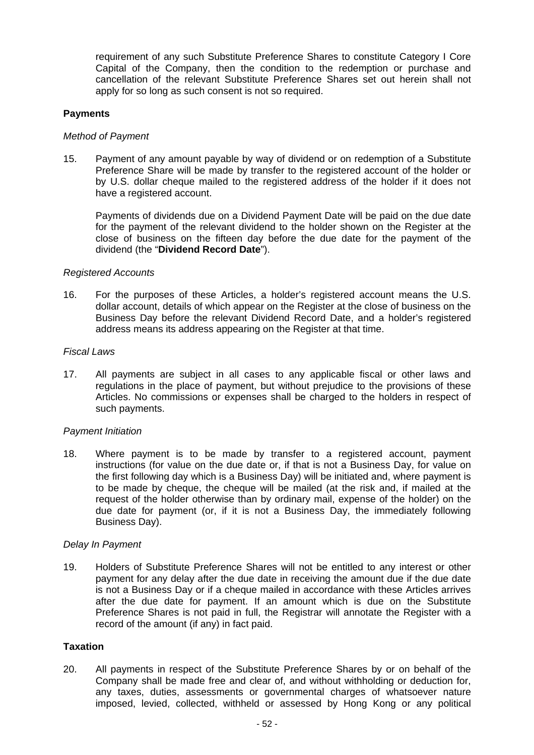requirement of any such Substitute Preference Shares to constitute Category I Core Capital of the Company, then the condition to the redemption or purchase and cancellation of the relevant Substitute Preference Shares set out herein shall not apply for so long as such consent is not so required.

#### **Payments**

#### *Method of Payment*

15. Payment of any amount payable by way of dividend or on redemption of a Substitute Preference Share will be made by transfer to the registered account of the holder or by U.S. dollar cheque mailed to the registered address of the holder if it does not have a registered account.

Payments of dividends due on a Dividend Payment Date will be paid on the due date for the payment of the relevant dividend to the holder shown on the Register at the close of business on the fifteen day before the due date for the payment of the dividend (the "**Dividend Record Date**").

#### *Registered Accounts*

16. For the purposes of these Articles, a holder's registered account means the U.S. dollar account, details of which appear on the Register at the close of business on the Business Day before the relevant Dividend Record Date, and a holder's registered address means its address appearing on the Register at that time.

#### *Fiscal Laws*

17. All payments are subject in all cases to any applicable fiscal or other laws and regulations in the place of payment, but without prejudice to the provisions of these Articles. No commissions or expenses shall be charged to the holders in respect of such payments.

#### *Payment Initiation*

18. Where payment is to be made by transfer to a registered account, payment instructions (for value on the due date or, if that is not a Business Day, for value on the first following day which is a Business Day) will be initiated and, where payment is to be made by cheque, the cheque will be mailed (at the risk and, if mailed at the request of the holder otherwise than by ordinary mail, expense of the holder) on the due date for payment (or, if it is not a Business Day, the immediately following Business Day).

#### *Delay In Payment*

19. Holders of Substitute Preference Shares will not be entitled to any interest or other payment for any delay after the due date in receiving the amount due if the due date is not a Business Day or if a cheque mailed in accordance with these Articles arrives after the due date for payment. If an amount which is due on the Substitute Preference Shares is not paid in full, the Registrar will annotate the Register with a record of the amount (if any) in fact paid.

#### **Taxation**

20. All payments in respect of the Substitute Preference Shares by or on behalf of the Company shall be made free and clear of, and without withholding or deduction for, any taxes, duties, assessments or governmental charges of whatsoever nature imposed, levied, collected, withheld or assessed by Hong Kong or any political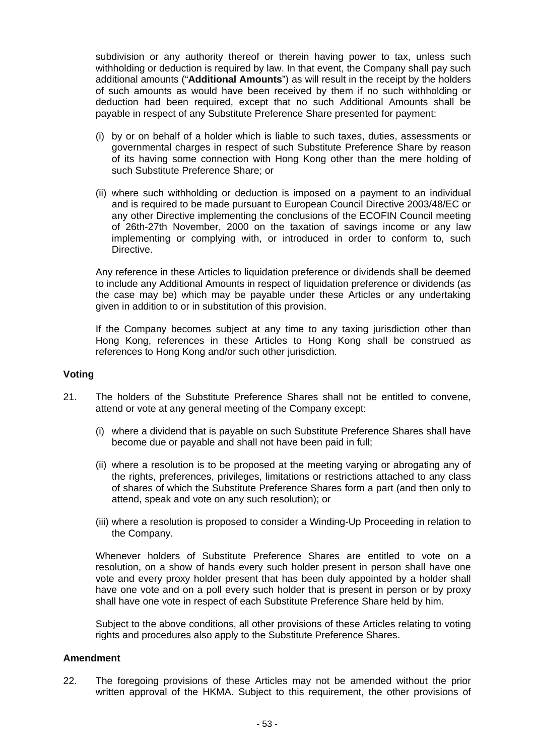subdivision or any authority thereof or therein having power to tax, unless such withholding or deduction is required by law. In that event, the Company shall pay such additional amounts ("**Additional Amounts**") as will result in the receipt by the holders of such amounts as would have been received by them if no such withholding or deduction had been required, except that no such Additional Amounts shall be payable in respect of any Substitute Preference Share presented for payment:

- (i) by or on behalf of a holder which is liable to such taxes, duties, assessments or governmental charges in respect of such Substitute Preference Share by reason of its having some connection with Hong Kong other than the mere holding of such Substitute Preference Share; or
- (ii) where such withholding or deduction is imposed on a payment to an individual and is required to be made pursuant to European Council Directive 2003/48/EC or any other Directive implementing the conclusions of the ECOFIN Council meeting of 26th-27th November, 2000 on the taxation of savings income or any law implementing or complying with, or introduced in order to conform to, such Directive.

Any reference in these Articles to liquidation preference or dividends shall be deemed to include any Additional Amounts in respect of liquidation preference or dividends (as the case may be) which may be payable under these Articles or any undertaking given in addition to or in substitution of this provision.

If the Company becomes subject at any time to any taxing jurisdiction other than Hong Kong, references in these Articles to Hong Kong shall be construed as references to Hong Kong and/or such other jurisdiction.

#### **Voting**

- 21. The holders of the Substitute Preference Shares shall not be entitled to convene, attend or vote at any general meeting of the Company except:
	- (i) where a dividend that is payable on such Substitute Preference Shares shall have become due or payable and shall not have been paid in full;
	- (ii) where a resolution is to be proposed at the meeting varying or abrogating any of the rights, preferences, privileges, limitations or restrictions attached to any class of shares of which the Substitute Preference Shares form a part (and then only to attend, speak and vote on any such resolution); or
	- (iii) where a resolution is proposed to consider a Winding-Up Proceeding in relation to the Company.

Whenever holders of Substitute Preference Shares are entitled to vote on a resolution, on a show of hands every such holder present in person shall have one vote and every proxy holder present that has been duly appointed by a holder shall have one vote and on a poll every such holder that is present in person or by proxy shall have one vote in respect of each Substitute Preference Share held by him.

Subject to the above conditions, all other provisions of these Articles relating to voting rights and procedures also apply to the Substitute Preference Shares.

#### **Amendment**

22. The foregoing provisions of these Articles may not be amended without the prior written approval of the HKMA. Subject to this requirement, the other provisions of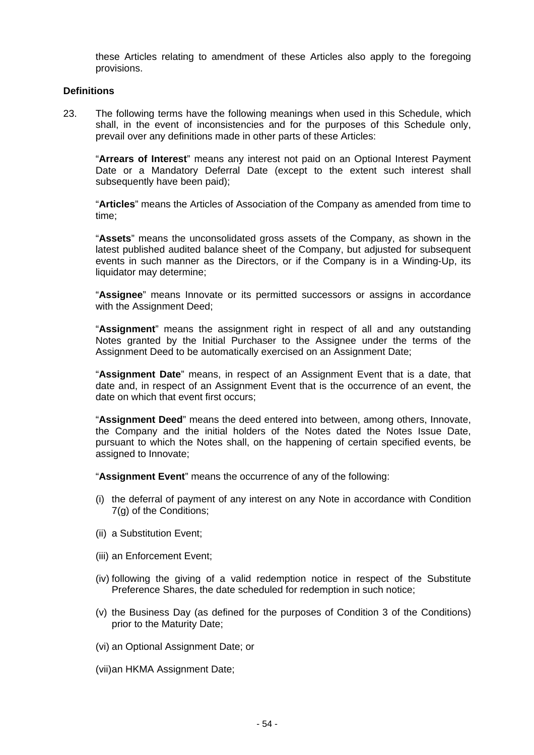these Articles relating to amendment of these Articles also apply to the foregoing provisions.

#### **Definitions**

23. The following terms have the following meanings when used in this Schedule, which shall, in the event of inconsistencies and for the purposes of this Schedule only, prevail over any definitions made in other parts of these Articles:

"**Arrears of Interest**" means any interest not paid on an Optional Interest Payment Date or a Mandatory Deferral Date (except to the extent such interest shall subsequently have been paid);

"**Articles**" means the Articles of Association of the Company as amended from time to time;

"**Assets**" means the unconsolidated gross assets of the Company, as shown in the latest published audited balance sheet of the Company, but adjusted for subsequent events in such manner as the Directors, or if the Company is in a Winding-Up, its liquidator may determine;

"**Assignee**" means Innovate or its permitted successors or assigns in accordance with the Assignment Deed;

"**Assignment**" means the assignment right in respect of all and any outstanding Notes granted by the Initial Purchaser to the Assignee under the terms of the Assignment Deed to be automatically exercised on an Assignment Date;

"**Assignment Date**" means, in respect of an Assignment Event that is a date, that date and, in respect of an Assignment Event that is the occurrence of an event, the date on which that event first occurs;

"**Assignment Deed**" means the deed entered into between, among others, Innovate, the Company and the initial holders of the Notes dated the Notes Issue Date, pursuant to which the Notes shall, on the happening of certain specified events, be assigned to Innovate;

"**Assignment Event**" means the occurrence of any of the following:

- (i) the deferral of payment of any interest on any Note in accordance with Condition 7(g) of the Conditions;
- (ii) a Substitution Event;
- (iii) an Enforcement Event;
- (iv) following the giving of a valid redemption notice in respect of the Substitute Preference Shares, the date scheduled for redemption in such notice;
- (v) the Business Day (as defined for the purposes of Condition 3 of the Conditions) prior to the Maturity Date;
- (vi) an Optional Assignment Date; or
- (vii) an HKMA Assignment Date;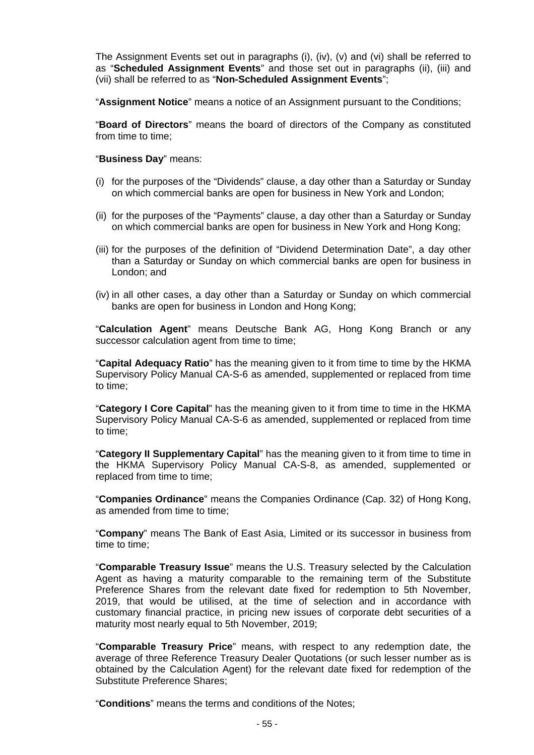The Assignment Events set out in paragraphs (i), (iv), (v) and (vi) shall be referred to as "**Scheduled Assignment Events**" and those set out in paragraphs (ii), (iii) and (vii) shall be referred to as "**Non-Scheduled Assignment Events**";

"**Assignment Notice**" means a notice of an Assignment pursuant to the Conditions;

"**Board of Directors**" means the board of directors of the Company as constituted from time to time;

#### "**Business Day**" means:

- (i) for the purposes of the "Dividends" clause, a day other than a Saturday or Sunday on which commercial banks are open for business in New York and London;
- (ii) for the purposes of the "Payments" clause, a day other than a Saturday or Sunday on which commercial banks are open for business in New York and Hong Kong;
- (iii) for the purposes of the definition of "Dividend Determination Date", a day other than a Saturday or Sunday on which commercial banks are open for business in London; and
- (iv) in all other cases, a day other than a Saturday or Sunday on which commercial banks are open for business in London and Hong Kong;

"**Calculation Agent**" means Deutsche Bank AG, Hong Kong Branch or any successor calculation agent from time to time:

"**Capital Adequacy Ratio**" has the meaning given to it from time to time by the HKMA Supervisory Policy Manual CA-S-6 as amended, supplemented or replaced from time to time;

"**Category I Core Capital**" has the meaning given to it from time to time in the HKMA Supervisory Policy Manual CA-S-6 as amended, supplemented or replaced from time to time;

"**Category II Supplementary Capital**" has the meaning given to it from time to time in the HKMA Supervisory Policy Manual CA-S-8, as amended, supplemented or replaced from time to time;

"**Companies Ordinance**" means the Companies Ordinance (Cap. 32) of Hong Kong, as amended from time to time;

"**Company**" means The Bank of East Asia, Limited or its successor in business from time to time;

"**Comparable Treasury Issue**" means the U.S. Treasury selected by the Calculation Agent as having a maturity comparable to the remaining term of the Substitute Preference Shares from the relevant date fixed for redemption to 5th November, 2019, that would be utilised, at the time of selection and in accordance with customary financial practice, in pricing new issues of corporate debt securities of a maturity most nearly equal to 5th November, 2019;

"**Comparable Treasury Price**" means, with respect to any redemption date, the average of three Reference Treasury Dealer Quotations (or such lesser number as is obtained by the Calculation Agent) for the relevant date fixed for redemption of the Substitute Preference Shares;

"**Conditions**" means the terms and conditions of the Notes;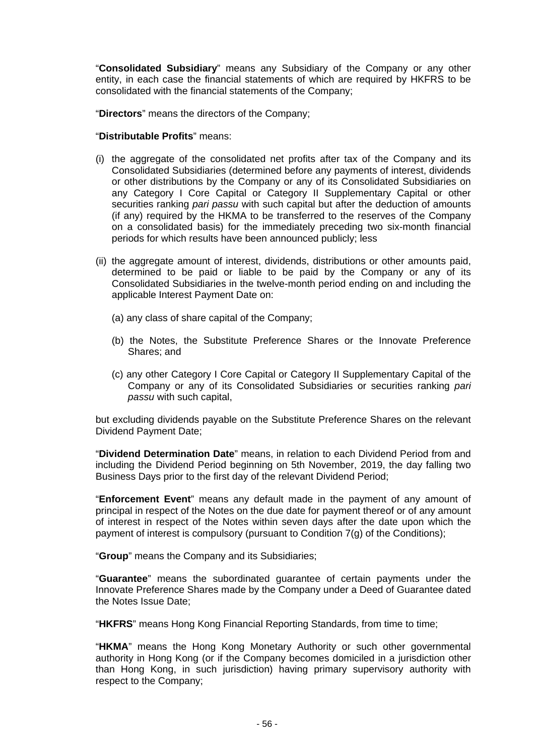"**Consolidated Subsidiary**" means any Subsidiary of the Company or any other entity, in each case the financial statements of which are required by HKFRS to be consolidated with the financial statements of the Company;

"**Directors**" means the directors of the Company;

#### "**Distributable Profits**" means:

- (i) the aggregate of the consolidated net profits after tax of the Company and its Consolidated Subsidiaries (determined before any payments of interest, dividends or other distributions by the Company or any of its Consolidated Subsidiaries on any Category I Core Capital or Category II Supplementary Capital or other securities ranking *pari passu* with such capital but after the deduction of amounts (if any) required by the HKMA to be transferred to the reserves of the Company on a consolidated basis) for the immediately preceding two six-month financial periods for which results have been announced publicly; less
- (ii) the aggregate amount of interest, dividends, distributions or other amounts paid, determined to be paid or liable to be paid by the Company or any of its Consolidated Subsidiaries in the twelve-month period ending on and including the applicable Interest Payment Date on:
	- (a) any class of share capital of the Company;
	- (b) the Notes, the Substitute Preference Shares or the Innovate Preference Shares; and
	- (c) any other Category I Core Capital or Category II Supplementary Capital of the Company or any of its Consolidated Subsidiaries or securities ranking *pari passu* with such capital,

but excluding dividends payable on the Substitute Preference Shares on the relevant Dividend Payment Date;

"**Dividend Determination Date**" means, in relation to each Dividend Period from and including the Dividend Period beginning on 5th November, 2019, the day falling two Business Days prior to the first day of the relevant Dividend Period;

"**Enforcement Event**" means any default made in the payment of any amount of principal in respect of the Notes on the due date for payment thereof or of any amount of interest in respect of the Notes within seven days after the date upon which the payment of interest is compulsory (pursuant to Condition 7(g) of the Conditions);

"**Group**" means the Company and its Subsidiaries;

"**Guarantee**" means the subordinated guarantee of certain payments under the Innovate Preference Shares made by the Company under a Deed of Guarantee dated the Notes Issue Date;

"**HKFRS**" means Hong Kong Financial Reporting Standards, from time to time;

"**HKMA**" means the Hong Kong Monetary Authority or such other governmental authority in Hong Kong (or if the Company becomes domiciled in a jurisdiction other than Hong Kong, in such jurisdiction) having primary supervisory authority with respect to the Company;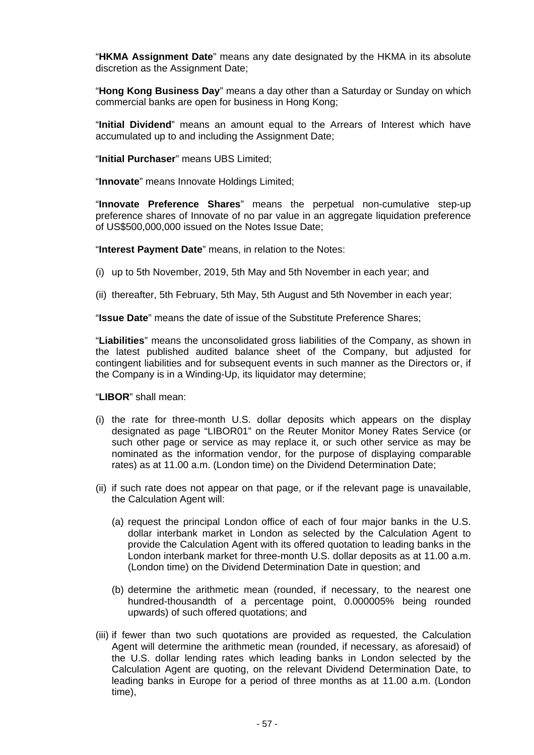"**HKMA Assignment Date**" means any date designated by the HKMA in its absolute discretion as the Assignment Date;

"**Hong Kong Business Day**" means a day other than a Saturday or Sunday on which commercial banks are open for business in Hong Kong;

"**Initial Dividend**" means an amount equal to the Arrears of Interest which have accumulated up to and including the Assignment Date;

"**Initial Purchaser**" means UBS Limited;

"**Innovate**" means Innovate Holdings Limited;

"**Innovate Preference Shares**" means the perpetual non-cumulative step-up preference shares of Innovate of no par value in an aggregate liquidation preference of US\$500,000,000 issued on the Notes Issue Date;

"**Interest Payment Date**" means, in relation to the Notes:

- (i) up to 5th November, 2019, 5th May and 5th November in each year; and
- (ii) thereafter, 5th February, 5th May, 5th August and 5th November in each year;

"**Issue Date**" means the date of issue of the Substitute Preference Shares;

"**Liabilities**" means the unconsolidated gross liabilities of the Company, as shown in the latest published audited balance sheet of the Company, but adjusted for contingent liabilities and for subsequent events in such manner as the Directors or, if the Company is in a Winding-Up, its liquidator may determine;

"**LIBOR**" shall mean:

- (i) the rate for three-month U.S. dollar deposits which appears on the display designated as page "LIBOR01" on the Reuter Monitor Money Rates Service (or such other page or service as may replace it, or such other service as may be nominated as the information vendor, for the purpose of displaying comparable rates) as at 11.00 a.m. (London time) on the Dividend Determination Date;
- (ii) if such rate does not appear on that page, or if the relevant page is unavailable, the Calculation Agent will:
	- (a) request the principal London office of each of four major banks in the U.S. dollar interbank market in London as selected by the Calculation Agent to provide the Calculation Agent with its offered quotation to leading banks in the London interbank market for three-month U.S. dollar deposits as at 11.00 a.m. (London time) on the Dividend Determination Date in question; and
	- (b) determine the arithmetic mean (rounded, if necessary, to the nearest one hundred-thousandth of a percentage point, 0.000005% being rounded upwards) of such offered quotations; and
- (iii) if fewer than two such quotations are provided as requested, the Calculation Agent will determine the arithmetic mean (rounded, if necessary, as aforesaid) of the U.S. dollar lending rates which leading banks in London selected by the Calculation Agent are quoting, on the relevant Dividend Determination Date, to leading banks in Europe for a period of three months as at 11.00 a.m. (London time),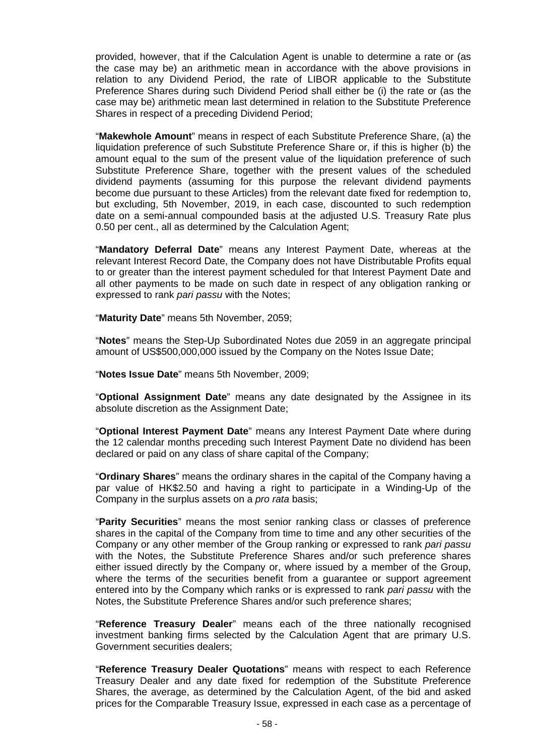provided, however, that if the Calculation Agent is unable to determine a rate or (as the case may be) an arithmetic mean in accordance with the above provisions in relation to any Dividend Period, the rate of LIBOR applicable to the Substitute Preference Shares during such Dividend Period shall either be (i) the rate or (as the case may be) arithmetic mean last determined in relation to the Substitute Preference Shares in respect of a preceding Dividend Period;

"**Makewhole Amount**" means in respect of each Substitute Preference Share, (a) the liquidation preference of such Substitute Preference Share or, if this is higher (b) the amount equal to the sum of the present value of the liquidation preference of such Substitute Preference Share, together with the present values of the scheduled dividend payments (assuming for this purpose the relevant dividend payments become due pursuant to these Articles) from the relevant date fixed for redemption to, but excluding, 5th November, 2019, in each case, discounted to such redemption date on a semi-annual compounded basis at the adjusted U.S. Treasury Rate plus 0.50 per cent., all as determined by the Calculation Agent;

"**Mandatory Deferral Date**" means any Interest Payment Date, whereas at the relevant Interest Record Date, the Company does not have Distributable Profits equal to or greater than the interest payment scheduled for that Interest Payment Date and all other payments to be made on such date in respect of any obligation ranking or expressed to rank *pari passu* with the Notes;

"**Maturity Date**" means 5th November, 2059;

"**Notes**" means the Step-Up Subordinated Notes due 2059 in an aggregate principal amount of US\$500,000,000 issued by the Company on the Notes Issue Date;

"**Notes Issue Date**" means 5th November, 2009;

"**Optional Assignment Date**" means any date designated by the Assignee in its absolute discretion as the Assignment Date;

"**Optional Interest Payment Date**" means any Interest Payment Date where during the 12 calendar months preceding such Interest Payment Date no dividend has been declared or paid on any class of share capital of the Company;

"**Ordinary Shares**" means the ordinary shares in the capital of the Company having a par value of HK\$2.50 and having a right to participate in a Winding-Up of the Company in the surplus assets on a *pro rata* basis;

"**Parity Securities**" means the most senior ranking class or classes of preference shares in the capital of the Company from time to time and any other securities of the Company or any other member of the Group ranking or expressed to rank *pari passu*  with the Notes, the Substitute Preference Shares and/or such preference shares either issued directly by the Company or, where issued by a member of the Group, where the terms of the securities benefit from a guarantee or support agreement entered into by the Company which ranks or is expressed to rank *pari passu* with the Notes, the Substitute Preference Shares and/or such preference shares;

"**Reference Treasury Dealer**" means each of the three nationally recognised investment banking firms selected by the Calculation Agent that are primary U.S. Government securities dealers;

"**Reference Treasury Dealer Quotations**" means with respect to each Reference Treasury Dealer and any date fixed for redemption of the Substitute Preference Shares, the average, as determined by the Calculation Agent, of the bid and asked prices for the Comparable Treasury Issue, expressed in each case as a percentage of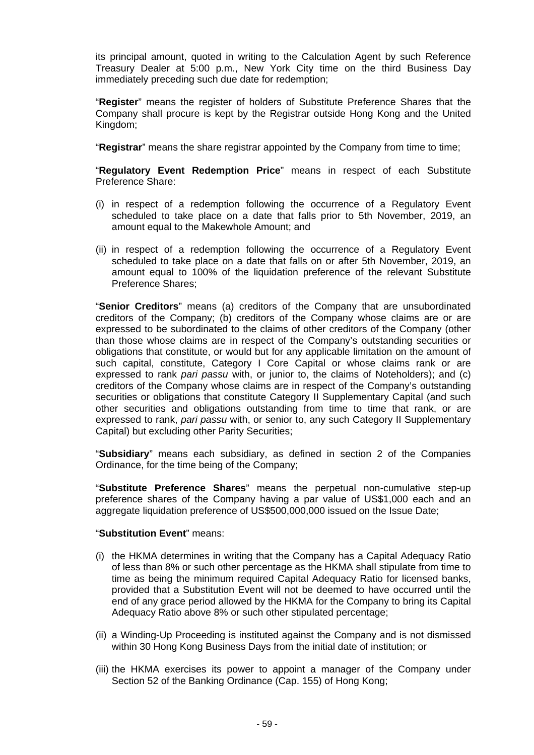its principal amount, quoted in writing to the Calculation Agent by such Reference Treasury Dealer at 5:00 p.m., New York City time on the third Business Day immediately preceding such due date for redemption;

"**Register**" means the register of holders of Substitute Preference Shares that the Company shall procure is kept by the Registrar outside Hong Kong and the United Kingdom;

"**Registrar**" means the share registrar appointed by the Company from time to time;

"**Regulatory Event Redemption Price**" means in respect of each Substitute Preference Share:

- (i) in respect of a redemption following the occurrence of a Regulatory Event scheduled to take place on a date that falls prior to 5th November, 2019, an amount equal to the Makewhole Amount; and
- (ii) in respect of a redemption following the occurrence of a Regulatory Event scheduled to take place on a date that falls on or after 5th November, 2019, an amount equal to 100% of the liquidation preference of the relevant Substitute Preference Shares;

"**Senior Creditors**" means (a) creditors of the Company that are unsubordinated creditors of the Company; (b) creditors of the Company whose claims are or are expressed to be subordinated to the claims of other creditors of the Company (other than those whose claims are in respect of the Company's outstanding securities or obligations that constitute, or would but for any applicable limitation on the amount of such capital, constitute, Category I Core Capital or whose claims rank or are expressed to rank *pari passu* with, or junior to, the claims of Noteholders); and (c) creditors of the Company whose claims are in respect of the Company's outstanding securities or obligations that constitute Category II Supplementary Capital (and such other securities and obligations outstanding from time to time that rank, or are expressed to rank, *pari passu* with, or senior to, any such Category II Supplementary Capital) but excluding other Parity Securities;

"**Subsidiary**" means each subsidiary, as defined in section 2 of the Companies Ordinance, for the time being of the Company;

"**Substitute Preference Shares**" means the perpetual non-cumulative step-up preference shares of the Company having a par value of US\$1,000 each and an aggregate liquidation preference of US\$500,000,000 issued on the Issue Date;

#### "**Substitution Event**" means:

- (i) the HKMA determines in writing that the Company has a Capital Adequacy Ratio of less than 8% or such other percentage as the HKMA shall stipulate from time to time as being the minimum required Capital Adequacy Ratio for licensed banks, provided that a Substitution Event will not be deemed to have occurred until the end of any grace period allowed by the HKMA for the Company to bring its Capital Adequacy Ratio above 8% or such other stipulated percentage;
- (ii) a Winding-Up Proceeding is instituted against the Company and is not dismissed within 30 Hong Kong Business Days from the initial date of institution; or
- (iii) the HKMA exercises its power to appoint a manager of the Company under Section 52 of the Banking Ordinance (Cap. 155) of Hong Kong;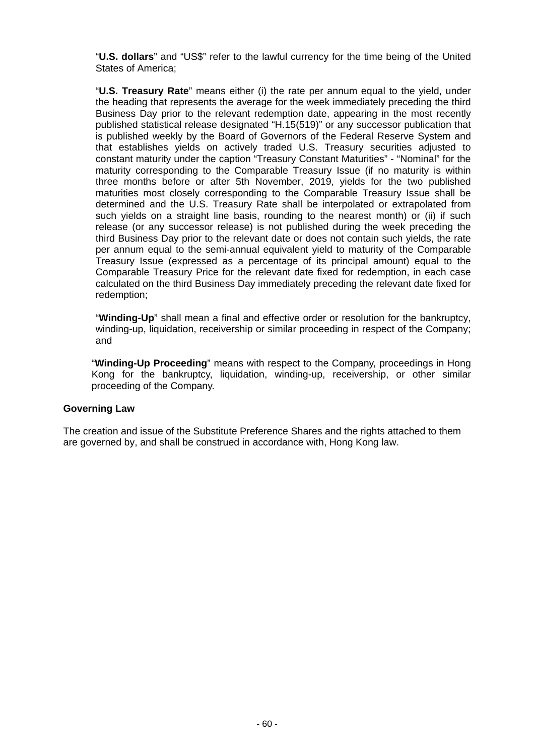"**U.S. dollars**" and "US\$" refer to the lawful currency for the time being of the United States of America;

"**U.S. Treasury Rate**" means either (i) the rate per annum equal to the yield, under the heading that represents the average for the week immediately preceding the third Business Day prior to the relevant redemption date, appearing in the most recently published statistical release designated "H.15(519)" or any successor publication that is published weekly by the Board of Governors of the Federal Reserve System and that establishes yields on actively traded U.S. Treasury securities adjusted to constant maturity under the caption "Treasury Constant Maturities" - "Nominal" for the maturity corresponding to the Comparable Treasury Issue (if no maturity is within three months before or after 5th November, 2019, yields for the two published maturities most closely corresponding to the Comparable Treasury Issue shall be determined and the U.S. Treasury Rate shall be interpolated or extrapolated from such yields on a straight line basis, rounding to the nearest month) or (ii) if such release (or any successor release) is not published during the week preceding the third Business Day prior to the relevant date or does not contain such yields, the rate per annum equal to the semi-annual equivalent yield to maturity of the Comparable Treasury Issue (expressed as a percentage of its principal amount) equal to the Comparable Treasury Price for the relevant date fixed for redemption, in each case calculated on the third Business Day immediately preceding the relevant date fixed for redemption;

"**Winding-Up**" shall mean a final and effective order or resolution for the bankruptcy, winding-up, liquidation, receivership or similar proceeding in respect of the Company; and

"**Winding-Up Proceeding**" means with respect to the Company, proceedings in Hong Kong for the bankruptcy, liquidation, winding-up, receivership, or other similar proceeding of the Company.

#### **Governing Law**

The creation and issue of the Substitute Preference Shares and the rights attached to them are governed by, and shall be construed in accordance with, Hong Kong law.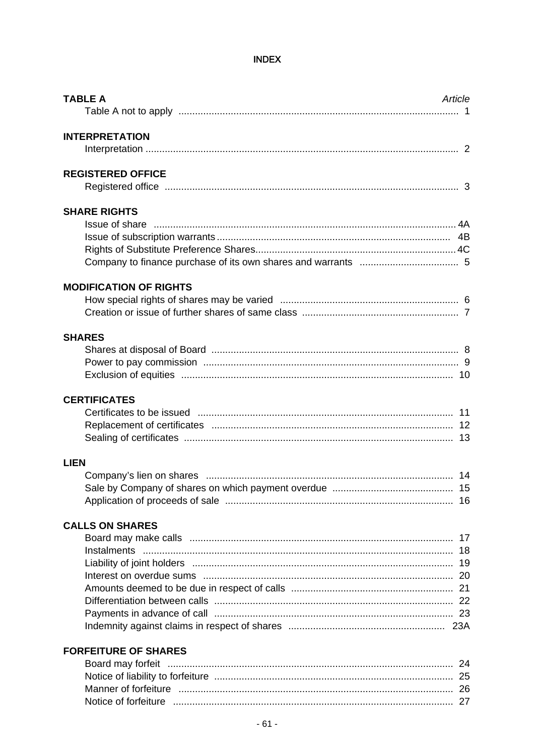# **INDEX**

| <b>TABLE A</b>                | Article |
|-------------------------------|---------|
| <b>INTERPRETATION</b>         |         |
| <b>REGISTERED OFFICE</b>      |         |
| <b>SHARE RIGHTS</b>           |         |
| <b>MODIFICATION OF RIGHTS</b> |         |
| <b>SHARES</b>                 |         |
| <b>CERTIFICATES</b>           |         |
| <b>LIEN</b>                   |         |
| <b>CALLS ON SHARES</b>        |         |
| <b>FORFEITURE OF SHARES</b>   |         |

| Manner of forfeiture |  |
|----------------------|--|
| Notice of forfeiture |  |
|                      |  |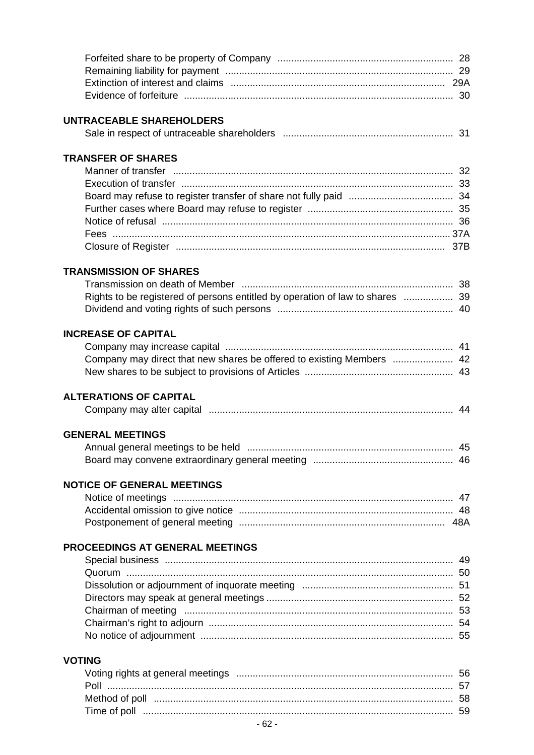| <b>UNTRACEABLE SHAREHOLDERS</b>                                               |  |
|-------------------------------------------------------------------------------|--|
|                                                                               |  |
| <b>TRANSFER OF SHARES</b>                                                     |  |
|                                                                               |  |
|                                                                               |  |
|                                                                               |  |
|                                                                               |  |
|                                                                               |  |
|                                                                               |  |
|                                                                               |  |
| <b>TRANSMISSION OF SHARES</b>                                                 |  |
|                                                                               |  |
| Rights to be registered of persons entitled by operation of law to shares  39 |  |
|                                                                               |  |
| <b>INCREASE OF CAPITAL</b>                                                    |  |
|                                                                               |  |
| Company may direct that new shares be offered to existing Members  42         |  |
|                                                                               |  |
| <b>ALTERATIONS OF CAPITAL</b>                                                 |  |
|                                                                               |  |
| <b>GENERAL MEETINGS</b>                                                       |  |
|                                                                               |  |
|                                                                               |  |
| <b>NOTICE OF GENERAL MEETINGS</b>                                             |  |
|                                                                               |  |
|                                                                               |  |
|                                                                               |  |
| <b>PROCEEDINGS AT GENERAL MEETINGS</b>                                        |  |
|                                                                               |  |
|                                                                               |  |
|                                                                               |  |
|                                                                               |  |
|                                                                               |  |
|                                                                               |  |
|                                                                               |  |
| <b>VOTING</b>                                                                 |  |
|                                                                               |  |
|                                                                               |  |
|                                                                               |  |
|                                                                               |  |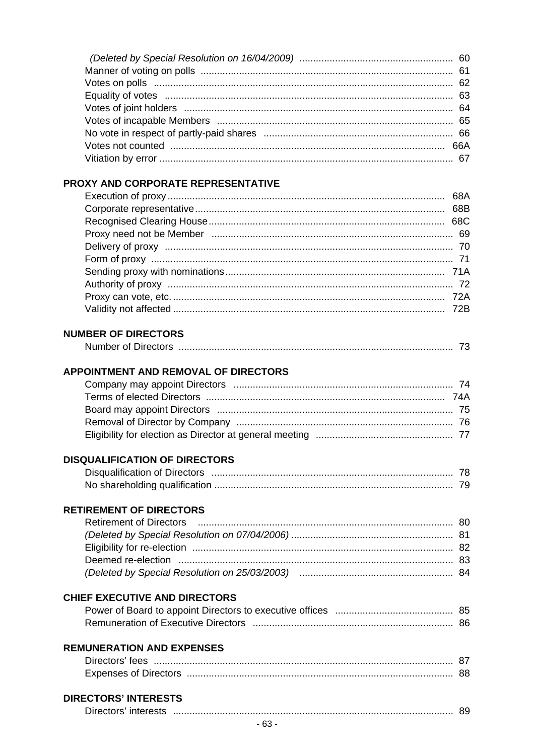# PROXY AND CORPORATE REPRESENTATIVE

# **NUMBER OF DIRECTORS**

| n of<br><b>DIIGUUIS</b> |  |  |
|-------------------------|--|--|
|                         |  |  |

# APPOINTMENT AND REMOVAL OF DIRECTORS

#### **DISQUALIFICATION OF DIRECTORS**

# **RETIREMENT OF DIRECTORS**

# **CHIEF EXECUTIVE AND DIRECTORS**

# **REMUNERATION AND EXPENSES**

| Directors' fees              |  |
|------------------------------|--|
| <b>Expenses of Directors</b> |  |

## **DIRECTORS' INTERESTS**

| Directors' interests |  |  |  |
|----------------------|--|--|--|
|----------------------|--|--|--|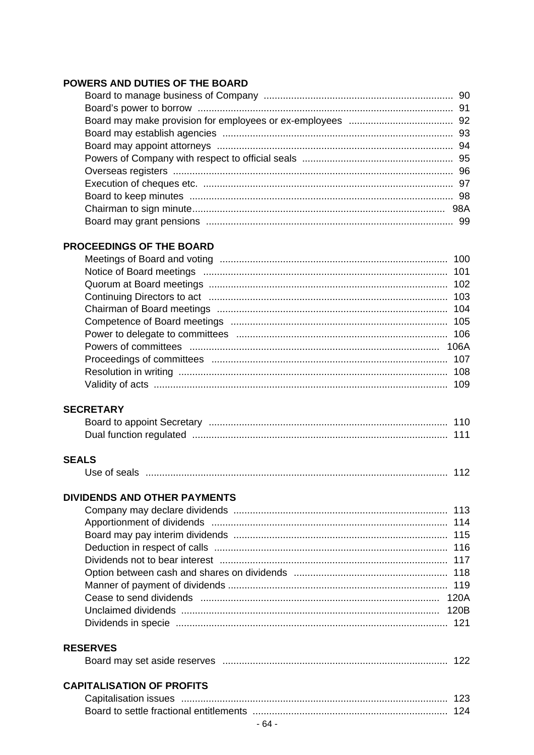# POWERS AND DUTIES OF THE BOARD

# PROCEEDINGS OF THE BOARD

# **SECRETARY**

# **SEALS**

| Use of seals |  |  |  |  |
|--------------|--|--|--|--|
|--------------|--|--|--|--|

# **DIVIDENDS AND OTHER PAYMENTS**

# **RESERVES**

|  | Board may set aside reserves |  |  |  |
|--|------------------------------|--|--|--|
|--|------------------------------|--|--|--|

# **CAPITALISATION OF PROFITS**

| Capitalisation issues. |  |
|------------------------|--|
|                        |  |